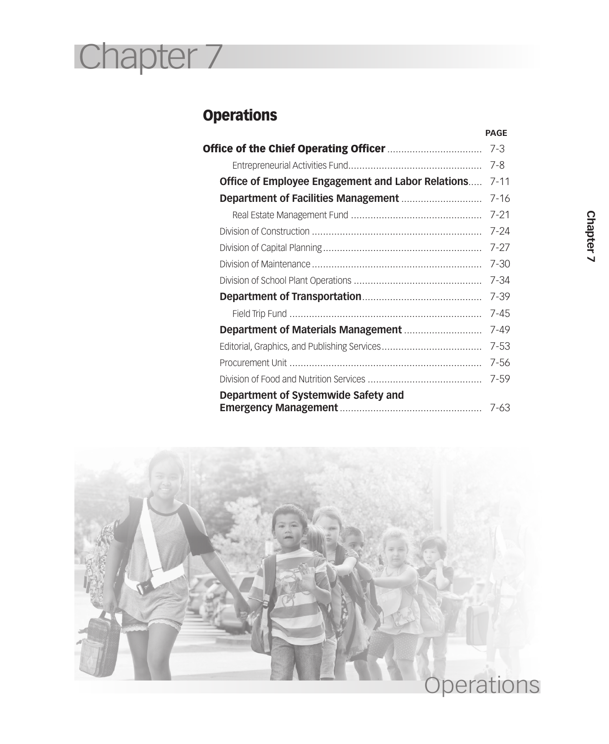# Chapter 7

# **Operations**

|                                                   | <b>PAGE</b> |
|---------------------------------------------------|-------------|
|                                                   | 7-3         |
|                                                   | 7-8         |
| Office of Employee Engagement and Labor Relations | $7 - 11$    |
|                                                   | $7 - 16$    |
|                                                   | $7 - 21$    |
|                                                   | $7 - 24$    |
|                                                   | $7 - 27$    |
|                                                   | $7 - 30$    |
|                                                   | 7-34        |
|                                                   | $7 - 39$    |
|                                                   | $7 - 45$    |
|                                                   | 7-49        |
|                                                   | $7 - 53$    |
|                                                   | $7 - 56$    |
|                                                   | $7 - 59$    |
| Department of Systemwide Safety and               |             |
|                                                   | 7-63        |

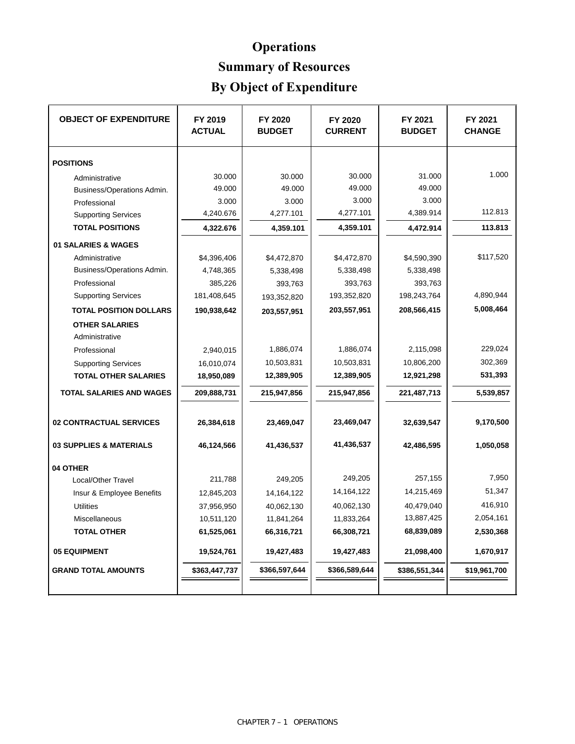# **Operations Summary of Resources**

# **By Object of Expenditure**

| <b>OBJECT OF EXPENDITURE</b>            | FY 2019<br><b>ACTUAL</b> | FY 2020<br><b>BUDGET</b> | FY 2020<br><b>CURRENT</b> | FY 2021<br><b>BUDGET</b> | FY 2021<br><b>CHANGE</b> |
|-----------------------------------------|--------------------------|--------------------------|---------------------------|--------------------------|--------------------------|
| <b>POSITIONS</b>                        |                          |                          |                           |                          |                          |
| Administrative                          | 30.000                   | 30.000                   | 30.000                    | 31.000                   | 1.000                    |
| Business/Operations Admin.              | 49.000                   | 49.000                   | 49.000                    | 49.000                   |                          |
| Professional                            | 3.000                    | 3.000                    | 3.000                     | 3.000                    |                          |
| <b>Supporting Services</b>              | 4,240.676                | 4,277.101                | 4,277.101                 | 4,389.914                | 112.813                  |
| <b>TOTAL POSITIONS</b>                  | 4,322.676                | 4,359.101                | 4,359.101                 | 4,472.914                | 113.813                  |
| 01 SALARIES & WAGES                     |                          |                          |                           |                          |                          |
| Administrative                          | \$4,396,406              | \$4,472,870              | \$4,472,870               | \$4,590,390              | \$117,520                |
| Business/Operations Admin.              | 4,748,365                | 5,338,498                | 5,338,498                 | 5,338,498                |                          |
| Professional                            | 385,226                  | 393,763                  | 393,763                   | 393,763                  |                          |
| <b>Supporting Services</b>              | 181,408,645              | 193,352,820              | 193,352,820               | 198,243,764              | 4,890,944                |
| <b>TOTAL POSITION DOLLARS</b>           | 190,938,642              | 203,557,951              | 203,557,951               | 208,566,415              | 5,008,464                |
| <b>OTHER SALARIES</b><br>Administrative |                          |                          |                           |                          |                          |
| Professional                            | 2,940,015                | 1,886,074                | 1,886,074                 | 2,115,098                | 229,024                  |
| <b>Supporting Services</b>              | 16,010,074               | 10,503,831               | 10,503,831                | 10,806,200               | 302,369                  |
| <b>TOTAL OTHER SALARIES</b>             | 18,950,089               | 12,389,905               | 12,389,905                | 12,921,298               | 531,393                  |
|                                         |                          |                          |                           |                          |                          |
| <b>TOTAL SALARIES AND WAGES</b>         | 209,888,731              | 215,947,856              | 215,947,856               | 221,487,713              | 5,539,857                |
| <b>02 CONTRACTUAL SERVICES</b>          | 26,384,618               | 23,469,047               | 23,469,047                | 32,639,547               | 9,170,500                |
| 03 SUPPLIES & MATERIALS                 | 46,124,566               | 41,436,537               | 41,436,537                | 42,486,595               | 1,050,058                |
| 04 OTHER                                |                          |                          |                           |                          |                          |
| Local/Other Travel                      | 211,788                  | 249.205                  | 249,205                   | 257,155                  | 7,950                    |
| Insur & Employee Benefits               | 12,845,203               | 14, 164, 122             | 14, 164, 122              | 14,215,469               | 51,347                   |
| <b>Utilities</b>                        | 37,956,950               | 40,062,130               | 40,062,130                | 40,479,040               | 416,910                  |
| Miscellaneous                           | 10,511,120               | 11,841,264               | 11,833,264                | 13,887,425               | 2,054,161                |
| <b>TOTAL OTHER</b>                      | 61,525,061               | 66,316,721               | 66,308,721                | 68,839,089               | 2,530,368                |
| <b>05 EQUIPMENT</b>                     | 19,524,761               | 19,427,483               | 19,427,483                | 21,098,400               | 1,670,917                |
| <b>GRAND TOTAL AMOUNTS</b>              | \$363,447,737            | \$366,597,644            | \$366,589,644             | \$386,551,344            | \$19,961,700             |
|                                         |                          |                          |                           |                          |                          |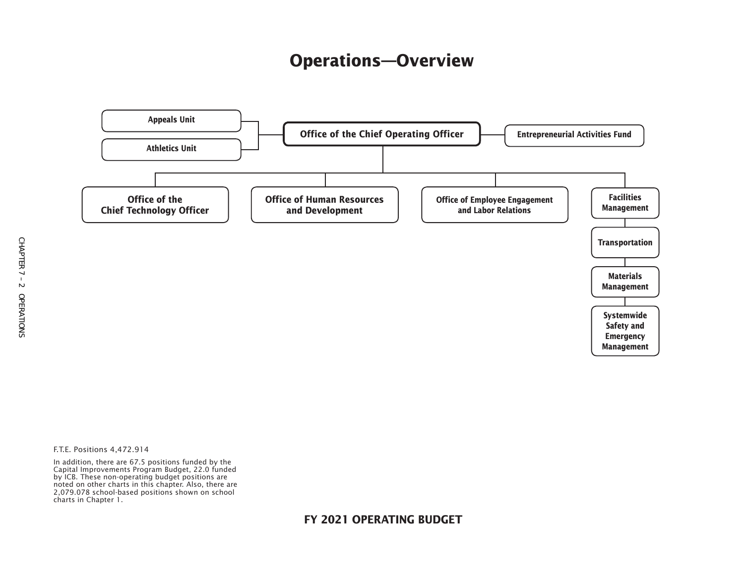# **Operations—Overview**



F.T.E. Positions 4,472.914

In addition, there are 67.5 positions funded by the Capital Improvements Program Budget, 22.0 funded by ICB. These non-operating budget positions are noted on other charts in this chapter. Also, there are 2,079.078 school-based positions shown on school charts in Chapter 1.

#### **FY 2021 OPERATING BUDGET**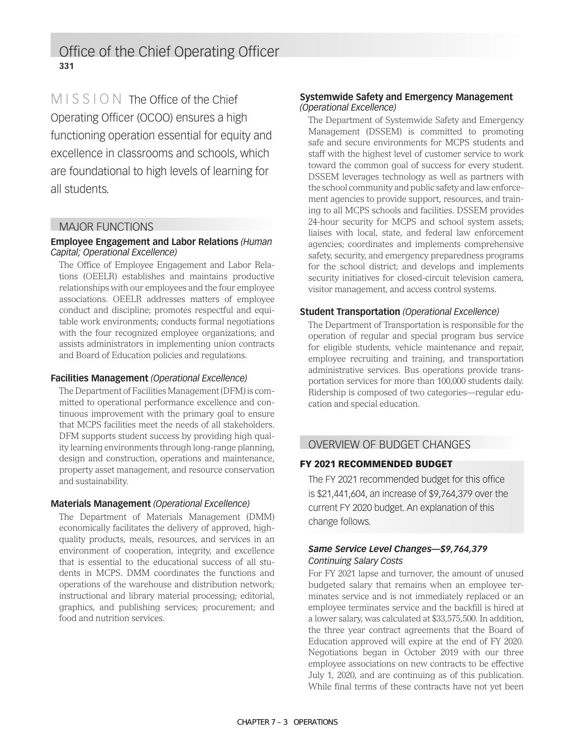Office of the Chief Operating Officer **331**

MISSION The Office of the Chief Operating Officer (OCOO) ensures a high functioning operation essential for equity and excellence in classrooms and schools, which are foundational to high levels of learning for all students.

#### MAJOR FUNCTIONS

#### **Employee Engagement and Labor Relations** *(Human Capital; Operational Excellence)*

The Office of Employee Engagement and Labor Relations (OEELR) establishes and maintains productive relationships with our employees and the four employee associations. OEELR addresses matters of employee conduct and discipline; promotes respectful and equitable work environments; conducts formal negotiations with the four recognized employee organizations; and assists administrators in implementing union contracts and Board of Education policies and regulations.

#### **Facilities Management** *(Operational Excellence)*

The Department of Facilities Management (DFM) is committed to operational performance excellence and continuous improvement with the primary goal to ensure that MCPS facilities meet the needs of all stakeholders. DFM supports student success by providing high quality learning environments through long-range planning, design and construction, operations and maintenance, property asset management, and resource conservation and sustainability.

#### **Materials Management** *(Operational Excellence)*

The Department of Materials Management (DMM) economically facilitates the delivery of approved, highquality products, meals, resources, and services in an environment of cooperation, integrity, and excellence that is essential to the educational success of all students in MCPS. DMM coordinates the functions and operations of the warehouse and distribution network; instructional and library material processing; editorial, graphics, and publishing services; procurement; and food and nutrition services.

#### **Systemwide Safety and Emergency Management**  *(Operational Excellence)*

The Department of Systemwide Safety and Emergency Management (DSSEM) is committed to promoting safe and secure environments for MCPS students and staff with the highest level of customer service to work toward the common goal of success for every student. DSSEM leverages technology as well as partners with the school community and public safety and law enforcement agencies to provide support, resources, and training to all MCPS schools and facilities. DSSEM provides 24-hour security for MCPS and school system assets; liaises with local, state, and federal law enforcement agencies; coordinates and implements comprehensive safety, security, and emergency preparedness programs for the school district; and develops and implements security initiatives for closed-circuit television camera, visitor management, and access control systems.

#### **Student Transportation** *(Operational Excellence)*

The Department of Transportation is responsible for the operation of regular and special program bus service for eligible students, vehicle maintenance and repair, employee recruiting and training, and transportation administrative services. Bus operations provide transportation services for more than 100,000 students daily. Ridership is composed of two categories—regular education and special education.

#### OVERVIEW OF BUDGET CHANGES

#### FY 2021 RECOMMENDED BUDGET

The FY 2021 recommended budget for this office is \$21,441,604, an increase of \$9,764,379 over the current FY 2020 budget. An explanation of this change follows.

#### *Same Service Level Changes—\$9,764,379 Continuing Salary Costs*

For FY 2021 lapse and turnover, the amount of unused budgeted salary that remains when an employee terminates service and is not immediately replaced or an employee terminates service and the backfill is hired at a lower salary, was calculated at \$33,575,500. In addition, the three year contract agreements that the Board of Education approved will expire at the end of FY 2020. Negotiations began in October 2019 with our three employee associations on new contracts to be effective July 1, 2020, and are continuing as of this publication. While final terms of these contracts have not yet been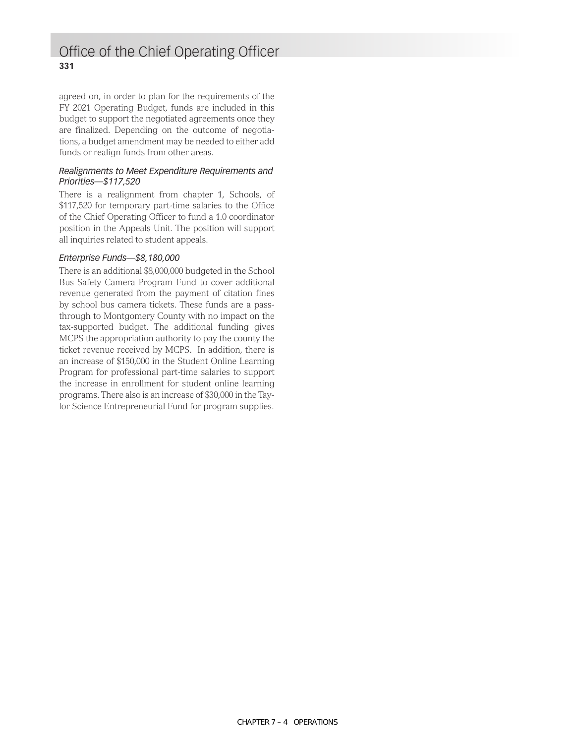### Office of the Chief Operating Officer **331**

agreed on, in order to plan for the requirements of the FY 2021 Operating Budget, funds are included in this budget to support the negotiated agreements once they are finalized. Depending on the outcome of negotiations, a budget amendment may be needed to either add funds or realign funds from other areas.

#### *Realignments to Meet Expenditure Requirements and Priorities—\$117,520*

There is a realignment from chapter 1, Schools, of \$117,520 for temporary part-time salaries to the Office of the Chief Operating Officer to fund a 1.0 coordinator position in the Appeals Unit. The position will support all inquiries related to student appeals.

#### *Enterprise Funds—\$8,180,000*

There is an additional \$8,000,000 budgeted in the School Bus Safety Camera Program Fund to cover additional revenue generated from the payment of citation fines by school bus camera tickets. These funds are a passthrough to Montgomery County with no impact on the tax-supported budget. The additional funding gives MCPS the appropriation authority to pay the county the ticket revenue received by MCPS. In addition, there is an increase of \$150,000 in the Student Online Learning Program for professional part-time salaries to support the increase in enrollment for student online learning programs. There also is an increase of \$30,000 in the Taylor Science Entrepreneurial Fund for program supplies.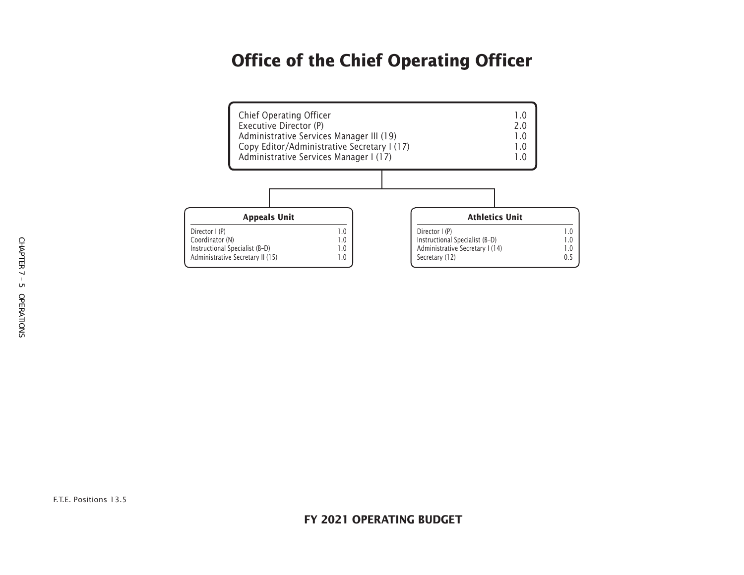# **Office of the Chief Operating Officer**

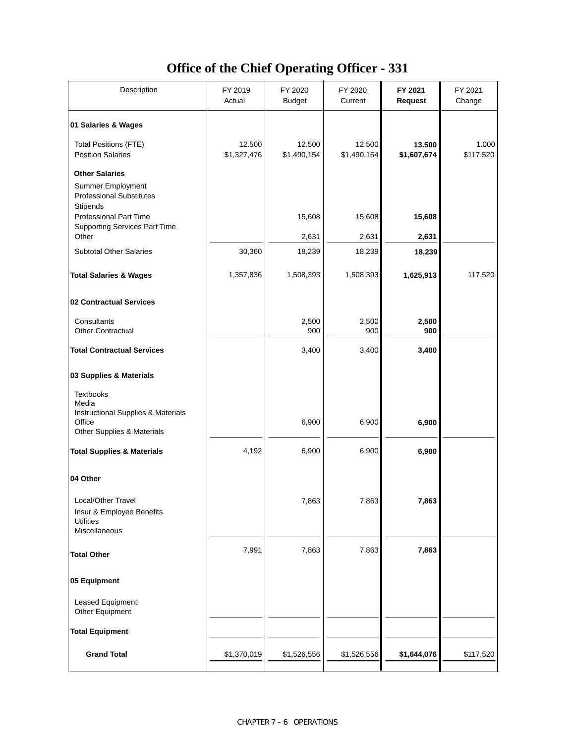### **Office of the Chief Operating Officer - 331**

| Description                                                                               | FY 2019<br>Actual     | FY 2020<br><b>Budget</b> | FY 2020<br>Current    | FY 2021<br><b>Request</b> | FY 2021<br>Change  |
|-------------------------------------------------------------------------------------------|-----------------------|--------------------------|-----------------------|---------------------------|--------------------|
| 01 Salaries & Wages                                                                       |                       |                          |                       |                           |                    |
| <b>Total Positions (FTE)</b><br><b>Position Salaries</b>                                  | 12.500<br>\$1,327,476 | 12.500<br>\$1,490,154    | 12.500<br>\$1,490,154 | 13.500<br>\$1,607,674     | 1.000<br>\$117,520 |
| <b>Other Salaries</b><br>Summer Employment<br><b>Professional Substitutes</b><br>Stipends |                       |                          |                       |                           |                    |
| <b>Professional Part Time</b><br><b>Supporting Services Part Time</b>                     |                       | 15,608                   | 15,608                | 15,608                    |                    |
| Other<br><b>Subtotal Other Salaries</b>                                                   | 30,360                | 2,631<br>18,239          | 2,631<br>18,239       | 2,631<br>18,239           |                    |
|                                                                                           |                       |                          |                       |                           |                    |
| <b>Total Salaries &amp; Wages</b>                                                         | 1,357,836             | 1,508,393                | 1,508,393             | 1,625,913                 | 117,520            |
| 02 Contractual Services                                                                   |                       |                          |                       |                           |                    |
| Consultants<br><b>Other Contractual</b>                                                   |                       | 2,500<br>900             | 2,500<br>900          | 2,500<br>900              |                    |
| <b>Total Contractual Services</b>                                                         |                       | 3,400                    | 3,400                 | 3,400                     |                    |
| 03 Supplies & Materials                                                                   |                       |                          |                       |                           |                    |
| <b>Textbooks</b><br>Media<br>Instructional Supplies & Materials                           |                       |                          |                       |                           |                    |
| Office<br>Other Supplies & Materials                                                      |                       | 6,900                    | 6,900                 | 6,900                     |                    |
| <b>Total Supplies &amp; Materials</b>                                                     | 4,192                 | 6,900                    | 6,900                 | 6,900                     |                    |
| 04 Other                                                                                  |                       |                          |                       |                           |                    |
| Local/Other Travel<br>Insur & Employee Benefits<br><b>Utilities</b><br>Miscellaneous      |                       | 7,863                    | 7,863                 | 7,863                     |                    |
| <b>Total Other</b>                                                                        | 7,991                 | 7,863                    | 7,863                 | 7,863                     |                    |
| 05 Equipment                                                                              |                       |                          |                       |                           |                    |
| Leased Equipment<br>Other Equipment                                                       |                       |                          |                       |                           |                    |
| <b>Total Equipment</b>                                                                    |                       |                          |                       |                           |                    |
| <b>Grand Total</b>                                                                        | \$1,370,019           | \$1,526,556              | \$1,526,556           | \$1,644,076               | \$117,520          |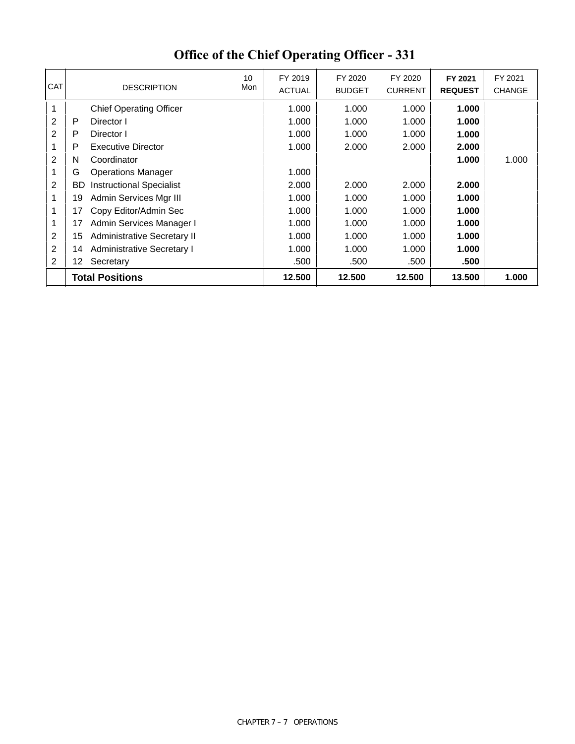| <b>CAT</b>     |     | 10<br>Mon<br><b>DESCRIPTION</b>   | FY 2019<br><b>ACTUAL</b> | FY 2020<br><b>BUDGET</b> | FY 2020<br><b>CURRENT</b> | FY 2021<br><b>REQUEST</b> | FY 2021<br><b>CHANGE</b> |
|----------------|-----|-----------------------------------|--------------------------|--------------------------|---------------------------|---------------------------|--------------------------|
| 1              |     | <b>Chief Operating Officer</b>    | 1.000                    | 1.000                    | 1.000                     | 1.000                     |                          |
| 2              | P   | Director I                        | 1.000                    | 1.000                    | 1.000                     | 1.000                     |                          |
| 2              | P   | Director I                        | 1.000                    | 1.000                    | 1.000                     | 1.000                     |                          |
| 1              | P   | <b>Executive Director</b>         | 1.000                    | 2.000                    | 2.000                     | 2.000                     |                          |
| $\overline{2}$ | N   | Coordinator                       |                          |                          |                           | 1.000                     | 1.000                    |
| 1              | G   | <b>Operations Manager</b>         | 1.000                    |                          |                           |                           |                          |
| $\overline{2}$ | BD. | <b>Instructional Specialist</b>   | 2.000                    | 2.000                    | 2.000                     | 2.000                     |                          |
| 1              | 19  | Admin Services Mgr III            | 1.000                    | 1.000                    | 1.000                     | 1.000                     |                          |
| 1              | 17  | Copy Editor/Admin Sec             | 1.000                    | 1.000                    | 1.000                     | 1.000                     |                          |
| 1              | 17  | Admin Services Manager I          | 1.000                    | 1.000                    | 1.000                     | 1.000                     |                          |
| $\overline{2}$ | 15  | Administrative Secretary II       | 1.000                    | 1.000                    | 1.000                     | 1.000                     |                          |
| 2              | 14  | <b>Administrative Secretary I</b> | 1.000                    | 1.000                    | 1.000                     | 1.000                     |                          |
| 2              | 12. | Secretary                         | .500                     | .500                     | .500                      | .500                      |                          |
|                |     | <b>Total Positions</b>            | 12.500                   | 12.500                   | 12.500                    | 13.500                    | 1.000                    |

# **Office of the Chief Operating Officer - 331**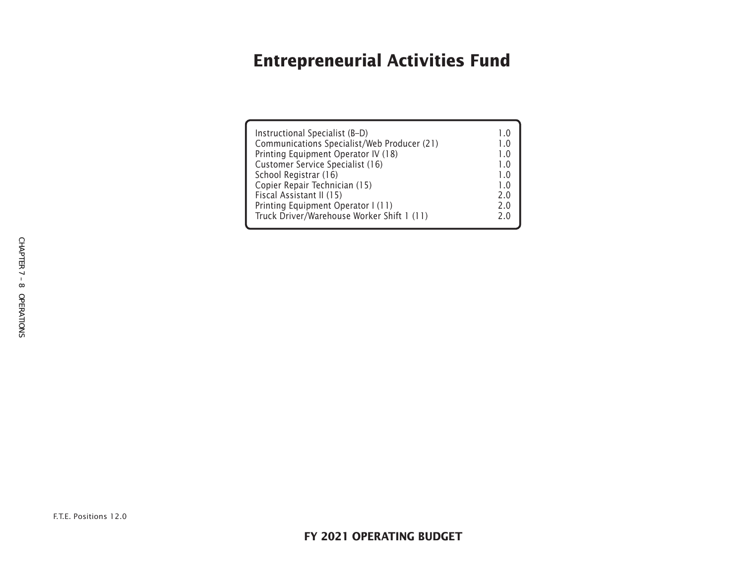# **Entrepreneurial Activities Fund**

| Instructional Specialist (B-D)              | 10            |
|---------------------------------------------|---------------|
| Communications Specialist/Web Producer (21) | 10            |
| Printing Equipment Operator IV (18)         | 1.0           |
| Customer Service Specialist (16)            | $1_{\cdot}$ 0 |
| School Registrar (16)                       | $1_{\cdot}$ 0 |
| Copier Repair Technician (15)               | 1.0           |
| Fiscal Assistant II (15)                    | 2.0           |
| Printing Equipment Operator I (11)          | 2.0           |
| Truck Driver/Warehouse Worker Shift 1 (11)  | 2 በ           |
|                                             |               |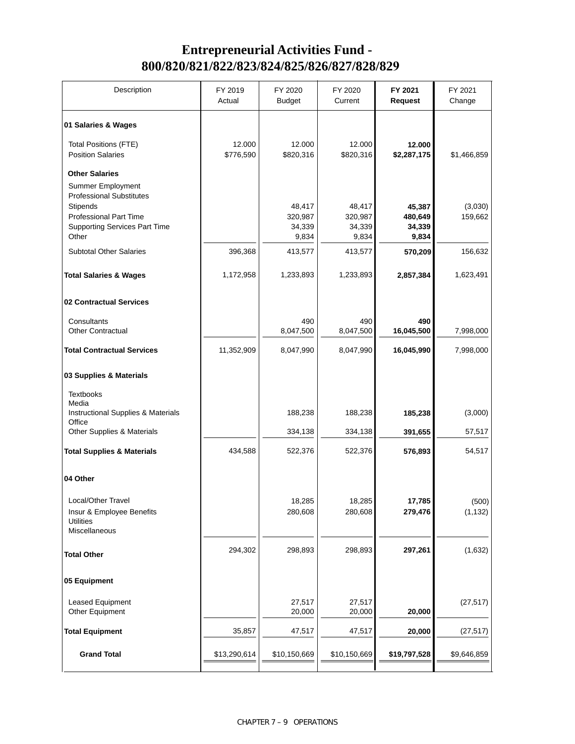### **Entrepreneurial Activities Fund - 800/820/821/822/823/824/825/826/827/828/829**

| Description                                                                                | FY 2019<br>Actual   | FY 2020<br><b>Budget</b>             | FY 2020<br>Current                   | FY 2021<br><b>Request</b>            | FY 2021<br>Change  |
|--------------------------------------------------------------------------------------------|---------------------|--------------------------------------|--------------------------------------|--------------------------------------|--------------------|
| 01 Salaries & Wages                                                                        |                     |                                      |                                      |                                      |                    |
| <b>Total Positions (FTE)</b><br><b>Position Salaries</b>                                   | 12.000<br>\$776,590 | 12.000<br>\$820,316                  | 12.000<br>\$820,316                  | 12.000<br>\$2,287,175                | \$1,466,859        |
| <b>Other Salaries</b><br><b>Summer Employment</b><br><b>Professional Substitutes</b>       |                     |                                      |                                      |                                      |                    |
| Stipends<br><b>Professional Part Time</b><br><b>Supporting Services Part Time</b><br>Other |                     | 48,417<br>320,987<br>34,339<br>9,834 | 48,417<br>320,987<br>34,339<br>9,834 | 45,387<br>480,649<br>34,339<br>9,834 | (3,030)<br>159,662 |
| <b>Subtotal Other Salaries</b>                                                             | 396,368             | 413,577                              | 413,577                              | 570,209                              | 156,632            |
| <b>Total Salaries &amp; Wages</b>                                                          | 1,172,958           | 1,233,893                            | 1,233,893                            | 2,857,384                            | 1,623,491          |
| 02 Contractual Services                                                                    |                     |                                      |                                      |                                      |                    |
| Consultants<br><b>Other Contractual</b>                                                    |                     | 490<br>8,047,500                     | 490<br>8,047,500                     | 490<br>16,045,500                    | 7,998,000          |
| <b>Total Contractual Services</b>                                                          | 11,352,909          | 8,047,990                            | 8,047,990                            | 16,045,990                           | 7,998,000          |
| 03 Supplies & Materials                                                                    |                     |                                      |                                      |                                      |                    |
| <b>Textbooks</b><br>Media                                                                  |                     |                                      |                                      |                                      |                    |
| Instructional Supplies & Materials<br>Office                                               |                     | 188,238                              | 188,238                              | 185,238                              | (3,000)            |
| Other Supplies & Materials                                                                 |                     | 334,138                              | 334,138                              | 391,655                              | 57,517             |
| <b>Total Supplies &amp; Materials</b>                                                      | 434,588             | 522,376                              | 522,376                              | 576,893                              | 54,517             |
| 04 Other                                                                                   |                     |                                      |                                      |                                      |                    |
| Local/Other Travel<br>Insur & Employee Benefits<br><b>Utilities</b><br>Miscellaneous       |                     | 18,285<br>280,608                    | 18,285<br>280,608                    | 17,785<br>279,476                    | (500)<br>(1, 132)  |
| <b>Total Other</b>                                                                         | 294,302             | 298,893                              | 298,893                              | 297,261                              | (1,632)            |
| 05 Equipment                                                                               |                     |                                      |                                      |                                      |                    |
| Leased Equipment<br>Other Equipment                                                        |                     | 27,517<br>20,000                     | 27,517<br>20,000                     | 20,000                               | (27, 517)          |
| <b>Total Equipment</b>                                                                     | 35,857              | 47,517                               | 47,517                               | 20,000                               | (27, 517)          |
| <b>Grand Total</b>                                                                         | \$13,290,614        | \$10,150,669                         | \$10,150,669                         | \$19,797,528                         | \$9,646,859        |
|                                                                                            |                     |                                      |                                      |                                      |                    |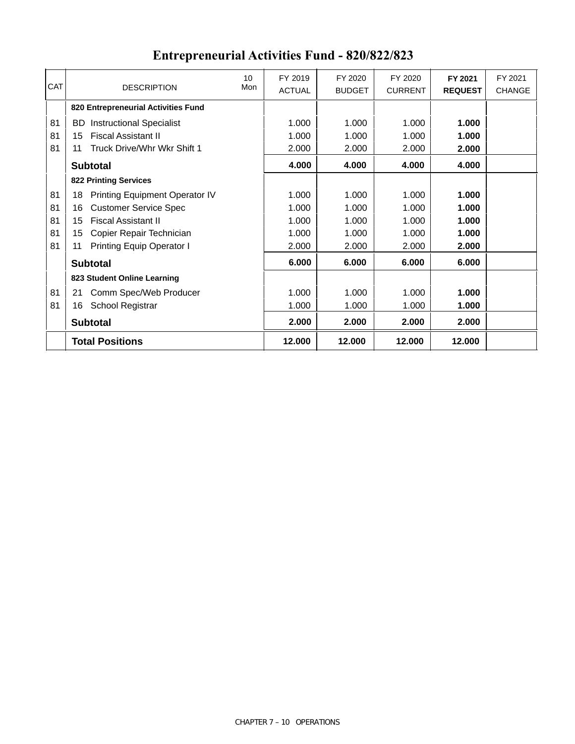|            |                                        | 10  | FY 2019       | FY 2020       | FY 2020        | FY 2021        | FY 2021       |
|------------|----------------------------------------|-----|---------------|---------------|----------------|----------------|---------------|
| <b>CAT</b> | <b>DESCRIPTION</b>                     | Mon | <b>ACTUAL</b> | <b>BUDGET</b> | <b>CURRENT</b> | <b>REQUEST</b> | <b>CHANGE</b> |
|            | 820 Entrepreneurial Activities Fund    |     |               |               |                |                |               |
| 81         | <b>Instructional Specialist</b><br>BD. |     | 1.000         | 1.000         | 1.000          | 1.000          |               |
| 81         | <b>Fiscal Assistant II</b><br>15       |     | 1.000         | 1.000         | 1.000          | 1.000          |               |
| 81         | Truck Drive/Whr Wkr Shift 1<br>11      |     | 2.000         | 2.000         | 2.000          | 2.000          |               |
|            | <b>Subtotal</b>                        |     | 4.000         | 4.000         | 4.000          | 4.000          |               |
|            | <b>822 Printing Services</b>           |     |               |               |                |                |               |
| 81         | Printing Equipment Operator IV<br>18   |     | 1.000         | 1.000         | 1.000          | 1.000          |               |
| 81         | <b>Customer Service Spec</b><br>16     |     | 1.000         | 1.000         | 1.000          | 1.000          |               |
| 81         | <b>Fiscal Assistant II</b><br>15       |     | 1.000         | 1.000         | 1.000          | 1.000          |               |
| 81         | Copier Repair Technician<br>15         |     | 1.000         | 1.000         | 1.000          | 1.000          |               |
| 81         | <b>Printing Equip Operator I</b><br>11 |     | 2.000         | 2.000         | 2.000          | 2.000          |               |
|            | <b>Subtotal</b>                        |     | 6.000         | 6.000         | 6.000          | 6.000          |               |
|            | 823 Student Online Learning            |     |               |               |                |                |               |
| 81         | Comm Spec/Web Producer<br>21           |     | 1.000         | 1.000         | 1.000          | 1.000          |               |
| 81         | School Registrar<br>16                 |     | 1.000         | 1.000         | 1.000          | 1.000          |               |
|            | <b>Subtotal</b>                        |     | 2.000         | 2.000         | 2.000          | 2.000          |               |
|            | <b>Total Positions</b>                 |     | 12.000        | 12.000        | 12.000         | 12.000         |               |

# **Entrepreneurial Activities Fund - 820/822/823**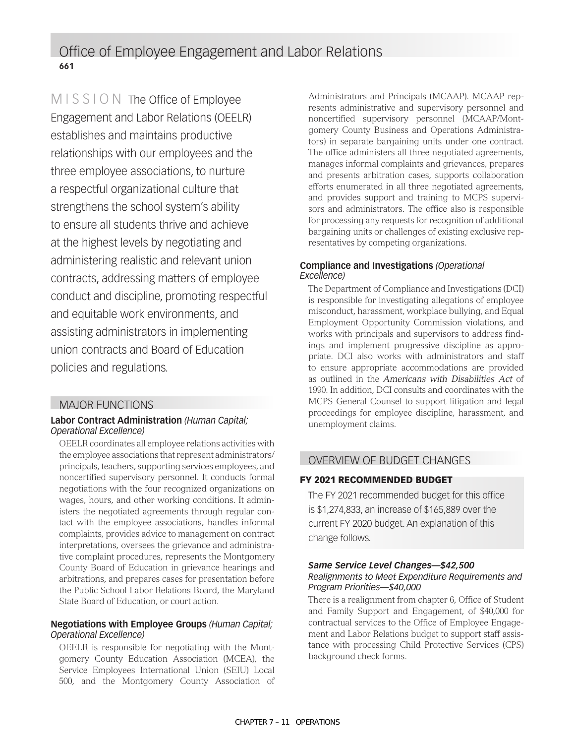MISSION The Office of Employee Engagement and Labor Relations (OEELR) establishes and maintains productive relationships with our employees and the three employee associations, to nurture a respectful organizational culture that strengthens the school system's ability to ensure all students thrive and achieve at the highest levels by negotiating and administering realistic and relevant union contracts, addressing matters of employee conduct and discipline, promoting respectful and equitable work environments, and assisting administrators in implementing union contracts and Board of Education policies and regulations.

#### MAJOR FUNCTIONS

#### **Labor Contract Administration** *(Human Capital; Operational Excellence)*

OEELR coordinates all employee relations activities with the employee associations that represent administrators/ principals, teachers, supporting services employees, and noncertified supervisory personnel. It conducts formal negotiations with the four recognized organizations on wages, hours, and other working conditions. It administers the negotiated agreements through regular contact with the employee associations, handles informal complaints, provides advice to management on contract interpretations, oversees the grievance and administrative complaint procedures, represents the Montgomery County Board of Education in grievance hearings and arbitrations, and prepares cases for presentation before the Public School Labor Relations Board, the Maryland State Board of Education, or court action.

#### **Negotiations with Employee Groups** *(Human Capital; Operational Excellence)*

OEELR is responsible for negotiating with the Montgomery County Education Association (MCEA), the Service Employees International Union (SEIU) Local 500, and the Montgomery County Association of Administrators and Principals (MCAAP). MCAAP represents administrative and supervisory personnel and noncertified supervisory personnel (MCAAP/Montgomery County Business and Operations Administrators) in separate bargaining units under one contract. The office administers all three negotiated agreements, manages informal complaints and grievances, prepares and presents arbitration cases, supports collaboration efforts enumerated in all three negotiated agreements, and provides support and training to MCPS supervisors and administrators. The office also is responsible for processing any requests for recognition of additional bargaining units or challenges of existing exclusive representatives by competing organizations.

#### **Compliance and Investigations** *(Operational Excellence)*

The Department of Compliance and Investigations (DCI) is responsible for investigating allegations of employee misconduct, harassment, workplace bullying, and Equal Employment Opportunity Commission violations, and works with principals and supervisors to address findings and implement progressive discipline as appropriate. DCI also works with administrators and staff to ensure appropriate accommodations are provided as outlined in the *Americans with Disabilities Act* of 1990. In addition, DCI consults and coordinates with the MCPS General Counsel to support litigation and legal proceedings for employee discipline, harassment, and unemployment claims.

### OVERVIEW OF BUDGET CHANGES

#### FY 2021 RECOMMENDED BUDGET

The FY 2021 recommended budget for this office is \$1,274,833, an increase of \$165,889 over the current FY 2020 budget. An explanation of this change follows.

#### *Same Service Level Changes—\$42,500*

#### *Realignments to Meet Expenditure Requirements and Program Priorities—\$40,000*

There is a realignment from chapter 6, Office of Student and Family Support and Engagement, of \$40,000 for contractual services to the Office of Employee Engagement and Labor Relations budget to support staff assistance with processing Child Protective Services (CPS) background check forms.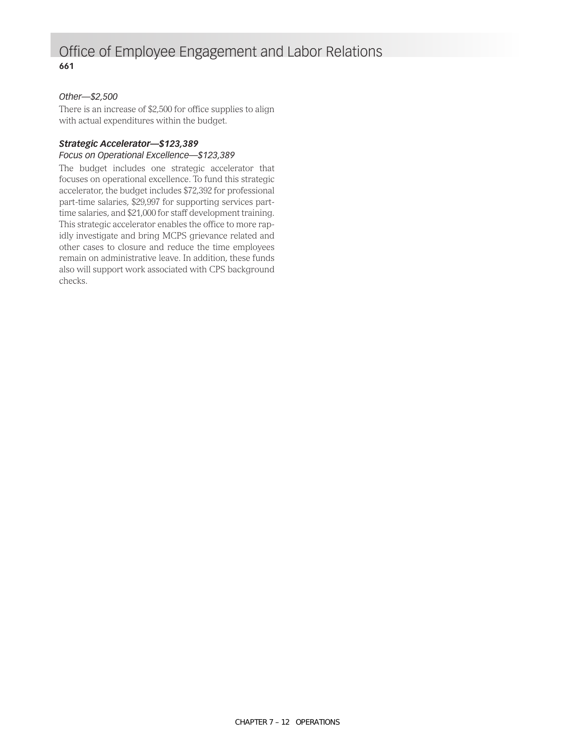### Office of Employee Engagement and Labor Relations **661**

#### *Other—\$2,500*

There is an increase of \$2,500 for office supplies to align with actual expenditures within the budget.

#### *Strategic Accelerator—\$123,389*

#### *Focus on Operational Excellence—\$123,389*

The budget includes one strategic accelerator that focuses on operational excellence. To fund this strategic accelerator, the budget includes \$72,392 for professional part-time salaries, \$29,997 for supporting services parttime salaries, and \$21,000 for staff development training. This strategic accelerator enables the office to more rapidly investigate and bring MCPS grievance related and other cases to closure and reduce the time employees remain on administrative leave. In addition, these funds also will support work associated with CPS background checks.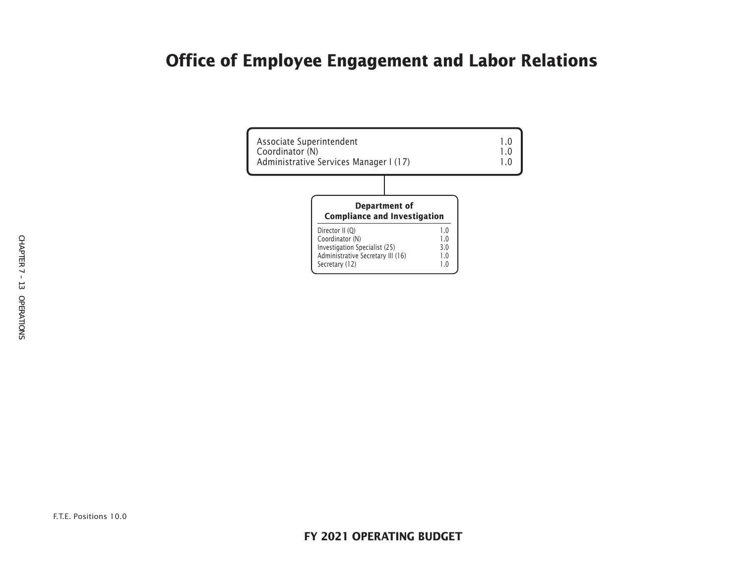# **Office of Employee Engagement and Labor Relations**

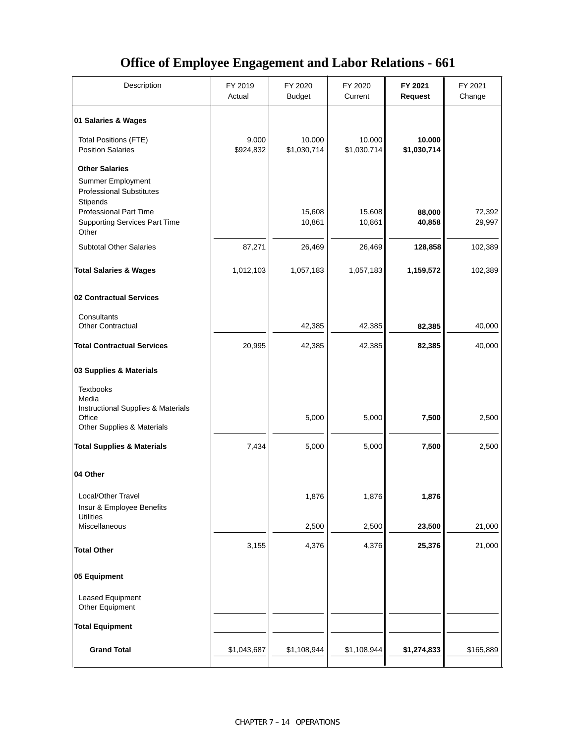### **Office of Employee Engagement and Labor Relations - 661**

| Description                                                                                       | FY 2019<br>Actual  | FY 2020<br><b>Budget</b> | FY 2020<br>Current    | FY 2021<br><b>Request</b> | FY 2021<br>Change |
|---------------------------------------------------------------------------------------------------|--------------------|--------------------------|-----------------------|---------------------------|-------------------|
| 01 Salaries & Wages                                                                               |                    |                          |                       |                           |                   |
| <b>Total Positions (FTE)</b><br><b>Position Salaries</b>                                          | 9.000<br>\$924,832 | 10.000<br>\$1,030,714    | 10.000<br>\$1,030,714 | 10.000<br>\$1,030,714     |                   |
| <b>Other Salaries</b><br>Summer Employment<br><b>Professional Substitutes</b>                     |                    |                          |                       |                           |                   |
| <b>Stipends</b><br><b>Professional Part Time</b><br><b>Supporting Services Part Time</b><br>Other |                    | 15,608<br>10,861         | 15,608<br>10,861      | 88,000<br>40,858          | 72,392<br>29,997  |
| <b>Subtotal Other Salaries</b>                                                                    | 87,271             | 26,469                   | 26,469                | 128,858                   | 102,389           |
| <b>Total Salaries &amp; Wages</b>                                                                 | 1,012,103          | 1,057,183                | 1,057,183             | 1,159,572                 | 102,389           |
| 02 Contractual Services                                                                           |                    |                          |                       |                           |                   |
| Consultants<br><b>Other Contractual</b>                                                           |                    | 42,385                   | 42,385                | 82,385                    | 40,000            |
| <b>Total Contractual Services</b>                                                                 | 20,995             | 42,385                   | 42,385                | 82,385                    | 40,000            |
| 03 Supplies & Materials                                                                           |                    |                          |                       |                           |                   |
| <b>Textbooks</b><br>Media<br>Instructional Supplies & Materials                                   |                    |                          |                       |                           |                   |
| Office<br>Other Supplies & Materials                                                              |                    | 5,000                    | 5,000                 | 7,500                     | 2,500             |
| <b>Total Supplies &amp; Materials</b>                                                             | 7,434              | 5,000                    | 5,000                 | 7,500                     | 2,500             |
| 04 Other                                                                                          |                    |                          |                       |                           |                   |
| Local/Other Travel<br>Insur & Employee Benefits                                                   |                    | 1,876                    | 1,876                 | 1,876                     |                   |
| <b>Utilities</b><br>Miscellaneous                                                                 |                    | 2,500                    | 2,500                 | 23,500                    | 21,000            |
| <b>Total Other</b>                                                                                | 3,155              | 4,376                    | 4,376                 | 25,376                    | 21,000            |
| 05 Equipment                                                                                      |                    |                          |                       |                           |                   |
| Leased Equipment<br>Other Equipment                                                               |                    |                          |                       |                           |                   |
| <b>Total Equipment</b>                                                                            |                    |                          |                       |                           |                   |
| <b>Grand Total</b>                                                                                | \$1,043,687        | \$1,108,944              | \$1,108,944           | \$1,274,833               | \$165,889         |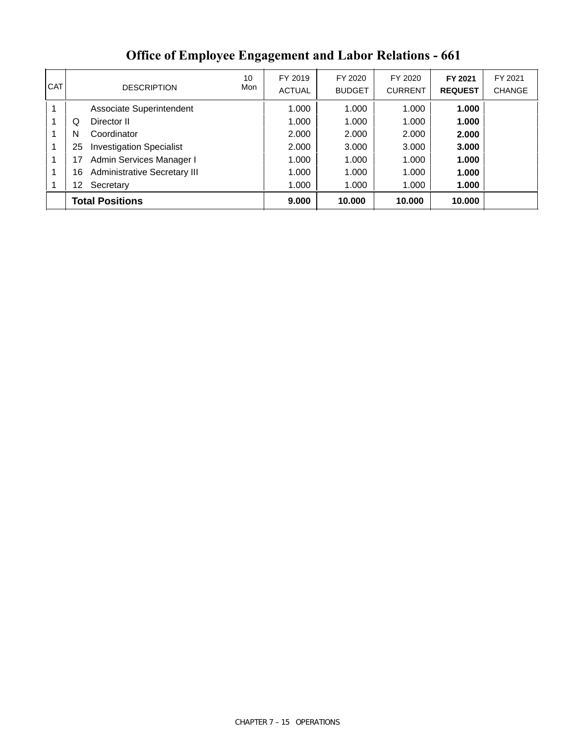| <b>CAT</b> |    | <b>DESCRIPTION</b>              | 10<br>Mon | FY 2019<br><b>ACTUAL</b> | FY 2020<br><b>BUDGET</b> | FY 2020<br><b>CURRENT</b> | FY 2021<br><b>REQUEST</b> | FY 2021<br><b>CHANGE</b> |
|------------|----|---------------------------------|-----------|--------------------------|--------------------------|---------------------------|---------------------------|--------------------------|
| 1          |    | Associate Superintendent        |           | 1.000                    | 1.000                    | 1.000                     | 1.000                     |                          |
|            | Q  | Director II                     |           | 1.000                    | 1.000                    | 1.000                     | 1.000                     |                          |
| 1          | N  | Coordinator                     |           | 2.000                    | 2.000                    | 2.000                     | 2.000                     |                          |
| 1          | 25 | <b>Investigation Specialist</b> |           | 2.000                    | 3.000                    | 3.000                     | 3.000                     |                          |
| 1          |    | Admin Services Manager I        |           | 1.000                    | 1.000                    | 1.000                     | 1.000                     |                          |
| 1          | 16 | Administrative Secretary III    |           | 1.000                    | 1.000                    | 1.000                     | 1.000                     |                          |
|            | 12 | Secretary                       |           | 1.000                    | 1.000                    | 1.000                     | 1.000                     |                          |
|            |    | <b>Total Positions</b>          |           | 9.000                    | 10.000                   | 10,000                    | 10.000                    |                          |

### **Office of Employee Engagement and Labor Relations - 661**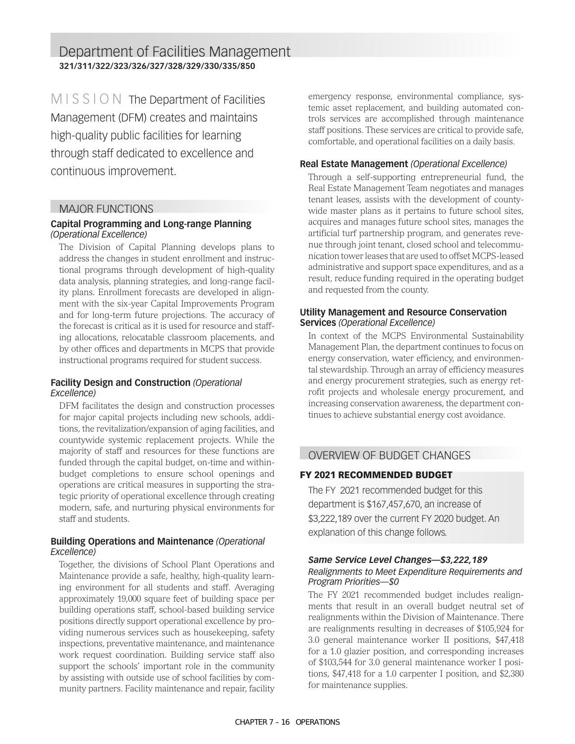Department of Facilities Management **321/311/322/323/326/327/328/329/330/335/850**

MISSION The Department of Facilities Management (DFM) creates and maintains high-quality public facilities for learning through staff dedicated to excellence and continuous improvement.

#### MAJOR FUNCTIONS

#### **Capital Programming and Long-range Planning**  *(Operational Excellence)*

The Division of Capital Planning develops plans to address the changes in student enrollment and instructional programs through development of high-quality data analysis, planning strategies, and long-range facility plans. Enrollment forecasts are developed in alignment with the six-year Capital Improvements Program and for long-term future projections. The accuracy of the forecast is critical as it is used for resource and staffing allocations, relocatable classroom placements, and by other offices and departments in MCPS that provide instructional programs required for student success.

#### **Facility Design and Construction** *(Operational Excellence)*

DFM facilitates the design and construction processes for major capital projects including new schools, additions, the revitalization/expansion of aging facilities, and countywide systemic replacement projects. While the majority of staff and resources for these functions are funded through the capital budget, on-time and withinbudget completions to ensure school openings and operations are critical measures in supporting the strategic priority of operational excellence through creating modern, safe, and nurturing physical environments for staff and students.

#### **Building Operations and Maintenance** *(Operational Excellence)*

Together, the divisions of School Plant Operations and Maintenance provide a safe, healthy, high-quality learning environment for all students and staff. Averaging approximately 19,000 square feet of building space per building operations staff, school-based building service positions directly support operational excellence by providing numerous services such as housekeeping, safety inspections, preventative maintenance, and maintenance work request coordination. Building service staff also support the schools' important role in the community by assisting with outside use of school facilities by community partners. Facility maintenance and repair, facility emergency response, environmental compliance, systemic asset replacement, and building automated controls services are accomplished through maintenance staff positions. These services are critical to provide safe, comfortable, and operational facilities on a daily basis.

#### **Real Estate Management** *(Operational Excellence)*

Through a self-supporting entrepreneurial fund, the Real Estate Management Team negotiates and manages tenant leases, assists with the development of countywide master plans as it pertains to future school sites, acquires and manages future school sites, manages the artificial turf partnership program, and generates revenue through joint tenant, closed school and telecommunication tower leases that are used to offset MCPS-leased administrative and support space expenditures, and as a result, reduce funding required in the operating budget and requested from the county.

#### **Utility Management and Resource Conservation Services** *(Operational Excellence)*

In context of the MCPS Environmental Sustainability Management Plan, the department continues to focus on energy conservation, water efficiency, and environmental stewardship. Through an array of efficiency measures and energy procurement strategies, such as energy retrofit projects and wholesale energy procurement, and increasing conservation awareness, the department continues to achieve substantial energy cost avoidance.

#### OVERVIEW OF BUDGET CHANGES

#### FY 2021 RECOMMENDED BUDGET

The FY 2021 recommended budget for this department is \$167,457,670, an increase of \$3,222,189 over the current FY 2020 budget. An explanation of this change follows.

#### *Same Service Level Changes—\$3,222,189*

#### *Realignments to Meet Expenditure Requirements and Program Priorities—\$0*

The FY 2021 recommended budget includes realignments that result in an overall budget neutral set of realignments within the Division of Maintenance. There are realignments resulting in decreases of \$105,924 for 3.0 general maintenance worker II positions, \$47,418 for a 1.0 glazier position, and corresponding increases of \$103,544 for 3.0 general maintenance worker I positions, \$47,418 for a 1.0 carpenter I position, and \$2,380 for maintenance supplies.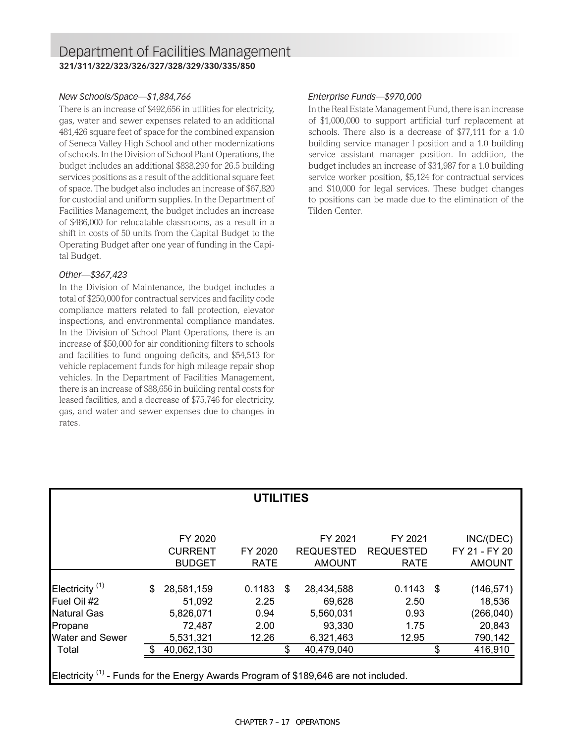### Department of Facilities Management **321/311/322/323/326/327/328/329/330/335/850**

#### *New Schools/Space—\$1,884,766*

There is an increase of \$492,656 in utilities for electricity, gas, water and sewer expenses related to an additional 481,426 square feet of space for the combined expansion of Seneca Valley High School and other modernizations of schools. In the Division of School Plant Operations, the budget includes an additional \$838,290 for 26.5 building services positions as a result of the additional square feet of space. The budget also includes an increase of \$67,820 for custodial and uniform supplies. In the Department of Facilities Management, the budget includes an increase of \$486,000 for relocatable classrooms, as a result in a shift in costs of 50 units from the Capital Budget to the Operating Budget after one year of funding in the Capital Budget.

#### *Other—\$367,423*

In the Division of Maintenance, the budget includes a total of \$250,000 for contractual services and facility code compliance matters related to fall protection, elevator inspections, and environmental compliance mandates. In the Division of School Plant Operations, there is an increase of \$50,000 for air conditioning filters to schools and facilities to fund ongoing deficits, and \$54,513 for vehicle replacement funds for high mileage repair shop vehicles. In the Department of Facilities Management, there is an increase of \$88,656 in building rental costs for leased facilities, and a decrease of \$75,746 for electricity, gas, and water and sewer expenses due to changes in rates.

#### *Enterprise Funds—\$970,000*

In the Real Estate Management Fund, there is an increase of \$1,000,000 to support artificial turf replacement at schools. There also is a decrease of \$77,111 for a 1.0 building service manager I position and a 1.0 building service assistant manager position. In addition, the budget includes an increase of \$31,987 for a 1.0 building service worker position, \$5,124 for contractual services and \$10,000 for legal services. These budget changes to positions can be made due to the elimination of the Tilden Center.

| <b>UTILITIES</b>                                                                                |     |                |  |             |    |                  |                  |             |     |               |
|-------------------------------------------------------------------------------------------------|-----|----------------|--|-------------|----|------------------|------------------|-------------|-----|---------------|
|                                                                                                 |     |                |  |             |    |                  |                  |             |     |               |
|                                                                                                 |     | FY 2020        |  |             |    | FY 2021          |                  | FY 2021     |     | INC/(DEC)     |
|                                                                                                 |     | <b>CURRENT</b> |  | FY 2020     |    | <b>REQUESTED</b> | <b>REQUESTED</b> |             |     | FY 21 - FY 20 |
|                                                                                                 |     | <b>BUDGET</b>  |  | <b>RATE</b> |    | <b>AMOUNT</b>    |                  | <b>RATE</b> |     | <b>AMOUNT</b> |
|                                                                                                 |     |                |  |             |    |                  |                  |             |     |               |
| Electricity <sup>(1)</sup>                                                                      | \$  | 28,581,159     |  | 0.1183      | \$ | 28,434,588       |                  | 0.1143      | -\$ | (146, 571)    |
| Fuel Oil #2                                                                                     |     | 51,092         |  | 2.25        |    | 69,628           |                  | 2.50        |     | 18,536        |
| <b>Natural Gas</b>                                                                              |     | 5,826,071      |  | 0.94        |    | 5,560,031        |                  | 0.93        |     | (266, 040)    |
| Propane                                                                                         |     | 72,487         |  | 2.00        |    | 93,330           |                  | 1.75        |     | 20,843        |
| <b>Water and Sewer</b>                                                                          |     | 5,531,321      |  | 12.26       |    | 6,321,463        |                  | 12.95       |     | 790,142       |
| Total                                                                                           | -\$ | 40,062,130     |  |             | \$ | 40,479,040       |                  |             | \$  | 416,910       |
|                                                                                                 |     |                |  |             |    |                  |                  |             |     |               |
| Electricity <sup>(1)</sup> - Funds for the Energy Awards Program of \$189,646 are not included. |     |                |  |             |    |                  |                  |             |     |               |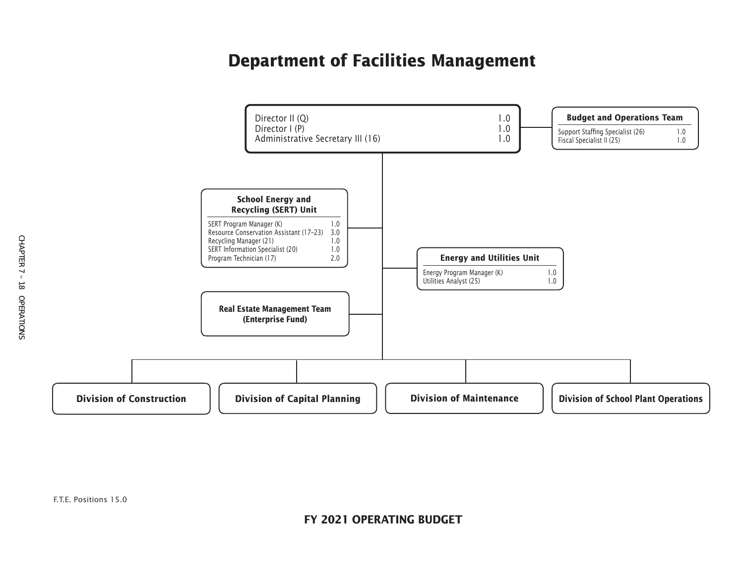# **Department of Facilities Management**

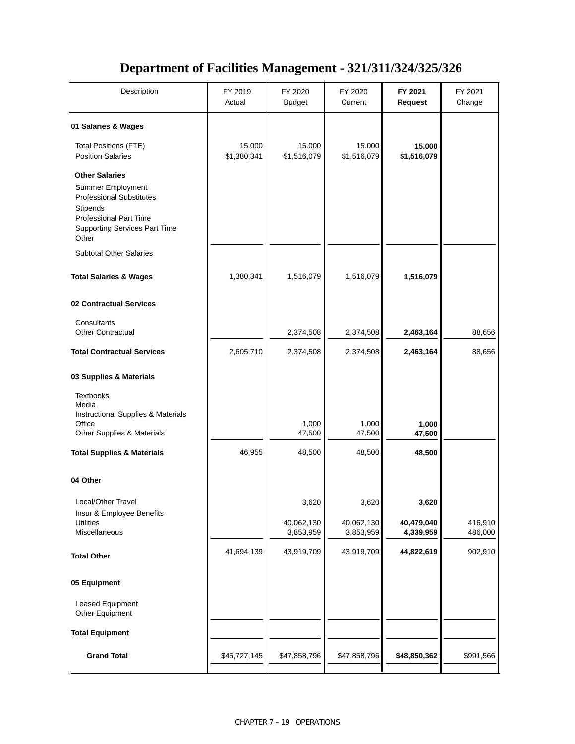### **Department of Facilities Management - 321/311/324/325/326**

| Description                                                                                       | FY 2019<br>Actual     | FY 2020<br><b>Budget</b> | FY 2020<br>Current    | FY 2021<br><b>Request</b> | FY 2021<br>Change |
|---------------------------------------------------------------------------------------------------|-----------------------|--------------------------|-----------------------|---------------------------|-------------------|
| 01 Salaries & Wages                                                                               |                       |                          |                       |                           |                   |
| <b>Total Positions (FTE)</b><br><b>Position Salaries</b>                                          | 15.000<br>\$1,380,341 | 15.000<br>\$1,516,079    | 15.000<br>\$1,516,079 | 15.000<br>\$1,516,079     |                   |
| <b>Other Salaries</b>                                                                             |                       |                          |                       |                           |                   |
| Summer Employment<br><b>Professional Substitutes</b><br>Stipends<br><b>Professional Part Time</b> |                       |                          |                       |                           |                   |
| <b>Supporting Services Part Time</b><br>Other                                                     |                       |                          |                       |                           |                   |
| <b>Subtotal Other Salaries</b>                                                                    |                       |                          |                       |                           |                   |
| <b>Total Salaries &amp; Wages</b>                                                                 | 1,380,341             | 1,516,079                | 1,516,079             | 1,516,079                 |                   |
| 02 Contractual Services                                                                           |                       |                          |                       |                           |                   |
| Consultants<br><b>Other Contractual</b>                                                           |                       | 2,374,508                | 2,374,508             | 2,463,164                 | 88,656            |
| <b>Total Contractual Services</b>                                                                 | 2,605,710             | 2,374,508                | 2,374,508             | 2,463,164                 | 88,656            |
| 03 Supplies & Materials                                                                           |                       |                          |                       |                           |                   |
| <b>Textbooks</b><br>Media<br>Instructional Supplies & Materials                                   |                       |                          |                       |                           |                   |
| Office<br>Other Supplies & Materials                                                              |                       | 1,000<br>47,500          | 1,000<br>47,500       | 1,000<br>47,500           |                   |
| <b>Total Supplies &amp; Materials</b>                                                             | 46,955                | 48,500                   | 48,500                | 48,500                    |                   |
| 04 Other                                                                                          |                       |                          |                       |                           |                   |
| Local/Other Travel                                                                                |                       | 3,620                    | 3,620                 | 3,620                     |                   |
| Insur & Employee Benefits<br><b>Utilities</b>                                                     |                       | 40,062,130               | 40,062,130            | 40,479,040                | 416,910           |
| Miscellaneous                                                                                     |                       | 3,853,959                | 3,853,959             | 4,339,959                 | 486,000           |
| <b>Total Other</b>                                                                                | 41,694,139            | 43,919,709               | 43,919,709            | 44,822,619                | 902,910           |
| 05 Equipment                                                                                      |                       |                          |                       |                           |                   |
| Leased Equipment<br>Other Equipment                                                               |                       |                          |                       |                           |                   |
| <b>Total Equipment</b>                                                                            |                       |                          |                       |                           |                   |
| <b>Grand Total</b>                                                                                | \$45,727,145          | \$47,858,796             | \$47,858,796          | \$48,850,362              | \$991,566         |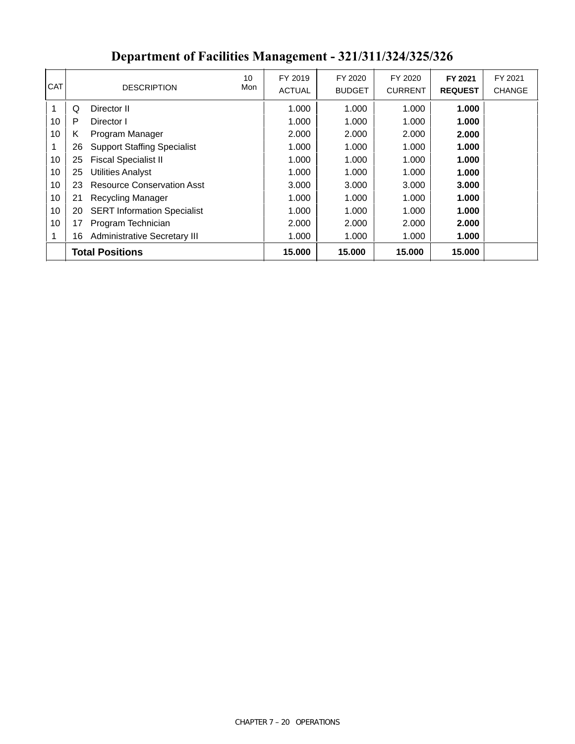|    | <b>DESCRIPTION</b>                  | 10<br>Mon              | FY 2019 | FY 2020       | FY 2020       | FY 2021        | FY 2021<br><b>CHANGE</b> |
|----|-------------------------------------|------------------------|---------|---------------|---------------|----------------|--------------------------|
|    |                                     |                        |         |               |               |                |                          |
| Q  | Director II                         |                        | 1.000   | 1.000         | 1.000         | 1.000          |                          |
| P  | Director I                          |                        | 1.000   | 1.000         | 1.000         | 1.000          |                          |
| K  | Program Manager                     |                        | 2.000   | 2.000         | 2.000         | 2.000          |                          |
| 26 | <b>Support Staffing Specialist</b>  |                        | 1.000   | 1.000         | 1.000         | 1.000          |                          |
| 25 | <b>Fiscal Specialist II</b>         |                        | 1.000   | 1.000         | 1.000         | 1.000          |                          |
| 25 | <b>Utilities Analyst</b>            |                        | 1.000   | 1.000         | 1.000         | 1.000          |                          |
| 23 | <b>Resource Conservation Asst</b>   |                        | 3.000   | 3.000         | 3.000         | 3.000          |                          |
| 21 | Recycling Manager                   |                        | 1.000   | 1.000         | 1.000         | 1.000          |                          |
| 20 | <b>SERT Information Specialist</b>  |                        | 1.000   | 1.000         | 1.000         | 1.000          |                          |
| 17 | Program Technician                  |                        | 2.000   | 2.000         | 2.000         | 2.000          |                          |
| 16 | <b>Administrative Secretary III</b> |                        | 1.000   | 1.000         | 1.000         | 1.000          |                          |
|    |                                     |                        | 15.000  | 15.000        | 15,000        | 15.000         |                          |
|    |                                     | <b>Total Positions</b> |         | <b>ACTUAL</b> | <b>BUDGET</b> | <b>CURRENT</b> | <b>REQUEST</b>           |

# **Department of Facilities Management - 321/311/324/325/326**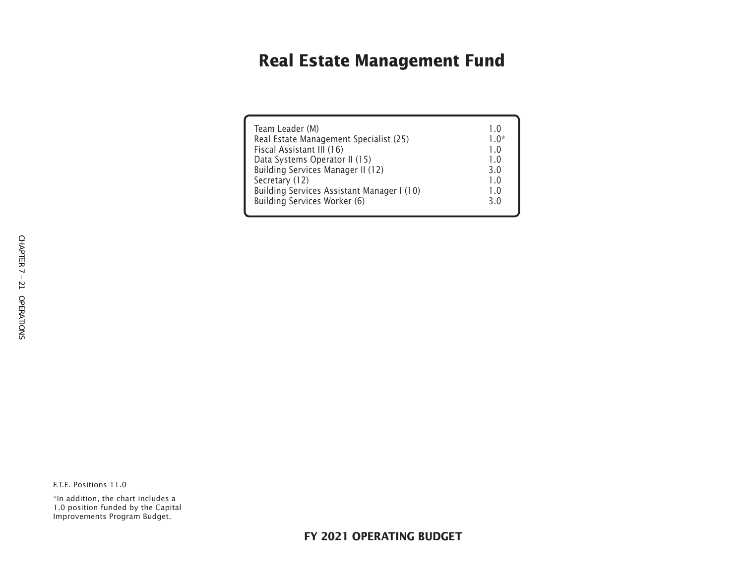# **Real Estate Management Fund**

| Team Leader (M)                            | 10     |
|--------------------------------------------|--------|
| Real Estate Management Specialist (25)     | $1.0*$ |
| Fiscal Assistant III (16)                  | 1.0    |
| Data Systems Operator II (15)              | 1.0    |
| Building Services Manager II (12)          | 3.0    |
| Secretary (12)                             | 1.0    |
| Building Services Assistant Manager I (10) | 1.0    |
| Building Services Worker (6)               | 3.0    |
|                                            |        |

F.T.E. Positions 11.0

\*In addition, the chart includes a 1.0 position funded by the Capital Improvements Program Budget.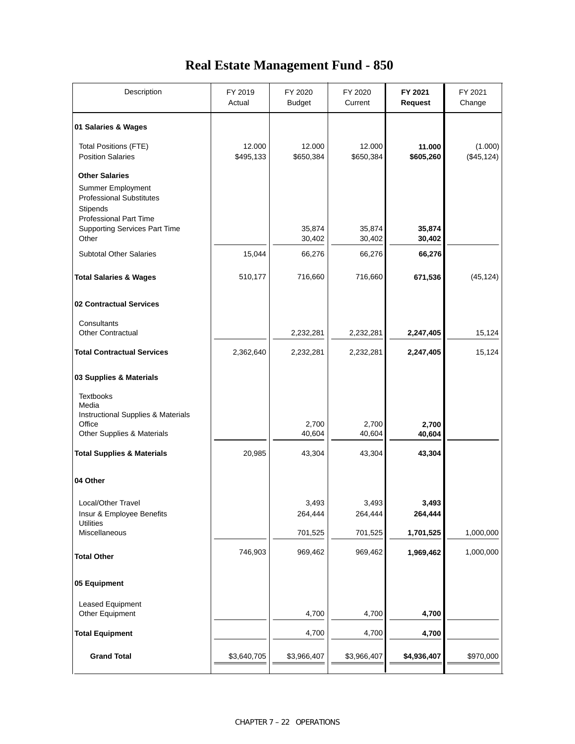### **Real Estate Management Fund - 850**

| Description                                                                                                                | FY 2019<br>Actual   | FY 2020<br><b>Budget</b> | FY 2020<br>Current  | FY 2021<br><b>Request</b> | FY 2021<br>Change      |
|----------------------------------------------------------------------------------------------------------------------------|---------------------|--------------------------|---------------------|---------------------------|------------------------|
| 01 Salaries & Wages                                                                                                        |                     |                          |                     |                           |                        |
| <b>Total Positions (FTE)</b><br><b>Position Salaries</b>                                                                   | 12.000<br>\$495,133 | 12.000<br>\$650,384      | 12.000<br>\$650,384 | 11.000<br>\$605,260       | (1.000)<br>(\$45, 124) |
| <b>Other Salaries</b><br>Summer Employment<br><b>Professional Substitutes</b><br>Stipends<br><b>Professional Part Time</b> |                     |                          |                     |                           |                        |
| <b>Supporting Services Part Time</b><br>Other                                                                              |                     | 35,874<br>30,402         | 35,874<br>30,402    | 35,874<br>30,402          |                        |
| <b>Subtotal Other Salaries</b>                                                                                             | 15,044              | 66,276                   | 66,276              | 66,276                    |                        |
| <b>Total Salaries &amp; Wages</b>                                                                                          | 510,177             | 716,660                  | 716,660             | 671,536                   | (45, 124)              |
| 02 Contractual Services                                                                                                    |                     |                          |                     |                           |                        |
| Consultants<br><b>Other Contractual</b>                                                                                    |                     | 2,232,281                | 2,232,281           | 2,247,405                 | 15,124                 |
| <b>Total Contractual Services</b>                                                                                          | 2,362,640           | 2,232,281                | 2,232,281           | 2,247,405                 | 15,124                 |
| 03 Supplies & Materials                                                                                                    |                     |                          |                     |                           |                        |
| <b>Textbooks</b><br>Media<br>Instructional Supplies & Materials                                                            |                     |                          |                     |                           |                        |
| Office<br>Other Supplies & Materials                                                                                       |                     | 2,700<br>40,604          | 2,700<br>40,604     | 2,700<br>40,604           |                        |
| <b>Total Supplies &amp; Materials</b>                                                                                      | 20,985              | 43,304                   | 43,304              | 43,304                    |                        |
| 04 Other                                                                                                                   |                     |                          |                     |                           |                        |
| Local/Other Travel<br>Insur & Employee Benefits<br><b>Utilities</b>                                                        |                     | 3,493<br>264,444         | 3,493<br>264,444    | 3,493<br>264,444          |                        |
| Miscellaneous                                                                                                              |                     | 701,525                  | 701,525             | 1,701,525                 | 1,000,000              |
| <b>Total Other</b>                                                                                                         | 746,903             | 969,462                  | 969,462             | 1,969,462                 | 1,000,000              |
| 05 Equipment                                                                                                               |                     |                          |                     |                           |                        |
| Leased Equipment<br>Other Equipment                                                                                        |                     | 4,700                    | 4,700               | 4,700                     |                        |
| <b>Total Equipment</b>                                                                                                     |                     | 4,700                    | 4,700               | 4,700                     |                        |
| <b>Grand Total</b>                                                                                                         | \$3,640,705         | \$3,966,407              | \$3,966,407         | \$4,936,407               | \$970,000              |
|                                                                                                                            |                     |                          |                     |                           |                        |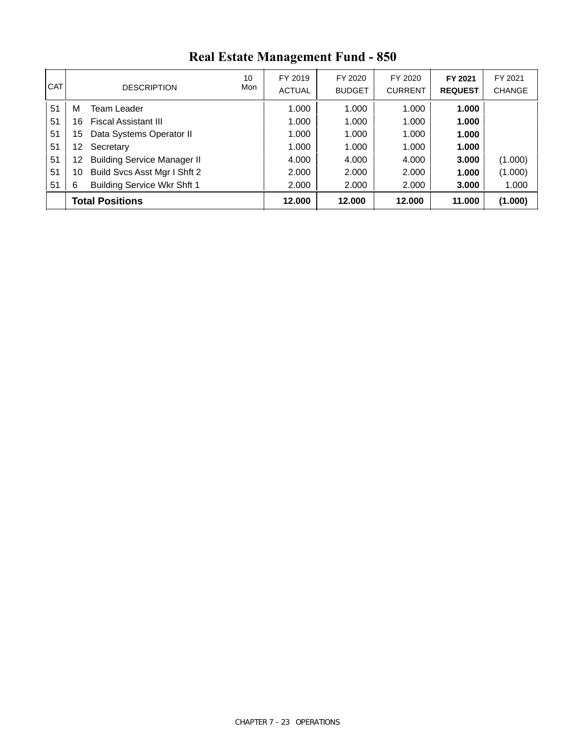| <b>CAT</b> | <b>DESCRIPTION</b>                       | 10<br>Mon | FY 2019<br><b>ACTUAL</b> | FY 2020<br><b>BUDGET</b> | FY 2020<br><b>CURRENT</b> | FY 2021<br><b>REQUEST</b> | FY 2021<br><b>CHANGE</b> |
|------------|------------------------------------------|-----------|--------------------------|--------------------------|---------------------------|---------------------------|--------------------------|
| 51         | Team Leader<br>М                         |           | 1.000                    | 1.000                    | 1.000                     | 1.000                     |                          |
| 51         | <b>Fiscal Assistant III</b><br>16        |           | 1.000                    | 1.000                    | 1.000                     | 1.000                     |                          |
| 51         | Data Systems Operator II<br>15           |           | 1.000                    | 1.000                    | 1.000                     | 1.000                     |                          |
| 51         | Secretary<br>12.                         |           | 1.000                    | 1.000                    | 1.000                     | 1.000                     |                          |
| 51         | <b>Building Service Manager II</b><br>12 |           | 4.000                    | 4.000                    | 4.000                     | 3.000                     | (1.000)                  |
| 51         | Build Svcs Asst Mgr I Shft 2<br>10       |           | 2.000                    | 2.000                    | 2.000                     | 1.000                     | (1.000)                  |
| 51         | <b>Building Service Wkr Shft 1</b><br>6  |           | 2.000                    | 2.000                    | 2.000                     | 3.000                     | 1.000                    |
|            | <b>Total Positions</b>                   |           | 12.000                   | 12,000                   | 12.000                    | 11.000                    | (1.000)                  |

# **Real Estate Management Fund - 850**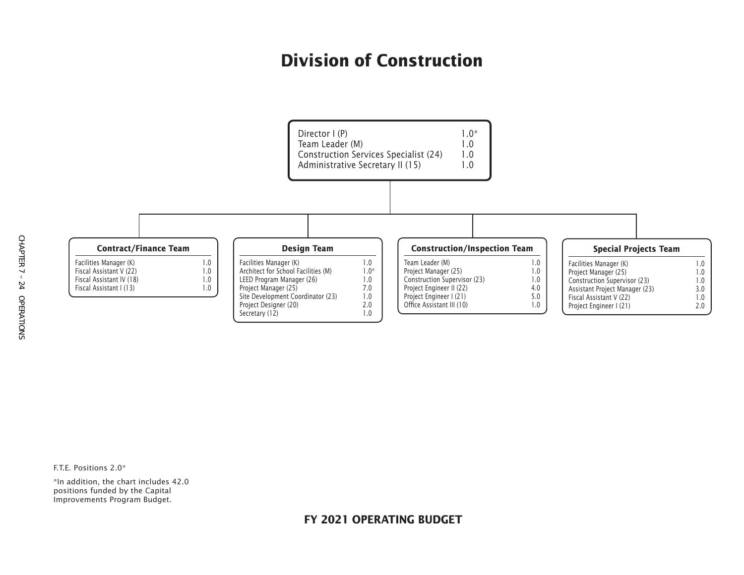# **Division of Construction**



CHAPTER 7 - 24 OPERATIONS CHAPTER 7 – 24 OPERATIONS

F.T.E. Positions 2.0\*

\*In addition, the chart includes 42.0 positions funded by the Capital Improvements Program Budget.

### **FY 2021 OPERATING BUDGET**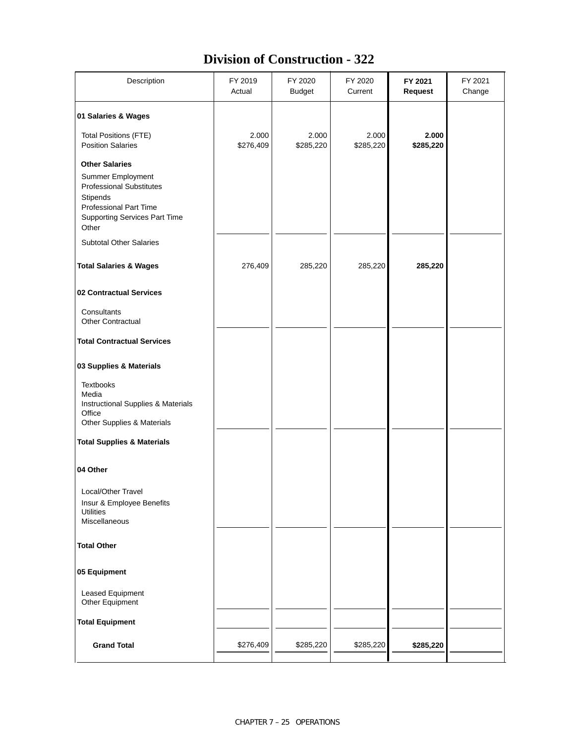### **Division of Construction - 322**

| Description                                                                                                                                                          | FY 2019<br>Actual  | FY 2020<br><b>Budget</b> | FY 2020<br>Current | FY 2021<br>Request | FY 2021<br>Change |
|----------------------------------------------------------------------------------------------------------------------------------------------------------------------|--------------------|--------------------------|--------------------|--------------------|-------------------|
| 01 Salaries & Wages                                                                                                                                                  |                    |                          |                    |                    |                   |
| <b>Total Positions (FTE)</b><br><b>Position Salaries</b>                                                                                                             | 2.000<br>\$276,409 | 2.000<br>\$285,220       | 2.000<br>\$285,220 | 2.000<br>\$285,220 |                   |
| <b>Other Salaries</b><br>Summer Employment<br><b>Professional Substitutes</b><br>Stipends<br>Professional Part Time<br><b>Supporting Services Part Time</b><br>Other |                    |                          |                    |                    |                   |
| <b>Subtotal Other Salaries</b>                                                                                                                                       |                    |                          |                    |                    |                   |
| <b>Total Salaries &amp; Wages</b>                                                                                                                                    | 276,409            | 285,220                  | 285,220            | 285,220            |                   |
| 02 Contractual Services                                                                                                                                              |                    |                          |                    |                    |                   |
| Consultants<br><b>Other Contractual</b>                                                                                                                              |                    |                          |                    |                    |                   |
| <b>Total Contractual Services</b>                                                                                                                                    |                    |                          |                    |                    |                   |
| 03 Supplies & Materials                                                                                                                                              |                    |                          |                    |                    |                   |
| <b>Textbooks</b><br>Media<br>Instructional Supplies & Materials<br>Office<br>Other Supplies & Materials                                                              |                    |                          |                    |                    |                   |
| <b>Total Supplies &amp; Materials</b>                                                                                                                                |                    |                          |                    |                    |                   |
| 04 Other                                                                                                                                                             |                    |                          |                    |                    |                   |
| Local/Other Travel<br>Insur & Employee Benefits<br><b>Utilities</b><br>Miscellaneous                                                                                 |                    |                          |                    |                    |                   |
| <b>Total Other</b>                                                                                                                                                   |                    |                          |                    |                    |                   |
| 05 Equipment                                                                                                                                                         |                    |                          |                    |                    |                   |
| Leased Equipment<br>Other Equipment                                                                                                                                  |                    |                          |                    |                    |                   |
| <b>Total Equipment</b>                                                                                                                                               |                    |                          |                    |                    |                   |
| <b>Grand Total</b>                                                                                                                                                   | \$276,409          | \$285,220                | \$285,220          | \$285,220          |                   |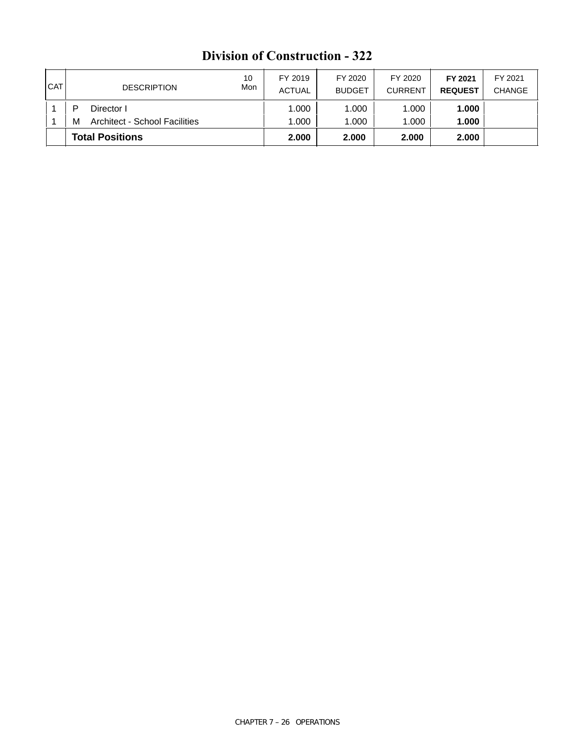|            | <b>Total Positions</b>                    |           | 2.000                    | 2.000                    | 2.000                     | 2.000                     |                          |
|------------|-------------------------------------------|-----------|--------------------------|--------------------------|---------------------------|---------------------------|--------------------------|
|            | <b>Architect - School Facilities</b><br>м |           | 1.000                    | 1.000                    | 1.000                     | 1.000                     |                          |
|            | ▫<br>Director I                           |           | 1.000                    | 1.000                    | 1.000                     | 1.000                     |                          |
| <b>CAT</b> | <b>DESCRIPTION</b>                        | 10<br>Mon | FY 2019<br><b>ACTUAL</b> | FY 2020<br><b>BUDGET</b> | FY 2020<br><b>CURRENT</b> | FY 2021<br><b>REQUEST</b> | FY 2021<br><b>CHANGE</b> |

### **Division of Construction - 322**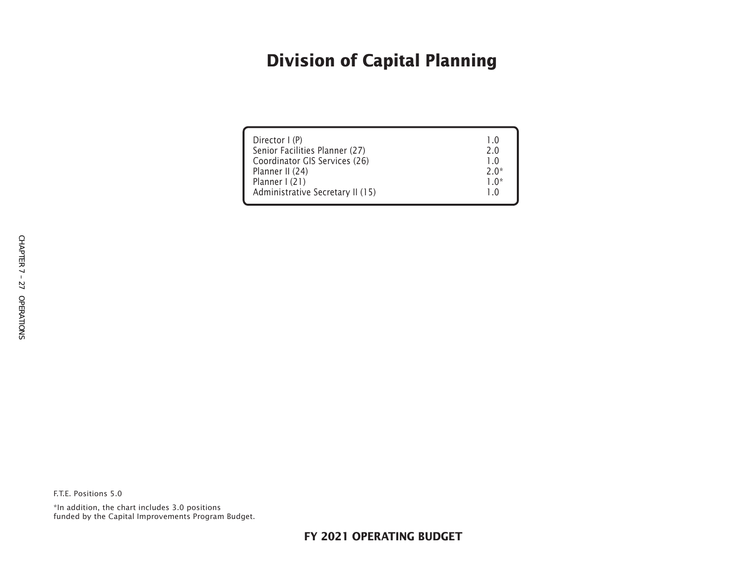# **Division of Capital Planning**

| Director I (P)<br>Senior Facilities Planner (27)<br>Coordinator GIS Services (26)<br>Planner II (24)<br>Planner I (21)<br>Administrative Secretary II (15) | 1 O<br>2 O<br>$2.0*$<br>1 በ* |
|------------------------------------------------------------------------------------------------------------------------------------------------------------|------------------------------|
|------------------------------------------------------------------------------------------------------------------------------------------------------------|------------------------------|

F.T.E. Positions 5.0

\*In addition, the chart includes 3.0 positions funded by the Capital Improvements Program Budget.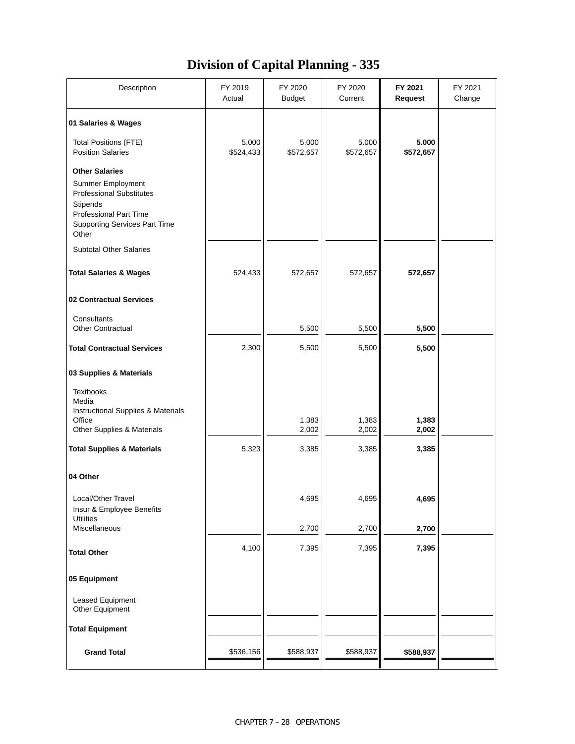### **Division of Capital Planning - 335**

| Description                                                                                                                                                                 | FY 2019<br>Actual  | FY 2020<br><b>Budget</b> | FY 2020<br>Current | FY 2021<br><b>Request</b> | FY 2021<br>Change |
|-----------------------------------------------------------------------------------------------------------------------------------------------------------------------------|--------------------|--------------------------|--------------------|---------------------------|-------------------|
| 01 Salaries & Wages                                                                                                                                                         |                    |                          |                    |                           |                   |
| <b>Total Positions (FTE)</b><br><b>Position Salaries</b>                                                                                                                    | 5.000<br>\$524,433 | 5.000<br>\$572,657       | 5.000<br>\$572,657 | 5.000<br>\$572,657        |                   |
| <b>Other Salaries</b><br>Summer Employment<br><b>Professional Substitutes</b><br>Stipends<br><b>Professional Part Time</b><br><b>Supporting Services Part Time</b><br>Other |                    |                          |                    |                           |                   |
| <b>Subtotal Other Salaries</b>                                                                                                                                              |                    |                          |                    |                           |                   |
| <b>Total Salaries &amp; Wages</b>                                                                                                                                           | 524,433            | 572,657                  | 572,657            | 572,657                   |                   |
| 02 Contractual Services                                                                                                                                                     |                    |                          |                    |                           |                   |
| Consultants<br><b>Other Contractual</b>                                                                                                                                     |                    | 5,500                    | 5,500              | 5,500                     |                   |
| <b>Total Contractual Services</b>                                                                                                                                           | 2,300              | 5,500                    | 5,500              | 5,500                     |                   |
| 03 Supplies & Materials                                                                                                                                                     |                    |                          |                    |                           |                   |
| <b>Textbooks</b><br>Media<br>Instructional Supplies & Materials<br>Office                                                                                                   |                    | 1,383                    | 1,383              | 1,383                     |                   |
| Other Supplies & Materials                                                                                                                                                  |                    | 2,002                    | 2,002              | 2,002                     |                   |
| <b>Total Supplies &amp; Materials</b>                                                                                                                                       | 5,323              | 3,385                    | 3,385              | 3,385                     |                   |
| 04 Other                                                                                                                                                                    |                    |                          |                    |                           |                   |
| Local/Other Travel<br>Insur & Employee Benefits<br><b>Utilities</b>                                                                                                         |                    | 4,695                    | 4,695              | 4,695                     |                   |
| Miscellaneous                                                                                                                                                               |                    | 2,700                    | 2,700              | 2,700                     |                   |
| <b>Total Other</b>                                                                                                                                                          | 4,100              | 7,395                    | 7,395              | 7,395                     |                   |
| 05 Equipment                                                                                                                                                                |                    |                          |                    |                           |                   |
| <b>Leased Equipment</b><br>Other Equipment                                                                                                                                  |                    |                          |                    |                           |                   |
| <b>Total Equipment</b>                                                                                                                                                      |                    |                          |                    |                           |                   |
| <b>Grand Total</b>                                                                                                                                                          | \$536,156          | \$588,937                | \$588,937          | \$588,937                 |                   |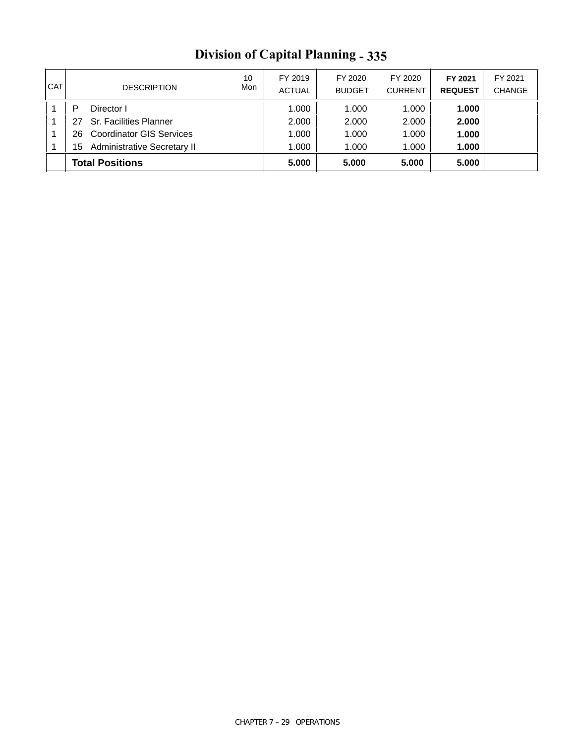| <b>CAT</b> |                        | <b>DESCRIPTION</b>                 | 10<br>Mon | FY 2019<br><b>ACTUAL</b> | FY 2020<br><b>BUDGET</b> | FY 2020<br><b>CURRENT</b> | FY 2021<br><b>REQUEST</b> | FY 2021<br><b>CHANGE</b> |
|------------|------------------------|------------------------------------|-----------|--------------------------|--------------------------|---------------------------|---------------------------|--------------------------|
|            | Director I             |                                    |           | 1.000                    | 1.000                    | 1.000                     | 1.000                     |                          |
|            | 27                     | <b>Sr. Facilities Planner</b>      |           | 2.000                    | 2.000                    | 2.000                     | 2.000                     |                          |
|            | 26.                    | <b>Coordinator GIS Services</b>    |           | 1.000                    | 1.000                    | 1.000                     | 1.000                     |                          |
|            | 15                     | <b>Administrative Secretary II</b> |           | 1.000                    | 1.000                    | 1.000                     | 1.000                     |                          |
|            | <b>Total Positions</b> |                                    |           | 5.000                    | 5.000                    | 5.000                     | 5.000                     |                          |

# **Division of Capital Planning - 335**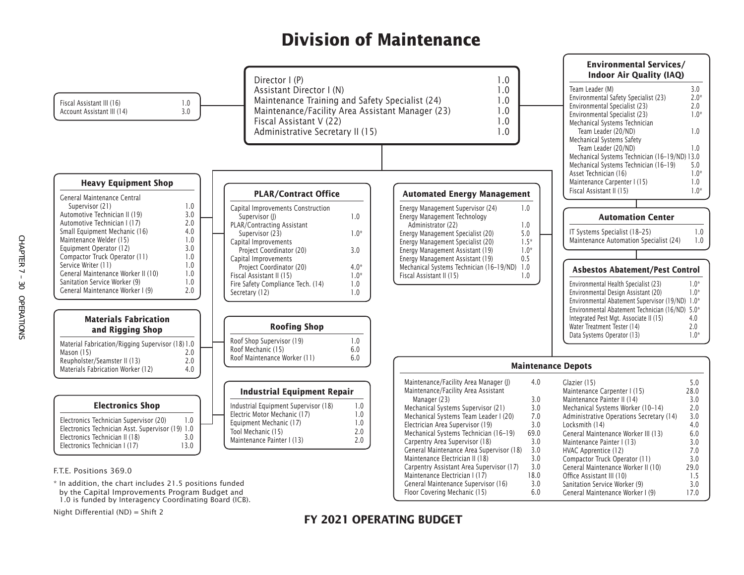# **Division of Maintenance**



by the Capital Improvements Program Budget and 1.0 is funded by Interagency Coordinating Board (ICB).

Night Differential (ND) = Shift 2

### **FY 2021 OPERATING BUDGET**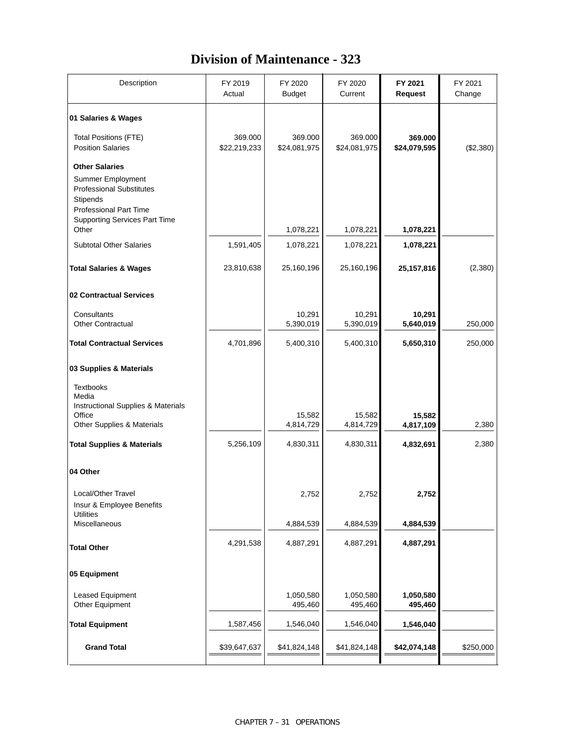### **Division of Maintenance - 323**

| Description                                                                                                                                                        | FY 2019<br>Actual       | FY 2020<br><b>Budget</b> | FY 2020<br>Current      | FY 2021<br><b>Request</b> | FY 2021<br>Change |
|--------------------------------------------------------------------------------------------------------------------------------------------------------------------|-------------------------|--------------------------|-------------------------|---------------------------|-------------------|
| 01 Salaries & Wages                                                                                                                                                |                         |                          |                         |                           |                   |
| <b>Total Positions (FTE)</b><br><b>Position Salaries</b>                                                                                                           | 369.000<br>\$22,219,233 | 369.000<br>\$24,081,975  | 369.000<br>\$24,081,975 | 369.000<br>\$24,079,595   | (\$2,380)         |
| <b>Other Salaries</b><br><b>Summer Employment</b><br><b>Professional Substitutes</b><br>Stipends<br>Professional Part Time<br><b>Supporting Services Part Time</b> |                         |                          |                         |                           |                   |
| Other                                                                                                                                                              |                         | 1,078,221                | 1,078,221               | 1,078,221                 |                   |
| <b>Subtotal Other Salaries</b>                                                                                                                                     | 1,591,405               | 1,078,221                | 1,078,221               | 1,078,221                 |                   |
| <b>Total Salaries &amp; Wages</b>                                                                                                                                  | 23,810,638              | 25,160,196               | 25,160,196              | 25,157,816                | (2, 380)          |
| 02 Contractual Services                                                                                                                                            |                         |                          |                         |                           |                   |
| Consultants<br><b>Other Contractual</b>                                                                                                                            |                         | 10,291<br>5,390,019      | 10,291<br>5,390,019     | 10,291<br>5,640,019       | 250,000           |
| <b>Total Contractual Services</b>                                                                                                                                  | 4,701,896               | 5,400,310                | 5,400,310               | 5,650,310                 | 250,000           |
| 03 Supplies & Materials                                                                                                                                            |                         |                          |                         |                           |                   |
| <b>Textbooks</b><br>Media<br>Instructional Supplies & Materials<br>Office<br>Other Supplies & Materials                                                            |                         | 15,582<br>4,814,729      | 15,582<br>4,814,729     | 15,582<br>4,817,109       | 2,380             |
| <b>Total Supplies &amp; Materials</b>                                                                                                                              | 5,256,109               | 4,830,311                | 4,830,311               | 4,832,691                 | 2,380             |
|                                                                                                                                                                    |                         |                          |                         |                           |                   |
| 04 Other                                                                                                                                                           |                         |                          |                         |                           |                   |
| Local/Other Travel<br>Insur & Employee Benefits<br><b>Utilities</b>                                                                                                |                         | 2,752                    | 2,752                   | 2,752                     |                   |
| Miscellaneous                                                                                                                                                      |                         | 4,884,539                | 4,884,539               | 4,884,539                 |                   |
| <b>Total Other</b>                                                                                                                                                 | 4,291,538               | 4,887,291                | 4,887,291               | 4,887,291                 |                   |
| 05 Equipment                                                                                                                                                       |                         |                          |                         |                           |                   |
| Leased Equipment<br>Other Equipment                                                                                                                                |                         | 1,050,580<br>495,460     | 1,050,580<br>495,460    | 1,050,580<br>495,460      |                   |
| <b>Total Equipment</b>                                                                                                                                             | 1,587,456               | 1,546,040                | 1,546,040               | 1,546,040                 |                   |
| <b>Grand Total</b>                                                                                                                                                 | \$39,647,637            | \$41,824,148             | \$41,824,148            | \$42,074,148              | \$250,000         |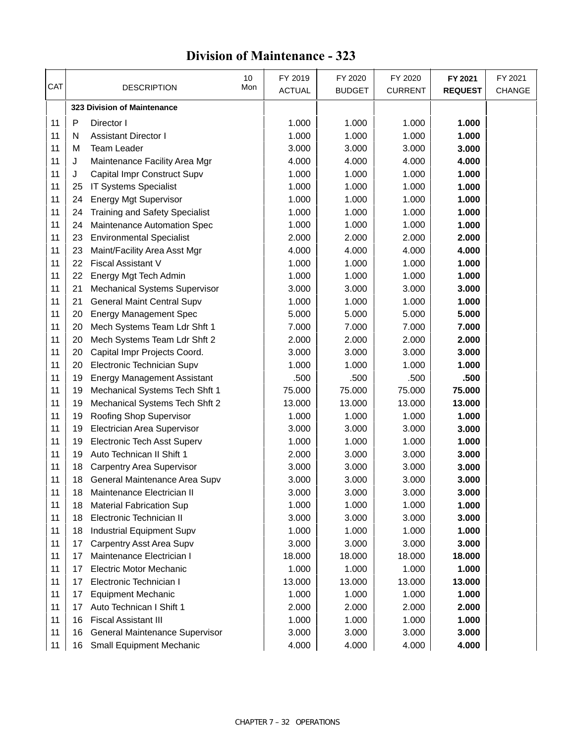### **Division of Maintenance - 323**

| CAT |    | 10<br>Mon<br><b>DESCRIPTION</b>       | FY 2019<br><b>ACTUAL</b> | FY 2020<br><b>BUDGET</b> | FY 2020<br><b>CURRENT</b> | FY 2021<br><b>REQUEST</b> | FY 2021<br><b>CHANGE</b> |
|-----|----|---------------------------------------|--------------------------|--------------------------|---------------------------|---------------------------|--------------------------|
|     |    | 323 Division of Maintenance           |                          |                          |                           |                           |                          |
| 11  | P  | Director I                            | 1.000                    | 1.000                    | 1.000                     | 1.000                     |                          |
| 11  | N  | <b>Assistant Director I</b>           | 1.000                    | 1.000                    | 1.000                     | 1.000                     |                          |
| 11  | м  | <b>Team Leader</b>                    | 3.000                    | 3.000                    | 3.000                     | 3.000                     |                          |
| 11  | J  | Maintenance Facility Area Mgr         | 4.000                    | 4.000                    | 4.000                     | 4.000                     |                          |
| 11  | J  | Capital Impr Construct Supv           | 1.000                    | 1.000                    | 1.000                     | 1.000                     |                          |
| 11  | 25 | <b>IT Systems Specialist</b>          | 1.000                    | 1.000                    | 1.000                     | 1.000                     |                          |
| 11  | 24 | <b>Energy Mgt Supervisor</b>          | 1.000                    | 1.000                    | 1.000                     | 1.000                     |                          |
| 11  | 24 | <b>Training and Safety Specialist</b> | 1.000                    | 1.000                    | 1.000                     | 1.000                     |                          |
| 11  | 24 | Maintenance Automation Spec           | 1.000                    | 1.000                    | 1.000                     | 1.000                     |                          |
| 11  | 23 | <b>Environmental Specialist</b>       | 2.000                    | 2.000                    | 2.000                     | 2.000                     |                          |
| 11  | 23 | Maint/Facility Area Asst Mgr          | 4.000                    | 4.000                    | 4.000                     | 4.000                     |                          |
| 11  | 22 | <b>Fiscal Assistant V</b>             | 1.000                    | 1.000                    | 1.000                     | 1.000                     |                          |
| 11  | 22 | Energy Mgt Tech Admin                 | 1.000                    | 1.000                    | 1.000                     | 1.000                     |                          |
| 11  | 21 | <b>Mechanical Systems Supervisor</b>  | 3.000                    | 3.000                    | 3.000                     | 3.000                     |                          |
| 11  | 21 | <b>General Maint Central Supv</b>     | 1.000                    | 1.000                    | 1.000                     | 1.000                     |                          |
| 11  | 20 | <b>Energy Management Spec</b>         | 5.000                    | 5.000                    | 5.000                     | 5.000                     |                          |
| 11  | 20 | Mech Systems Team Ldr Shft 1          | 7.000                    | 7.000                    | 7.000                     | 7.000                     |                          |
| 11  | 20 | Mech Systems Team Ldr Shft 2          | 2.000                    | 2.000                    | 2.000                     | 2.000                     |                          |
| 11  | 20 | Capital Impr Projects Coord.          | 3.000                    | 3.000                    | 3.000                     | 3.000                     |                          |
| 11  | 20 | Electronic Technician Supv            | 1.000                    | 1.000                    | 1.000                     | 1.000                     |                          |
| 11  | 19 | <b>Energy Management Assistant</b>    | .500                     | .500                     | .500                      | .500                      |                          |
| 11  | 19 | Mechanical Systems Tech Shft 1        | 75.000                   | 75.000                   | 75.000                    | 75.000                    |                          |
| 11  | 19 | Mechanical Systems Tech Shft 2        | 13.000                   | 13.000                   | 13.000                    | 13.000                    |                          |
| 11  | 19 | Roofing Shop Supervisor               | 1.000                    | 1.000                    | 1.000                     | 1.000                     |                          |
| 11  | 19 | Electrician Area Supervisor           | 3.000                    | 3.000                    | 3.000                     | 3.000                     |                          |
| 11  | 19 | Electronic Tech Asst Superv           | 1.000                    | 1.000                    | 1.000                     | 1.000                     |                          |
| 11  | 19 | Auto Technican II Shift 1             | 2.000                    | 3.000                    | 3.000                     | 3.000                     |                          |
| 11  | 18 | <b>Carpentry Area Supervisor</b>      | 3.000                    | 3.000                    | 3.000                     | 3.000                     |                          |
| 11  | 18 | General Maintenance Area Supv         | 3.000                    | 3.000                    | 3.000                     | 3.000                     |                          |
| 11  | 18 | Maintenance Electrician II            | 3.000                    | 3.000                    | 3.000                     | 3.000                     |                          |
| 11  | 18 | <b>Material Fabrication Sup</b>       | 1.000                    | 1.000                    | 1.000                     | 1.000                     |                          |
| 11  | 18 | Electronic Technician II              | 3.000                    | 3.000                    | 3.000                     | 3.000                     |                          |
| 11  | 18 | <b>Industrial Equipment Supv</b>      | 1.000                    | 1.000                    | 1.000                     | 1.000                     |                          |
| 11  | 17 | Carpentry Asst Area Supv              | 3.000                    | 3.000                    | 3.000                     | 3.000                     |                          |
| 11  | 17 | Maintenance Electrician I             | 18.000                   | 18.000                   | 18.000                    | 18.000                    |                          |
| 11  | 17 | <b>Electric Motor Mechanic</b>        | 1.000                    | 1.000                    | 1.000                     | 1.000                     |                          |
| 11  | 17 | Electronic Technician I               | 13.000                   | 13.000                   | 13.000                    | 13.000                    |                          |
| 11  | 17 | <b>Equipment Mechanic</b>             | 1.000                    | 1.000                    | 1.000                     | 1.000                     |                          |
| 11  | 17 | Auto Technican I Shift 1              | 2.000                    | 2.000                    | 2.000                     | 2.000                     |                          |
| 11  | 16 | <b>Fiscal Assistant III</b>           | 1.000                    | 1.000                    | 1.000                     | 1.000                     |                          |
| 11  | 16 | General Maintenance Supervisor        | 3.000                    | 3.000                    | 3.000                     | 3.000                     |                          |
| 11  | 16 | <b>Small Equipment Mechanic</b>       | 4.000                    | 4.000                    | 4.000                     | 4.000                     |                          |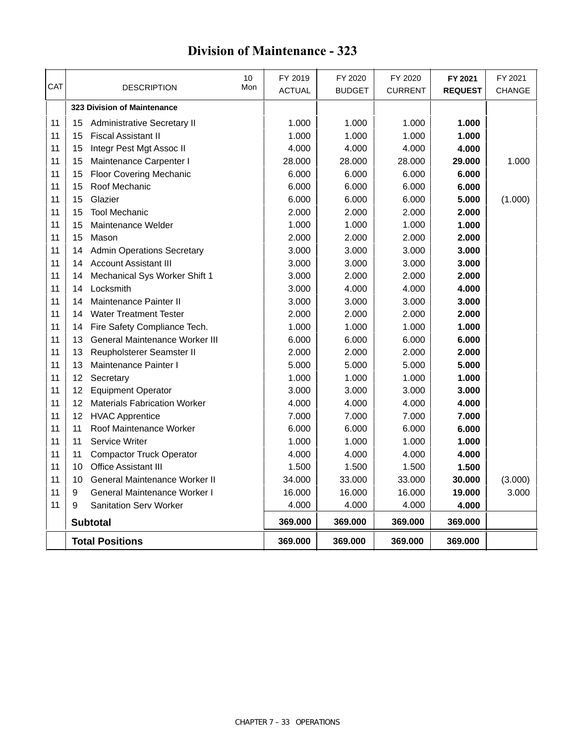#### DESCRIPTION Mon ACTUAL BUDGET CURRENT FY 2020 BUDGET 10 | FY 2019 | FY 2020 Mon FY 2020 CAT | DESCRIPTION Mon | ACTUAL | BUDGET | CURRENT | REQUEST | CHANGE FY 2021 **REQUEST FY 2021 323 Division of Maintenance** 15 Administrative Secretary II 1.000 1.000 1.000 **1.000** 15 Fiscal Assistant II 1.000 1.000 1.000 **1.000** 15 Integr Pest Mgt Assoc II 4.000 4.000 4.000 **4.000** 15 Maintenance Carpenter I 28.000 28.000 28.000 **29.000** 1.000 15 Floor Covering Mechanic 6.000 6.000 6.000 **6.000** 15 Roof Mechanic 6.000 6.000 6.000 **6.000** 15 Glazier 6.000 6.000 6.000 **5.000** (1.000) 15 Tool Mechanic 2.000 2.000 2.000 **2.000** 11 | 15 Maintenance Welder **1.000** | 1.000 | 1.000 | 1.000 **1.000**  15 Mason 2.000 2.000 2.000 **2.000** 14 Admin Operations Secretary 3.000 3.000 3.000 **3.000** 14 Account Assistant III 3.000 3.000 3.000 **3.000** 14 Mechanical Sys Worker Shift 1 3.000 2.000 2.000 **2.000** 14 Locksmith 3.000 4.000 4.000 **4.000** 14 Maintenance Painter II 3.000 3.000 3.000 **3.000** 14 Water Treatment Tester 2.000 2.000 2.000 **2.000** 14 Fire Safety Compliance Tech. 1.000 1.000 1.000 **1.000** 13 General Maintenance Worker III 6.000 6.000 6.000 **6.000** 13 Reupholsterer Seamster II 2.000 2.000 2.000 **2.000** 11 | 13 Maintenance Painter I **12 | 13 | 13 | 13 | 13 | 14 | 15.000** | 15.000 | 15.000 12 Secretary 1.000 1.000 1.000 **1.000** 12 Equipment Operator 3.000 3.000 3.000 **3.000** 11 | 12 Materials Fabrication Worker | 4.000 | 4.000 | 4.000 | 4.000 12 HVAC Apprentice 7.000 7.000 7.000 **7.000** 11 Roof Maintenance Worker 6.000 6.000 6.000 **6.000** 11 Service Writer 1.000 1.000 1.000 **1.000** 11 Compactor Truck Operator 4.000 4.000 4.000 **4.000** 10 Office Assistant III 1.500 1.500 1.500 **1.500** 10 General Maintenance Worker II 34.000 33.000 33.000 **30.000** (3.000) 9 General Maintenance Worker I 16.000 16.000 16.000 **19.000** 3.000 9 Sanitation Serv Worker 4.000 4.000 4.000 **4.000 Subtotal 369.000 369.000 369.000 369.000 Total Positions 369.000 369.000 369.000 369.000**

### **Division of Maintenance - 323**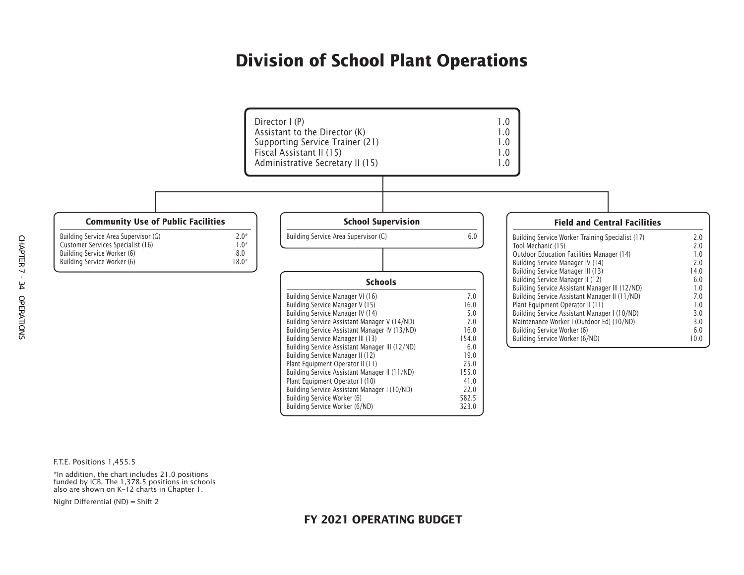### **Division of School Plant Operations**



F.T.E. Positions 1,455.5

\*In addition, the chart includes 21.0 positions funded by ICB. The 1,378.5 positions in schools also are shown on K–12 charts in Chapter 1.

Night Differential (ND) = Shift 2

#### **FY 2021 OPERATING BUDGET**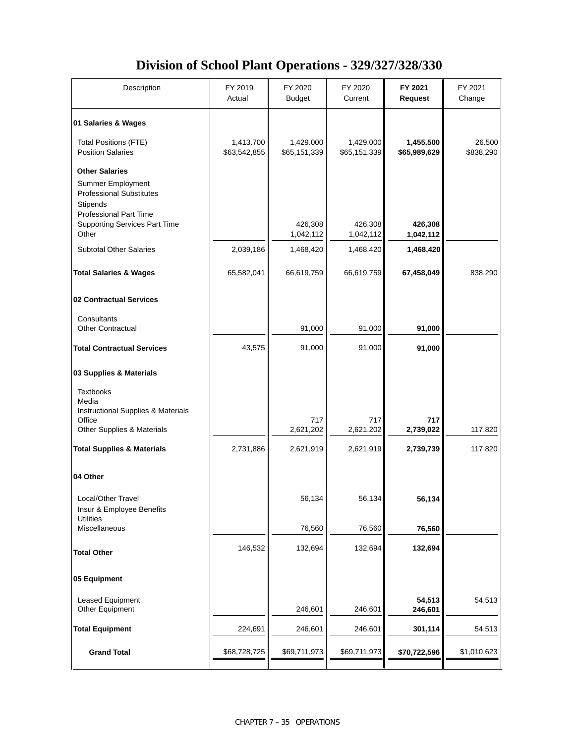### **Division of School Plant Operations - 329/327/328/330**

| Description                                                                                                         | FY 2019<br>Actual         | FY 2020<br><b>Budget</b>  | FY 2020<br>Current        | FY 2021<br><b>Request</b> | FY 2021<br>Change   |
|---------------------------------------------------------------------------------------------------------------------|---------------------------|---------------------------|---------------------------|---------------------------|---------------------|
| 01 Salaries & Wages                                                                                                 |                           |                           |                           |                           |                     |
| <b>Total Positions (FTE)</b><br><b>Position Salaries</b>                                                            | 1,413.700<br>\$63,542,855 | 1,429.000<br>\$65,151,339 | 1,429.000<br>\$65,151,339 | 1,455.500<br>\$65,989,629 | 26.500<br>\$838,290 |
| <b>Other Salaries</b><br>Summer Employment<br><b>Professional Substitutes</b><br>Stipends<br>Professional Part Time |                           |                           |                           |                           |                     |
| <b>Supporting Services Part Time</b><br>Other                                                                       |                           | 426,308<br>1,042,112      | 426,308<br>1,042,112      | 426,308<br>1,042,112      |                     |
| <b>Subtotal Other Salaries</b>                                                                                      | 2,039,186                 | 1,468,420                 | 1,468,420                 | 1,468,420                 |                     |
| <b>Total Salaries &amp; Wages</b>                                                                                   | 65,582,041                | 66,619,759                | 66,619,759                | 67,458,049                | 838,290             |
| 02 Contractual Services                                                                                             |                           |                           |                           |                           |                     |
| Consultants<br><b>Other Contractual</b>                                                                             |                           | 91,000                    | 91,000                    | 91,000                    |                     |
| <b>Total Contractual Services</b>                                                                                   | 43,575                    | 91,000                    | 91,000                    | 91,000                    |                     |
| 03 Supplies & Materials                                                                                             |                           |                           |                           |                           |                     |
| <b>Textbooks</b><br>Media<br>Instructional Supplies & Materials                                                     |                           |                           |                           |                           |                     |
| Office<br>Other Supplies & Materials                                                                                |                           | 717<br>2,621,202          | 717<br>2,621,202          | 717<br>2,739,022          | 117,820             |
| <b>Total Supplies &amp; Materials</b>                                                                               | 2,731,886                 | 2,621,919                 | 2,621,919                 | 2,739,739                 | 117,820             |
| 04 Other                                                                                                            |                           |                           |                           |                           |                     |
| Local/Other Travel<br>Insur & Employee Benefits<br><b>Utilities</b>                                                 |                           | 56,134                    | 56,134                    | 56,134                    |                     |
| Miscellaneous                                                                                                       |                           | 76,560                    | 76,560                    | 76,560                    |                     |
| <b>Total Other</b>                                                                                                  | 146,532                   | 132,694                   | 132,694                   | 132,694                   |                     |
| 05 Equipment                                                                                                        |                           |                           |                           |                           |                     |
| Leased Equipment<br>Other Equipment                                                                                 |                           | 246,601                   | 246,601                   | 54,513<br>246,601         | 54,513              |
| <b>Total Equipment</b>                                                                                              | 224,691                   | 246,601                   | 246,601                   | 301,114                   | 54,513              |
| <b>Grand Total</b>                                                                                                  | \$68,728,725              | \$69,711,973              | \$69,711,973              | \$70,722,596              | \$1,010,623         |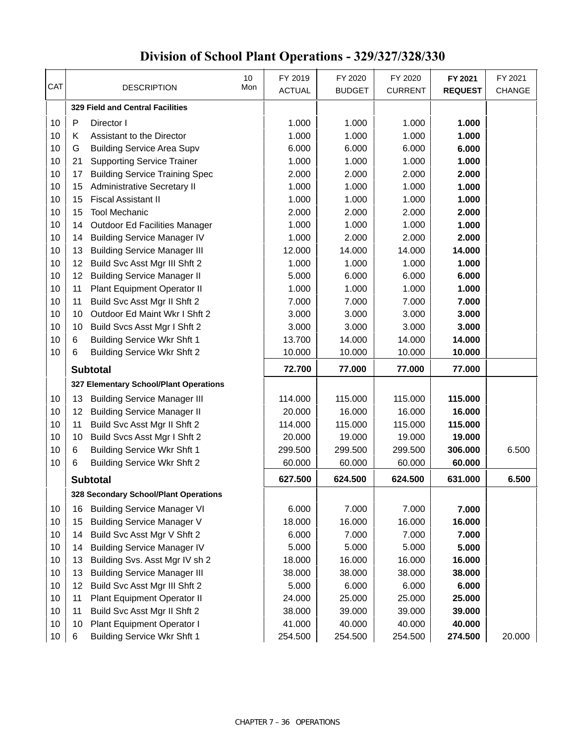|          | 10                                                                                 | FY 2019           | FY 2020           | FY 2020           | FY 2021           | FY 2021       |
|----------|------------------------------------------------------------------------------------|-------------------|-------------------|-------------------|-------------------|---------------|
| CAT      | <b>DESCRIPTION</b><br>Mon                                                          | <b>ACTUAL</b>     | <b>BUDGET</b>     | <b>CURRENT</b>    | <b>REQUEST</b>    | <b>CHANGE</b> |
|          | <b>329 Field and Central Facilities</b>                                            |                   |                   |                   |                   |               |
| 10       | $\mathsf{P}$<br>Director I                                                         | 1.000             | 1.000             | 1.000             | 1.000             |               |
| 10       | Κ<br>Assistant to the Director                                                     | 1.000             | 1.000             | 1.000             | 1.000             |               |
| 10       | G<br><b>Building Service Area Supv</b>                                             | 6.000             | 6.000             | 6.000             | 6.000             |               |
| 10       | 21<br><b>Supporting Service Trainer</b>                                            | 1.000             | 1.000             | 1.000             | 1.000             |               |
| 10       | <b>Building Service Training Spec</b><br>17                                        | 2.000             | 2.000             | 2.000             | 2.000             |               |
| 10       | <b>Administrative Secretary II</b><br>15                                           | 1.000             | 1.000             | 1.000             | 1.000             |               |
| 10       | <b>Fiscal Assistant II</b><br>15                                                   | 1.000             | 1.000             | 1.000             | 1.000             |               |
| 10       | <b>Tool Mechanic</b><br>15                                                         | 2.000             | 2.000             | 2.000             | 2.000             |               |
| 10       | Outdoor Ed Facilities Manager<br>14                                                | 1.000             | 1.000             | 1.000             | 1.000             |               |
| 10       | <b>Building Service Manager IV</b><br>14                                           | 1.000             | 2.000             | 2.000             | 2.000             |               |
| 10       | <b>Building Service Manager III</b><br>13                                          | 12.000            | 14.000            | 14.000            | 14.000            |               |
| 10       | Build Svc Asst Mgr III Shft 2<br>12                                                | 1.000             | 1.000             | 1.000             | 1.000             |               |
| 10       | <b>Building Service Manager II</b><br>12                                           | 5.000             | 6.000             | 6.000             | 6.000             |               |
| 10       | 11<br>Plant Equipment Operator II                                                  | 1.000             | 1.000             | 1.000             | 1.000             |               |
| 10       | 11<br>Build Svc Asst Mgr II Shft 2                                                 | 7.000             | 7.000             | 7.000             | 7.000             |               |
| 10       | Outdoor Ed Maint Wkr I Shft 2<br>10                                                | 3.000             | 3.000             | 3.000             | 3.000             |               |
| 10       | 10<br>Build Svcs Asst Mgr I Shft 2                                                 | 3.000             | 3.000             | 3.000             | 3.000             |               |
| 10       | 6<br><b>Building Service Wkr Shft 1</b>                                            | 13.700            | 14.000            | 14.000            | 14.000            |               |
| 10       | 6<br><b>Building Service Wkr Shft 2</b>                                            | 10.000            | 10.000            | 10.000            | 10.000            |               |
|          |                                                                                    |                   |                   |                   |                   |               |
|          | <b>Subtotal</b>                                                                    | 72.700            | 77.000            | 77.000            | 77.000            |               |
|          |                                                                                    |                   |                   |                   |                   |               |
|          | 327 Elementary School/Plant Operations                                             |                   |                   |                   |                   |               |
| 10       | <b>Building Service Manager III</b><br>13                                          | 114.000           | 115.000           | 115.000           | 115.000           |               |
| 10       | <b>Building Service Manager II</b><br>12                                           | 20.000            | 16.000            | 16.000            | 16.000            |               |
| 10       | 11<br>Build Svc Asst Mgr II Shft 2                                                 | 114.000           | 115.000           | 115.000           | 115.000           |               |
| 10       | 10<br>Build Svcs Asst Mgr I Shft 2                                                 | 20.000<br>299.500 | 19.000            | 19.000            | 19.000            |               |
| 10<br>10 | 6<br><b>Building Service Wkr Shft 1</b><br><b>Building Service Wkr Shft 2</b><br>6 | 60.000            | 299.500<br>60.000 | 299.500<br>60.000 | 306.000<br>60.000 | 6.500         |
|          |                                                                                    |                   |                   |                   |                   |               |
|          | <b>Subtotal</b>                                                                    | 627.500           | 624.500           | 624.500           | 631.000           | 6.500         |
|          | 328 Secondary School/Plant Operations                                              |                   |                   |                   |                   |               |
| 10       | <b>Building Service Manager VI</b><br>16                                           | 6.000             | 7.000             | 7.000             | 7.000             |               |
| 10       | <b>Building Service Manager V</b><br>15                                            | 18.000            | 16.000            | 16.000            | 16.000            |               |
| 10       | Build Svc Asst Mgr V Shft 2<br>14                                                  | 6.000             | 7.000             | 7.000             | 7.000             |               |
| 10       | <b>Building Service Manager IV</b><br>14                                           | 5.000             | 5.000             | 5.000             | 5.000             |               |
| 10       | Building Svs. Asst Mgr IV sh 2<br>13                                               | 18.000            | 16.000            | 16.000            | 16.000            |               |
| 10       | <b>Building Service Manager III</b><br>13                                          | 38.000            | 38.000            | 38.000            | 38.000            |               |
| 10       | Build Svc Asst Mgr III Shft 2<br>12                                                | 5.000             | 6.000             | 6.000             | 6.000             |               |
| 10       | Plant Equipment Operator II<br>11                                                  | 24.000            | 25.000            | 25.000            | 25.000            |               |
| 10       | 11<br>Build Svc Asst Mgr II Shft 2                                                 | 38.000            | 39.000            | 39.000            | 39.000            |               |
| 10<br>10 | Plant Equipment Operator I<br>10<br><b>Building Service Wkr Shft 1</b><br>6        | 41.000<br>254.500 | 40.000<br>254.500 | 40.000<br>254.500 | 40.000<br>274.500 | 20.000        |

# **Division of School Plant Operations - 329/327/328/330**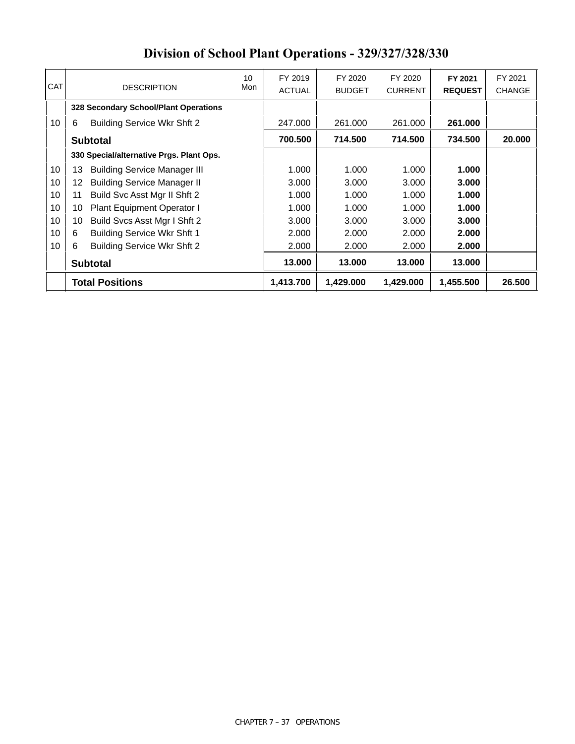|            | <b>Total Positions</b>                    |     | 1,413.700     | 1,429.000     | 1,429.000      | 1,455.500      | 26.500        |
|------------|-------------------------------------------|-----|---------------|---------------|----------------|----------------|---------------|
|            | <b>Subtotal</b>                           |     | 13.000        | 13.000        | 13.000         | 13.000         |               |
| 10         | 6<br><b>Building Service Wkr Shft 2</b>   |     | 2.000         | 2.000         | 2.000          | 2.000          |               |
| 10         | 6<br><b>Building Service Wkr Shft 1</b>   |     | 2.000         | 2.000         | 2.000          | 2.000          |               |
| 10         | Build Svcs Asst Mgr I Shft 2<br>10        |     | 3.000         | 3.000         | 3.000          | 3.000          |               |
| 10         | Plant Equipment Operator I<br>10          |     | 1.000         | 1.000         | 1.000          | 1.000          |               |
| 10         | Build Svc Asst Mgr II Shft 2<br>11        |     | 1.000         | 1.000         | 1.000          | 1.000          |               |
| 10         | <b>Building Service Manager II</b><br>12  |     | 3.000         | 3.000         | 3.000          | 3.000          |               |
| 10         | <b>Building Service Manager III</b><br>13 |     | 1.000         | 1.000         | 1.000          | 1.000          |               |
|            | 330 Special/alternative Prgs. Plant Ops.  |     |               |               |                |                |               |
|            | <b>Subtotal</b>                           |     | 700.500       | 714.500       | 714.500        | 734.500        | 20,000        |
| 10         | 6<br>Building Service Wkr Shft 2          |     | 247.000       | 261.000       | 261.000        | 261.000        |               |
|            | 328 Secondary School/Plant Operations     |     |               |               |                |                |               |
| <b>CAT</b> | <b>DESCRIPTION</b>                        | Mon | <b>ACTUAL</b> | <b>BUDGET</b> | <b>CURRENT</b> | <b>REQUEST</b> | <b>CHANGE</b> |
|            |                                           | 10  | FY 2019       | FY 2020       | FY 2020        | FY 2021        | FY 2021       |
|            |                                           |     |               |               |                |                |               |

### **Division of School Plant Operations - 329/327/328/330**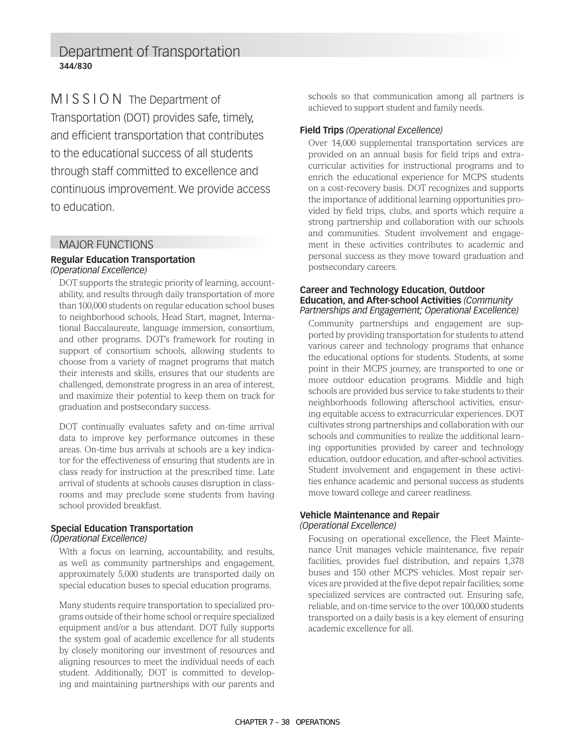### Department of Transportation **344/830**

MISSION The Department of Transportation (DOT) provides safe, timely, and efficient transportation that contributes to the educational success of all students through staff committed to excellence and continuous improvement. We provide access to education.

#### MAJOR FUNCTIONS

#### **Regular Education Transportation**  *(Operational Excellence)*

DOT supports the strategic priority of learning, accountability, and results through daily transportation of more than 100,000 students on regular education school buses to neighborhood schools, Head Start, magnet, International Baccalaureate, language immersion, consortium, and other programs. DOT's framework for routing in support of consortium schools, allowing students to choose from a variety of magnet programs that match their interests and skills, ensures that our students are challenged, demonstrate progress in an area of interest, and maximize their potential to keep them on track for graduation and postsecondary success.

DOT continually evaluates safety and on-time arrival data to improve key performance outcomes in these areas. On-time bus arrivals at schools are a key indicator for the effectiveness of ensuring that students are in class ready for instruction at the prescribed time. Late arrival of students at schools causes disruption in classrooms and may preclude some students from having school provided breakfast.

#### **Special Education Transportation**

#### *(Operational Excellence)*

With a focus on learning, accountability, and results, as well as community partnerships and engagement, approximately 5,000 students are transported daily on special education buses to special education programs.

Many students require transportation to specialized programs outside of their home school or require specialized equipment and/or a bus attendant. DOT fully supports the system goal of academic excellence for all students by closely monitoring our investment of resources and aligning resources to meet the individual needs of each student. Additionally, DOT is committed to developing and maintaining partnerships with our parents and

schools so that communication among all partners is achieved to support student and family needs.

#### **Field Trips** *(Operational Excellence)*

Over 14,000 supplemental transportation services are provided on an annual basis for field trips and extracurricular activities for instructional programs and to enrich the educational experience for MCPS students on a cost-recovery basis. DOT recognizes and supports the importance of additional learning opportunities provided by field trips, clubs, and sports which require a strong partnership and collaboration with our schools and communities. Student involvement and engagement in these activities contributes to academic and personal success as they move toward graduation and postsecondary careers.

#### **Career and Technology Education, Outdoor Education, and After-school Activities** *(Community Partnerships and Engagement; Operational Excellence)*

Community partnerships and engagement are supported by providing transportation for students to attend various career and technology programs that enhance the educational options for students. Students, at some point in their MCPS journey, are transported to one or more outdoor education programs. Middle and high schools are provided bus service to take students to their neighborhoods following afterschool activities, ensuring equitable access to extracurricular experiences. DOT cultivates strong partnerships and collaboration with our schools and communities to realize the additional learning opportunities provided by career and technology education, outdoor education, and after-school activities. Student involvement and engagement in these activities enhance academic and personal success as students move toward college and career readiness.

#### **Vehicle Maintenance and Repair**  *(Operational Excellence)*

Focusing on operational excellence, the Fleet Maintenance Unit manages vehicle maintenance, five repair facilities, provides fuel distribution, and repairs 1,378 buses and 150 other MCPS vehicles. Most repair services are provided at the five depot repair facilities; some specialized services are contracted out. Ensuring safe, reliable, and on-time service to the over 100,000 students transported on a daily basis is a key element of ensuring academic excellence for all.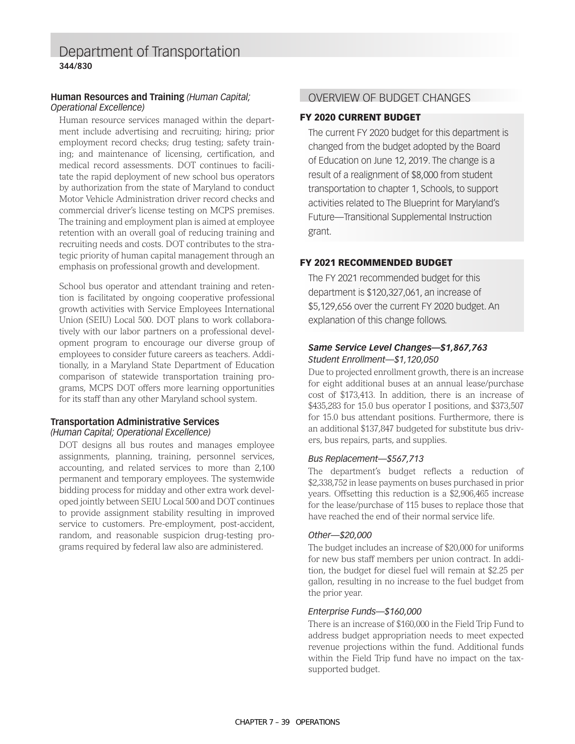#### **Human Resources and Training** *(Human Capital; Operational Excellence)*

Human resource services managed within the department include advertising and recruiting; hiring; prior employment record checks; drug testing; safety training; and maintenance of licensing, certification, and medical record assessments. DOT continues to facilitate the rapid deployment of new school bus operators by authorization from the state of Maryland to conduct Motor Vehicle Administration driver record checks and commercial driver's license testing on MCPS premises. The training and employment plan is aimed at employee retention with an overall goal of reducing training and recruiting needs and costs. DOT contributes to the strategic priority of human capital management through an emphasis on professional growth and development.

School bus operator and attendant training and retention is facilitated by ongoing cooperative professional growth activities with Service Employees International Union (SEIU) Local 500. DOT plans to work collaboratively with our labor partners on a professional development program to encourage our diverse group of employees to consider future careers as teachers. Additionally, in a Maryland State Department of Education comparison of statewide transportation training programs, MCPS DOT offers more learning opportunities for its staff than any other Maryland school system.

#### **Transportation Administrative Services**  *(Human Capital; Operational Excellence)*

DOT designs all bus routes and manages employee assignments, planning, training, personnel services, accounting, and related services to more than 2,100 permanent and temporary employees. The systemwide bidding process for midday and other extra work developed jointly between SEIU Local 500 and DOT continues to provide assignment stability resulting in improved service to customers. Pre-employment, post-accident, random, and reasonable suspicion drug-testing programs required by federal law also are administered.

#### OVERVIEW OF BUDGET CHANGES

#### FY 2020 CURRENT BUDGET

The current FY 2020 budget for this department is changed from the budget adopted by the Board of Education on June 12, 2019. The change is a result of a realignment of \$8,000 from student transportation to chapter 1, Schools, to support activities related to The Blueprint for Maryland's Future—Transitional Supplemental Instruction grant.

#### FY 2021 RECOMMENDED BUDGET

The FY 2021 recommended budget for this department is \$120,327,061, an increase of \$5,129,656 over the current FY 2020 budget. An explanation of this change follows.

#### *Same Service Level Changes—\$1,867,763 Student Enrollment—\$1,120,050*

Due to projected enrollment growth, there is an increase for eight additional buses at an annual lease/purchase cost of \$173,413. In addition, there is an increase of \$435,283 for 15.0 bus operator I positions, and \$373,507 for 15.0 bus attendant positions. Furthermore, there is an additional \$137,847 budgeted for substitute bus drivers, bus repairs, parts, and supplies.

#### *Bus Replacement—\$567,713*

The department's budget reflects a reduction of \$2,338,752 in lease payments on buses purchased in prior years. Offsetting this reduction is a \$2,906,465 increase for the lease/purchase of 115 buses to replace those that have reached the end of their normal service life.

#### *Other—\$20,000*

The budget includes an increase of \$20,000 for uniforms for new bus staff members per union contract. In addition, the budget for diesel fuel will remain at \$2.25 per gallon, resulting in no increase to the fuel budget from the prior year.

#### *Enterprise Funds—\$160,000*

There is an increase of \$160,000 in the Field Trip Fund to address budget appropriation needs to meet expected revenue projections within the fund. Additional funds within the Field Trip fund have no impact on the taxsupported budget.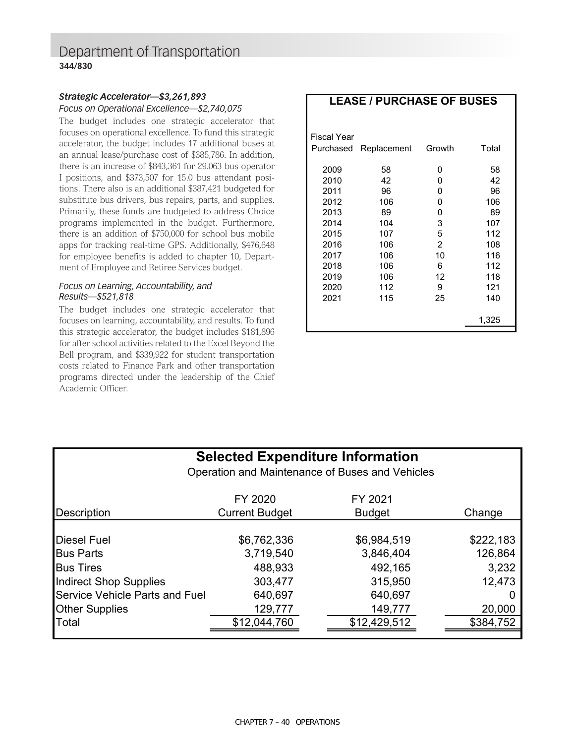### Department of Transportation **344/830**

#### *Strategic Accelerator—\$3,261,893 Focus on Operational Excellence—\$2,740,075*

The budget includes one strategic accelerator that focuses on operational excellence. To fund this strategic accelerator, the budget includes 17 additional buses at an annual lease/purchase cost of \$385,786. In addition, there is an increase of \$843,361 for 29.063 bus operator I positions, and \$373,507 for 15.0 bus attendant positions. There also is an additional \$387,421 budgeted for substitute bus drivers, bus repairs, parts, and supplies. Primarily, these funds are budgeted to address Choice programs implemented in the budget. Furthermore, there is an addition of \$750,000 for school bus mobile apps for tracking real-time GPS. Additionally, \$476,648 for employee benefits is added to chapter 10, Department of Employee and Retiree Services budget.

#### *Focus on Learning, Accountability, and Results—\$521,818*

The budget includes one strategic accelerator that focuses on learning, accountability, and results. To fund this strategic accelerator, the budget includes \$181,896 for after school activities related to the Excel Beyond the Bell program, and \$339,922 for student transportation costs related to Finance Park and other transportation programs directed under the leadership of the Chief Academic Officer.

| Fiscal Year |             |        |       |
|-------------|-------------|--------|-------|
| Purchased   | Replacement | Growth | Total |
|             |             |        |       |
| 2009        | 58          | O      | 58    |
| 2010        | 42          | 0      | 42    |
| 2011        | 96          | 0      | 96    |
| 2012        | 106         | 0      | 106   |
| 2013        | 89          | 0      | 89    |
| 2014        | 104         | 3      | 107   |
| 2015        | 107         | 5      | 112   |
| 2016        | 106         | 2      | 108   |
| 2017        | 106         | 10     | 116   |
| 2018        | 106         | 6      | 112   |
| 2019        | 106         | 12     | 118   |
| 2020        | 112         | 9      | 121   |
| 2021        | 115         | 25     | 140   |
|             |             |        |       |
|             |             |        | 1,325 |

| <b>Selected Expenditure Information</b><br>Operation and Maintenance of Buses and Vehicles |                                                |                                         |  |  |  |  |  |  |  |
|--------------------------------------------------------------------------------------------|------------------------------------------------|-----------------------------------------|--|--|--|--|--|--|--|
| FY 2020<br>FY 2021                                                                         |                                                |                                         |  |  |  |  |  |  |  |
|                                                                                            |                                                | Change                                  |  |  |  |  |  |  |  |
| \$6,762,336<br>3,719,540<br>488,933<br>303,477                                             | \$6,984,519<br>3,846,404<br>492,165<br>315,950 | \$222,183<br>126,864<br>3,232<br>12,473 |  |  |  |  |  |  |  |
| 640,697                                                                                    | 640,697                                        |                                         |  |  |  |  |  |  |  |
| Service Vehicle Parts and Fuel<br><b>Other Supplies</b><br>129,777<br>149,777              |                                                |                                         |  |  |  |  |  |  |  |
| \$12,044,760                                                                               | \$12,429,512                                   | \$384,752                               |  |  |  |  |  |  |  |
|                                                                                            | <b>Current Budget</b>                          | <b>Budget</b>                           |  |  |  |  |  |  |  |

### **LEASE / PURCHASE OF BUSES**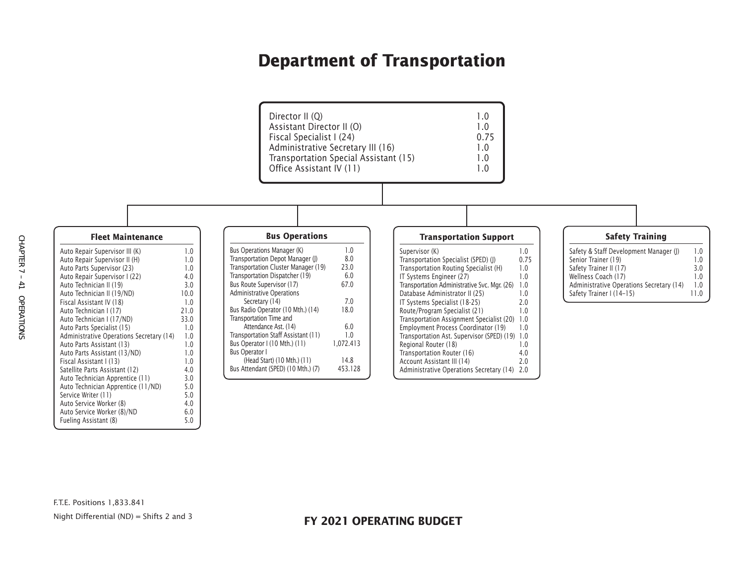### **Department of Transportation**



F.T.E. Positions 1,833.841 Night Differential (ND) = Shifts 2 and 3

Auto Service Worker (8)/ND 6.0 Fueling Assistant (8) 5.0

Auto Service Worker (8)

#### **FY 2021 OPERATING BUDGET**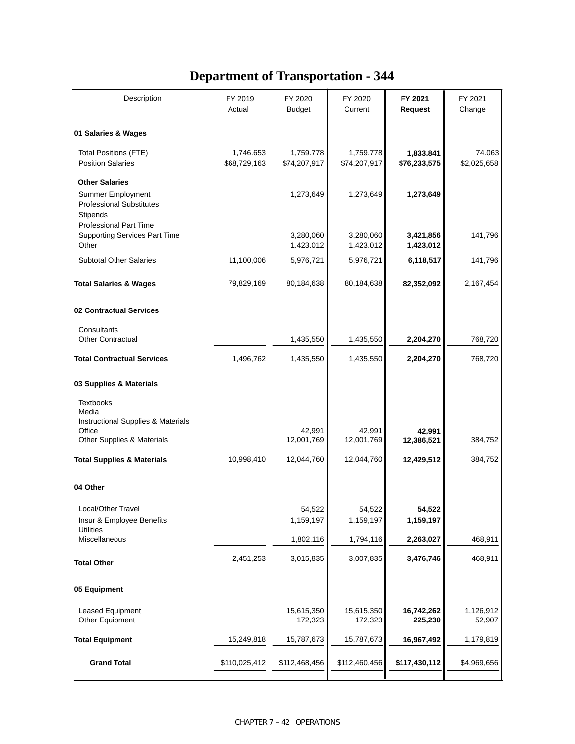# **Department of Transportation - 344**

| Description                                                                                      | FY 2019<br>Actual         | FY 2020<br><b>Budget</b>  | FY 2020<br>Current        | FY 2021<br>Request        | FY 2021<br>Change     |
|--------------------------------------------------------------------------------------------------|---------------------------|---------------------------|---------------------------|---------------------------|-----------------------|
| 01 Salaries & Wages                                                                              |                           |                           |                           |                           |                       |
| <b>Total Positions (FTE)</b><br><b>Position Salaries</b>                                         | 1,746.653<br>\$68,729,163 | 1,759.778<br>\$74,207,917 | 1,759.778<br>\$74,207,917 | 1,833.841<br>\$76,233,575 | 74.063<br>\$2,025,658 |
| <b>Other Salaries</b><br><b>Summer Employment</b><br><b>Professional Substitutes</b><br>Stipends |                           | 1,273,649                 | 1,273,649                 | 1,273,649                 |                       |
| <b>Professional Part Time</b><br><b>Supporting Services Part Time</b><br>Other                   |                           | 3,280,060<br>1,423,012    | 3,280,060<br>1,423,012    | 3,421,856<br>1,423,012    | 141,796               |
| <b>Subtotal Other Salaries</b>                                                                   | 11,100,006                | 5,976,721                 | 5,976,721                 | 6,118,517                 | 141,796               |
| <b>Total Salaries &amp; Wages</b>                                                                | 79,829,169                | 80,184,638                | 80,184,638                | 82,352,092                | 2,167,454             |
| 02 Contractual Services                                                                          |                           |                           |                           |                           |                       |
| Consultants<br><b>Other Contractual</b>                                                          |                           | 1,435,550                 | 1,435,550                 | 2,204,270                 | 768,720               |
| <b>Total Contractual Services</b>                                                                | 1,496,762                 | 1,435,550                 | 1,435,550                 | 2,204,270                 | 768,720               |
| 03 Supplies & Materials                                                                          |                           |                           |                           |                           |                       |
| <b>Textbooks</b><br>Media<br>Instructional Supplies & Materials                                  |                           |                           |                           |                           |                       |
| Office<br>Other Supplies & Materials                                                             |                           | 42,991<br>12,001,769      | 42,991<br>12,001,769      | 42,991<br>12,386,521      | 384,752               |
| <b>Total Supplies &amp; Materials</b>                                                            | 10,998,410                | 12,044,760                | 12,044,760                | 12,429,512                | 384,752               |
| 04 Other                                                                                         |                           |                           |                           |                           |                       |
| Local/Other Travel<br>Insur & Employee Benefits<br><b>Utilities</b>                              |                           | 54,522<br>1,159,197       | 54,522<br>1,159,197       | 54,5ZZ<br>1,159,197       |                       |
| Miscellaneous                                                                                    |                           | 1,802,116                 | 1,794,116                 | 2,263,027                 | 468,911               |
| <b>Total Other</b>                                                                               | 2,451,253                 | 3,015,835                 | 3,007,835                 | 3,476,746                 | 468,911               |
| 05 Equipment                                                                                     |                           |                           |                           |                           |                       |
| Leased Equipment<br>Other Equipment                                                              |                           | 15,615,350<br>172,323     | 15,615,350<br>172,323     | 16,742,262<br>225,230     | 1,126,912<br>52,907   |
| <b>Total Equipment</b>                                                                           | 15,249,818                | 15,787,673                | 15,787,673                | 16,967,492                | 1,179,819             |
| <b>Grand Total</b>                                                                               | \$110,025,412             | \$112,468,456             | \$112,460,456             | \$117,430,112             | \$4,969,656           |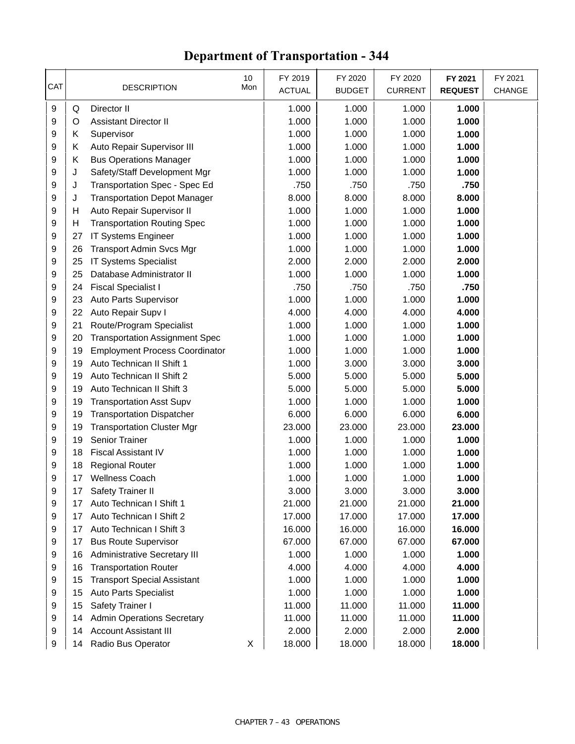# **Department of Transportation - 344**

| CAT |                 | <b>DESCRIPTION</b>                    | 10<br>Mon | FY 2019<br><b>ACTUAL</b> | FY 2020<br><b>BUDGET</b> | FY 2020<br><b>CURRENT</b> | FY 2021<br><b>REQUEST</b> | FY 2021<br>CHANGE |
|-----|-----------------|---------------------------------------|-----------|--------------------------|--------------------------|---------------------------|---------------------------|-------------------|
| 9   | Q               | Director II                           |           | 1.000                    | 1.000                    | 1.000                     | 1.000                     |                   |
| 9   | O               | <b>Assistant Director II</b>          |           | 1.000                    | 1.000                    | 1.000                     | 1.000                     |                   |
| 9   | Κ               | Supervisor                            |           | 1.000                    | 1.000                    | 1.000                     | 1.000                     |                   |
| 9   | Κ               | Auto Repair Supervisor III            |           | 1.000                    | 1.000                    | 1.000                     | 1.000                     |                   |
| 9   | Κ               | <b>Bus Operations Manager</b>         |           | 1.000                    | 1.000                    | 1.000                     | 1.000                     |                   |
| 9   | J               | Safety/Staff Development Mgr          |           | 1.000                    | 1.000                    | 1.000                     | 1.000                     |                   |
| 9   | J               | Transportation Spec - Spec Ed         |           | .750                     | .750                     | .750                      | .750                      |                   |
| 9   | J               | <b>Transportation Depot Manager</b>   |           | 8.000                    | 8.000                    | 8.000                     | 8.000                     |                   |
| 9   | н               | Auto Repair Supervisor II             |           | 1.000                    | 1.000                    | 1.000                     | 1.000                     |                   |
| 9   | н               | <b>Transportation Routing Spec</b>    |           | 1.000                    | 1.000                    | 1.000                     | 1.000                     |                   |
| 9   | 27              | IT Systems Engineer                   |           | 1.000                    | 1.000                    | 1.000                     | 1.000                     |                   |
| 9   | 26              | <b>Transport Admin Svcs Mgr</b>       |           | 1.000                    | 1.000                    | 1.000                     | 1.000                     |                   |
| 9   | 25              | IT Systems Specialist                 |           | 2.000                    | 2.000                    | 2.000                     | 2.000                     |                   |
| 9   | 25              | Database Administrator II             |           | 1.000                    | 1.000                    | 1.000                     | 1.000                     |                   |
| 9   | 24              | <b>Fiscal Specialist I</b>            |           | .750                     | .750                     | .750                      | .750                      |                   |
| 9   | 23              | Auto Parts Supervisor                 |           | 1.000                    | 1.000                    | 1.000                     | 1.000                     |                   |
| 9   | 22              | Auto Repair Supv I                    |           | 4.000                    | 4.000                    | 4.000                     | 4.000                     |                   |
| 9   | 21              | Route/Program Specialist              |           | 1.000                    | 1.000                    | 1.000                     | 1.000                     |                   |
| 9   | 20              | <b>Transportation Assignment Spec</b> |           | 1.000                    | 1.000                    | 1.000                     | 1.000                     |                   |
| 9   | 19              | <b>Employment Process Coordinator</b> |           | 1.000                    | 1.000                    | 1.000                     | 1.000                     |                   |
| 9   | 19              | Auto Technican II Shift 1             |           | 1.000                    | 3.000                    | 3.000                     | 3.000                     |                   |
| 9   | 19              | Auto Technican II Shift 2             |           | 5.000                    | 5.000                    | 5.000                     | 5.000                     |                   |
| 9   | 19              | Auto Technican II Shift 3             |           | 5.000                    | 5.000                    | 5.000                     | 5.000                     |                   |
| 9   | 19              | <b>Transportation Asst Supv</b>       |           | 1.000                    | 1.000                    | 1.000                     | 1.000                     |                   |
| 9   | 19              | <b>Transportation Dispatcher</b>      |           | 6.000                    | 6.000                    | 6.000                     | 6.000                     |                   |
| 9   | 19              | <b>Transportation Cluster Mgr</b>     |           | 23.000                   | 23.000                   | 23.000                    | 23.000                    |                   |
| 9   | 19              | Senior Trainer                        |           | 1.000                    | 1.000                    | 1.000                     | 1.000                     |                   |
| 9   | 18              | <b>Fiscal Assistant IV</b>            |           | 1.000                    | 1.000                    | 1.000                     | 1.000                     |                   |
| 9   | 18              | <b>Regional Router</b>                |           | 1.000                    | 1.000                    | 1.000                     | 1.000                     |                   |
| 9   | 17              | <b>Wellness Coach</b>                 |           | 1.000                    | 1.000                    | 1.000                     | 1.000                     |                   |
| 9   | 17 <sub>1</sub> | Safety Trainer II                     |           | 3.000                    | 3.000                    | 3.000                     | 3.000                     |                   |
| 9   | 17              | Auto Technican I Shift 1              |           | 21.000                   | 21.000                   | 21.000                    | 21.000                    |                   |
| 9   | 17              | Auto Technican I Shift 2              |           | 17.000                   | 17.000                   | 17.000                    | 17.000                    |                   |
| 9   | 17              | Auto Technican I Shift 3              |           | 16.000                   | 16.000                   | 16.000                    | 16.000                    |                   |
| 9   | 17              | <b>Bus Route Supervisor</b>           |           | 67.000                   | 67.000                   | 67.000                    | 67.000                    |                   |
| 9   | 16              | <b>Administrative Secretary III</b>   |           | 1.000                    | 1.000                    | 1.000                     | 1.000                     |                   |
| 9   | 16              | <b>Transportation Router</b>          |           | 4.000                    | 4.000                    | 4.000                     | 4.000                     |                   |
| 9   | 15              | <b>Transport Special Assistant</b>    |           | 1.000                    | 1.000                    | 1.000                     | 1.000                     |                   |
| 9   | 15              | <b>Auto Parts Specialist</b>          |           | 1.000                    | 1.000                    | 1.000                     | 1.000                     |                   |
| 9   | 15              | Safety Trainer I                      |           | 11.000                   | 11.000                   | 11.000                    | 11.000                    |                   |
| 9   | 14              | <b>Admin Operations Secretary</b>     |           | 11.000                   | 11.000                   | 11.000                    | 11.000                    |                   |
| 9   | 14              | <b>Account Assistant III</b>          |           | 2.000                    | 2.000                    | 2.000                     | 2.000                     |                   |
| 9   | 14              | Radio Bus Operator                    | X         | 18.000                   | 18.000                   | 18.000                    | 18.000                    |                   |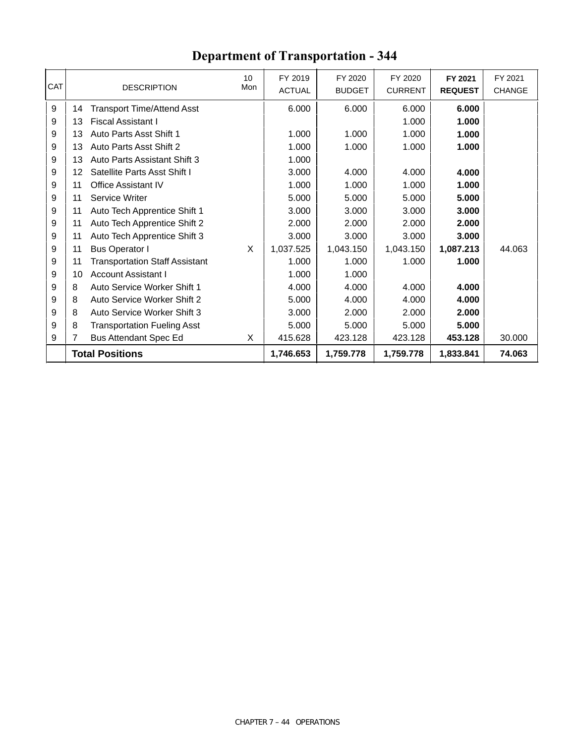| <b>CAT</b> |    | <b>DESCRIPTION</b>                    | 10<br>Mon | FY 2019<br><b>ACTUAL</b> | FY 2020<br><b>BUDGET</b> | FY 2020<br><b>CURRENT</b> | FY 2021<br><b>REQUEST</b> | FY 2021<br><b>CHANGE</b> |
|------------|----|---------------------------------------|-----------|--------------------------|--------------------------|---------------------------|---------------------------|--------------------------|
| 9          | 14 | <b>Transport Time/Attend Asst</b>     |           | 6.000                    | 6.000                    | 6.000                     | 6.000                     |                          |
| 9          | 13 | <b>Fiscal Assistant I</b>             |           |                          |                          | 1.000                     | 1.000                     |                          |
| 9          | 13 | Auto Parts Asst Shift 1               |           | 1.000                    | 1.000                    | 1.000                     | 1.000                     |                          |
| 9          | 13 | Auto Parts Asst Shift 2               |           | 1.000                    | 1.000                    | 1.000                     | 1.000                     |                          |
| 9          | 13 | Auto Parts Assistant Shift 3          |           | 1.000                    |                          |                           |                           |                          |
| 9          | 12 | Satellite Parts Asst Shift I          |           | 3.000                    | 4.000                    | 4.000                     | 4.000                     |                          |
| 9          | 11 | Office Assistant IV                   |           | 1.000                    | 1.000                    | 1.000                     | 1.000                     |                          |
| 9          | 11 | Service Writer                        |           | 5.000                    | 5.000                    | 5.000                     | 5.000                     |                          |
| 9          | 11 | Auto Tech Apprentice Shift 1          |           | 3.000                    | 3.000                    | 3.000                     | 3.000                     |                          |
| 9          | 11 | Auto Tech Apprentice Shift 2          |           | 2.000                    | 2.000                    | 2.000                     | 2.000                     |                          |
| 9          | 11 | Auto Tech Apprentice Shift 3          |           | 3.000                    | 3.000                    | 3.000                     | 3.000                     |                          |
| 9          | 11 | <b>Bus Operator I</b>                 | X         | 1,037.525                | 1,043.150                | 1,043.150                 | 1,087.213                 | 44.063                   |
| 9          | 11 | <b>Transportation Staff Assistant</b> |           | 1.000                    | 1.000                    | 1.000                     | 1.000                     |                          |
| 9          | 10 | <b>Account Assistant I</b>            |           | 1.000                    | 1.000                    |                           |                           |                          |
| 9          | 8  | Auto Service Worker Shift 1           |           | 4.000                    | 4.000                    | 4.000                     | 4.000                     |                          |
| 9          | 8  | Auto Service Worker Shift 2           |           | 5.000                    | 4.000                    | 4.000                     | 4.000                     |                          |
| 9          | 8  | Auto Service Worker Shift 3           |           | 3.000                    | 2.000                    | 2.000                     | 2.000                     |                          |
| 9          | 8  | <b>Transportation Fueling Asst</b>    |           | 5.000                    | 5.000                    | 5.000                     | 5.000                     |                          |
| 9          | 7  | <b>Bus Attendant Spec Ed</b>          | X         | 415.628                  | 423.128                  | 423.128                   | 453.128                   | 30.000                   |
|            |    | <b>Total Positions</b>                |           | 1,746.653                | 1,759.778                | 1,759.778                 | 1,833.841                 | 74.063                   |

### **Department of Transportation - 344**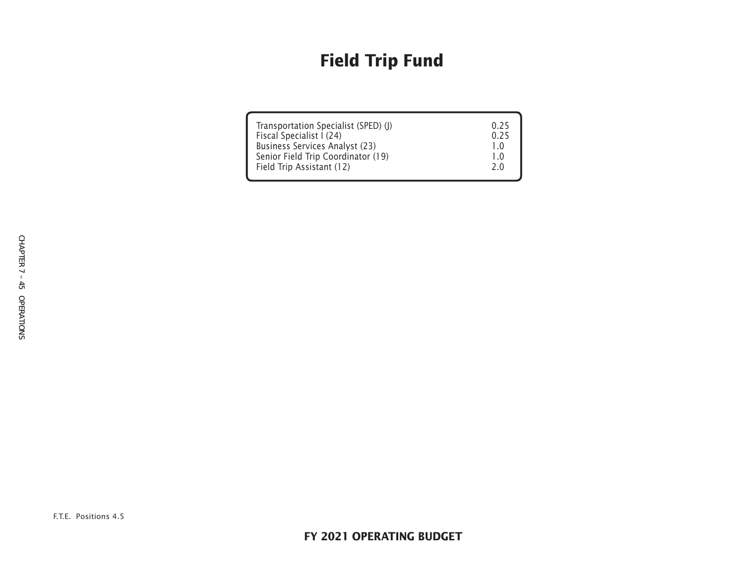# **Field Trip Fund**

| Transportation Specialist (SPED) (J)  | 0.25 |
|---------------------------------------|------|
| Fiscal Specialist I (24)              | 0.25 |
| <b>Business Services Analyst (23)</b> |      |
| Senior Field Trip Coordinator (19)    | 1.0  |
| Field Trip Assistant (12)             | 2.0  |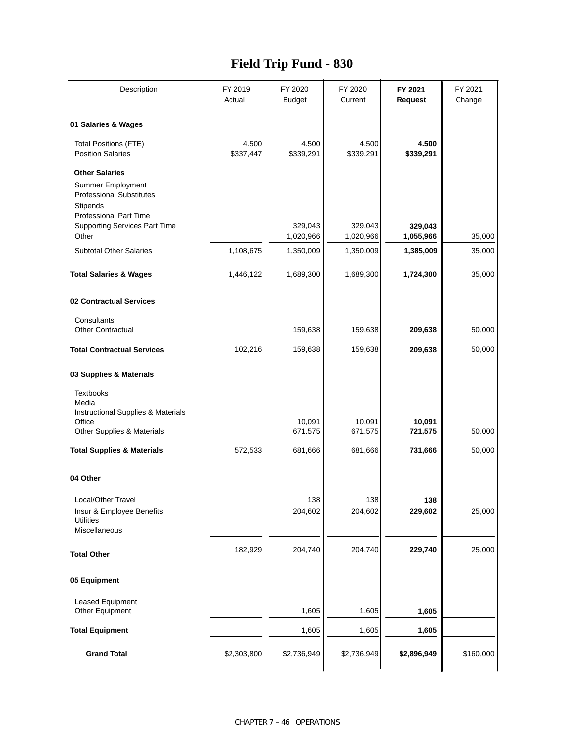### **Field Trip Fund - 830**

| Description                                                                                                                | FY 2019<br>Actual  | FY 2020<br><b>Budget</b> | FY 2020<br>Current   | FY 2021<br><b>Request</b> | FY 2021<br>Change |
|----------------------------------------------------------------------------------------------------------------------------|--------------------|--------------------------|----------------------|---------------------------|-------------------|
| 01 Salaries & Wages                                                                                                        |                    |                          |                      |                           |                   |
| <b>Total Positions (FTE)</b><br><b>Position Salaries</b>                                                                   | 4.500<br>\$337,447 | 4.500<br>\$339,291       | 4.500<br>\$339,291   | 4.500<br>\$339,291        |                   |
| <b>Other Salaries</b><br>Summer Employment<br><b>Professional Substitutes</b><br>Stipends<br><b>Professional Part Time</b> |                    |                          |                      |                           |                   |
| <b>Supporting Services Part Time</b><br>Other                                                                              |                    | 329,043<br>1,020,966     | 329,043<br>1,020,966 | 329,043<br>1,055,966      | 35,000            |
| <b>Subtotal Other Salaries</b>                                                                                             | 1,108,675          | 1,350,009                | 1,350,009            | 1,385,009                 | 35,000            |
| <b>Total Salaries &amp; Wages</b>                                                                                          | 1,446,122          | 1,689,300                | 1,689,300            | 1,724,300                 | 35,000            |
| 02 Contractual Services                                                                                                    |                    |                          |                      |                           |                   |
| Consultants<br><b>Other Contractual</b>                                                                                    |                    | 159,638                  | 159,638              | 209,638                   | 50,000            |
| <b>Total Contractual Services</b>                                                                                          | 102,216            | 159,638                  | 159,638              | 209,638                   | 50,000            |
| 03 Supplies & Materials                                                                                                    |                    |                          |                      |                           |                   |
| <b>Textbooks</b><br>Media<br>Instructional Supplies & Materials                                                            |                    |                          |                      |                           |                   |
| Office<br>Other Supplies & Materials                                                                                       |                    | 10,091<br>671,575        | 10,091<br>671,575    | 10,091<br>721,575         | 50,000            |
| <b>Total Supplies &amp; Materials</b>                                                                                      | 572,533            | 681,666                  | 681,666              | 731,666                   | 50,000            |
| 04 Other                                                                                                                   |                    |                          |                      |                           |                   |
| Local/Other Travel<br>Insur & Employee Benefits<br><b>Utilities</b><br>Miscellaneous                                       |                    | 138<br>204,602           | 138<br>204,602       | 138<br>229,602            | 25,000            |
| <b>Total Other</b>                                                                                                         | 182,929            | 204,740                  | 204,740              | 229,740                   | 25,000            |
| 05 Equipment                                                                                                               |                    |                          |                      |                           |                   |
| Leased Equipment<br>Other Equipment                                                                                        |                    | 1,605                    | 1,605                | 1,605                     |                   |
| <b>Total Equipment</b>                                                                                                     |                    | 1,605                    | 1,605                | 1,605                     |                   |
| <b>Grand Total</b>                                                                                                         | \$2,303,800        | \$2,736,949              | \$2,736,949          | \$2,896,949               | \$160,000         |
|                                                                                                                            |                    |                          |                      |                           |                   |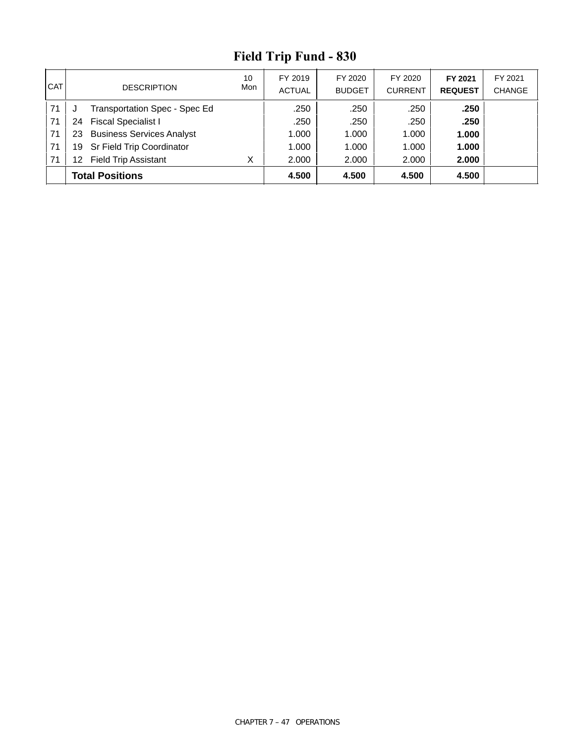# **Field Trip Fund - 830**

| <b>CAT</b> | <b>DESCRIPTION</b>                     | 10<br>Mon | FY 2019<br><b>ACTUAL</b> | FY 2020<br><b>BUDGET</b> | FY 2020<br><b>CURRENT</b> | FY 2021<br><b>REQUEST</b> | FY 2021<br><b>CHANGE</b> |
|------------|----------------------------------------|-----------|--------------------------|--------------------------|---------------------------|---------------------------|--------------------------|
| 71         | Transportation Spec - Spec Ed          |           | .250                     | .250                     | .250                      | .250                      |                          |
| 71         | <b>Fiscal Specialist I</b><br>24       |           | .250                     | .250                     | .250                      | .250                      |                          |
| 71         | <b>Business Services Analyst</b><br>23 |           | 1.000                    | 1.000                    | 1.000                     | 1.000                     |                          |
| 71         | Sr Field Trip Coordinator<br>19        |           | 1.000                    | 1.000                    | 1.000                     | 1.000                     |                          |
| 71         | <b>Field Trip Assistant</b><br>12      |           | 2.000                    | 2.000                    | 2.000                     | 2.000                     |                          |
|            | <b>Total Positions</b>                 |           | 4.500                    | 4.500                    | 4.500                     | 4.500                     |                          |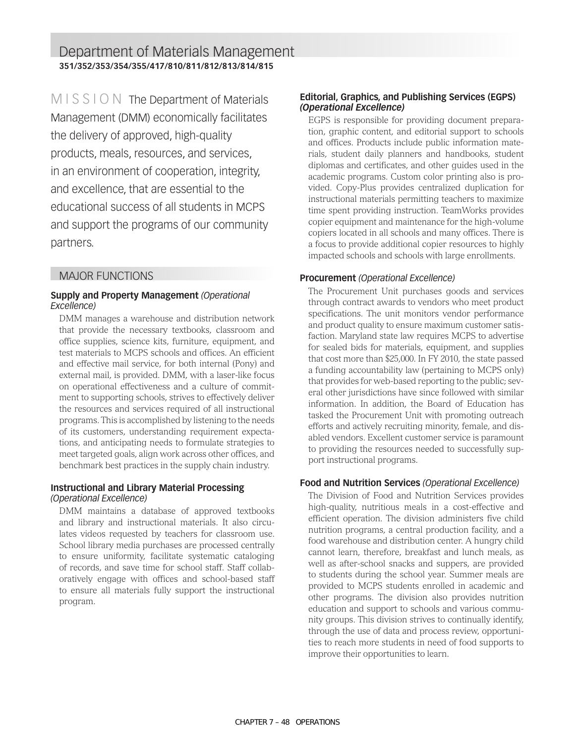Department of Materials Management **351/352/353/354/355/417/810/811/812/813/814/815**

 $MISSTON$  The Department of Materials Management (DMM) economically facilitates the delivery of approved, high-quality products, meals, resources, and services, in an environment of cooperation, integrity, and excellence, that are essential to the educational success of all students in MCPS and support the programs of our community partners.

#### MAJOR FUNCTIONS

#### **Supply and Property Management** *(Operational Excellence)*

DMM manages a warehouse and distribution network that provide the necessary textbooks, classroom and office supplies, science kits, furniture, equipment, and test materials to MCPS schools and offices. An efficient and effective mail service, for both internal (Pony) and external mail, is provided. DMM, with a laser-like focus on operational effectiveness and a culture of commitment to supporting schools, strives to effectively deliver the resources and services required of all instructional programs. This is accomplished by listening to the needs of its customers, understanding requirement expectations, and anticipating needs to formulate strategies to meet targeted goals, align work across other offices, and benchmark best practices in the supply chain industry.

#### **Instructional and Library Material Processing**  *(Operational Excellence)*

DMM maintains a database of approved textbooks and library and instructional materials. It also circulates videos requested by teachers for classroom use. School library media purchases are processed centrally to ensure uniformity, facilitate systematic cataloging of records, and save time for school staff. Staff collaboratively engage with offices and school-based staff to ensure all materials fully support the instructional program.

#### **Editorial, Graphics, and Publishing Services (EGPS)**  *(Operational Excellence)*

EGPS is responsible for providing document preparation, graphic content, and editorial support to schools and offices. Products include public information materials, student daily planners and handbooks, student diplomas and certificates, and other guides used in the academic programs. Custom color printing also is provided. Copy-Plus provides centralized duplication for instructional materials permitting teachers to maximize time spent providing instruction. TeamWorks provides copier equipment and maintenance for the high-volume copiers located in all schools and many offices. There is a focus to provide additional copier resources to highly impacted schools and schools with large enrollments.

#### **Procurement** *(Operational Excellence)*

The Procurement Unit purchases goods and services through contract awards to vendors who meet product specifications. The unit monitors vendor performance and product quality to ensure maximum customer satisfaction. Maryland state law requires MCPS to advertise for sealed bids for materials, equipment, and supplies that cost more than \$25,000. In FY 2010, the state passed a funding accountability law (pertaining to MCPS only) that provides for web-based reporting to the public; several other jurisdictions have since followed with similar information. In addition, the Board of Education has tasked the Procurement Unit with promoting outreach efforts and actively recruiting minority, female, and disabled vendors. Excellent customer service is paramount to providing the resources needed to successfully support instructional programs.

#### **Food and Nutrition Services** *(Operational Excellence)*

The Division of Food and Nutrition Services provides high-quality, nutritious meals in a cost-effective and efficient operation. The division administers five child nutrition programs, a central production facility, and a food warehouse and distribution center. A hungry child cannot learn, therefore, breakfast and lunch meals, as well as after-school snacks and suppers, are provided to students during the school year. Summer meals are provided to MCPS students enrolled in academic and other programs. The division also provides nutrition education and support to schools and various community groups. This division strives to continually identify, through the use of data and process review, opportunities to reach more students in need of food supports to improve their opportunities to learn.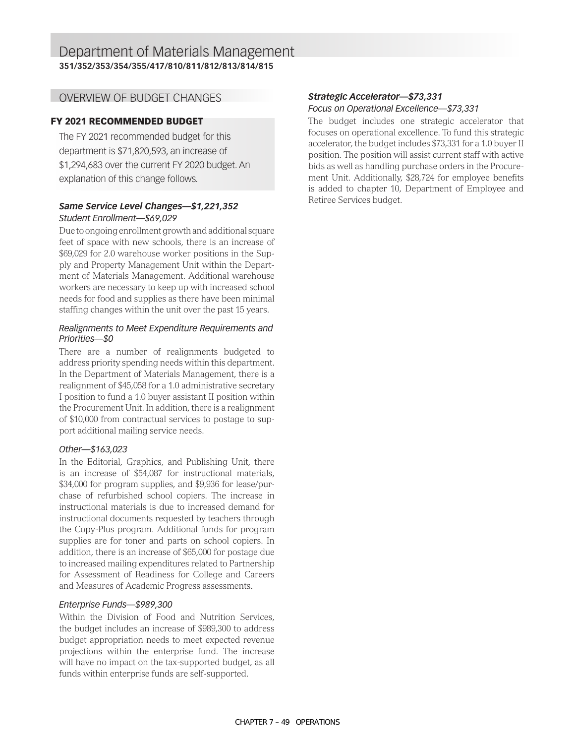#### OVERVIEW OF BUDGET CHANGES

#### FY 2021 RECOMMENDED BUDGET

The FY 2021 recommended budget for this department is \$71,820,593, an increase of \$1,294,683 over the current FY 2020 budget. An explanation of this change follows.

#### *Same Service Level Changes—\$1,221,352 Student Enrollment—\$69,029*

Due to ongoing enrollment growth and additional square feet of space with new schools, there is an increase of \$69,029 for 2.0 warehouse worker positions in the Supply and Property Management Unit within the Department of Materials Management. Additional warehouse workers are necessary to keep up with increased school needs for food and supplies as there have been minimal staffing changes within the unit over the past 15 years.

#### *Realignments to Meet Expenditure Requirements and Priorities—\$0*

There are a number of realignments budgeted to address priority spending needs within this department. In the Department of Materials Management, there is a realignment of \$45,058 for a 1.0 administrative secretary I position to fund a 1.0 buyer assistant II position within the Procurement Unit. In addition, there is a realignment of \$10,000 from contractual services to postage to support additional mailing service needs.

#### *Other—\$163,023*

In the Editorial, Graphics, and Publishing Unit, there is an increase of \$54,087 for instructional materials, \$34,000 for program supplies, and \$9,936 for lease/purchase of refurbished school copiers. The increase in instructional materials is due to increased demand for instructional documents requested by teachers through the Copy-Plus program. Additional funds for program supplies are for toner and parts on school copiers. In addition, there is an increase of \$65,000 for postage due to increased mailing expenditures related to Partnership for Assessment of Readiness for College and Careers and Measures of Academic Progress assessments.

#### *Enterprise Funds—\$989,300*

Within the Division of Food and Nutrition Services, the budget includes an increase of \$989,300 to address budget appropriation needs to meet expected revenue projections within the enterprise fund. The increase will have no impact on the tax-supported budget, as all funds within enterprise funds are self-supported.

#### *Strategic Accelerator—\$73,331 Focus on Operational Excellence—\$73,331*

The budget includes one strategic accelerator that focuses on operational excellence. To fund this strategic accelerator, the budget includes \$73,331 for a 1.0 buyer II position. The position will assist current staff with active bids as well as handling purchase orders in the Procurement Unit. Additionally, \$28,724 for employee benefits is added to chapter 10, Department of Employee and Retiree Services budget.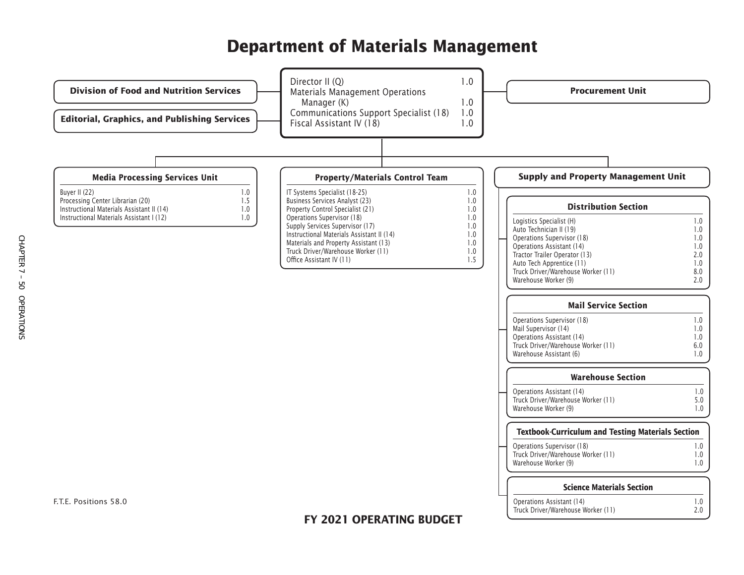# **Department of Materials Management**

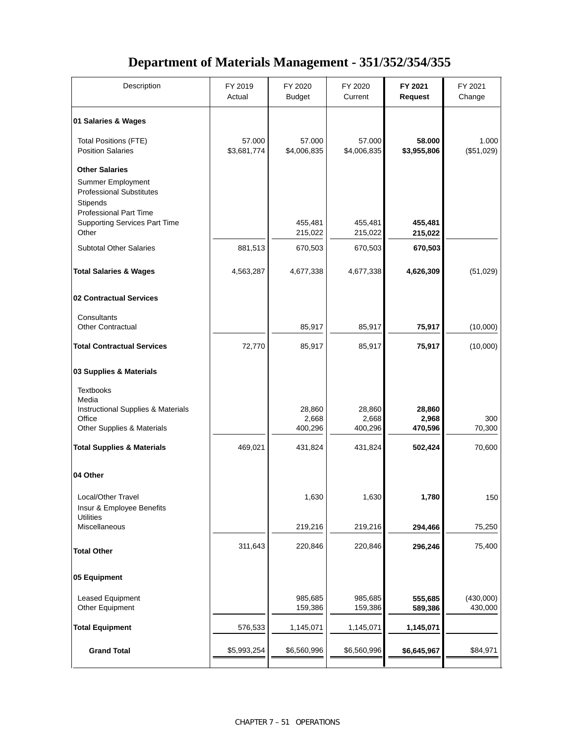### **Department of Materials Management - 351/352/354/355**

| Description                                                                                                                       | FY 2019<br>Actual     | FY 2020<br><b>Budget</b>   | FY 2020<br>Current         | FY 2021<br><b>Request</b>  | FY 2021<br>Change    |
|-----------------------------------------------------------------------------------------------------------------------------------|-----------------------|----------------------------|----------------------------|----------------------------|----------------------|
| 01 Salaries & Wages                                                                                                               |                       |                            |                            |                            |                      |
| <b>Total Positions (FTE)</b><br><b>Position Salaries</b>                                                                          | 57.000<br>\$3,681,774 | 57.000<br>\$4,006,835      | 57.000<br>\$4,006,835      | 58.000<br>\$3,955,806      | 1.000<br>(\$51,029)  |
| <b>Other Salaries</b><br>Summer Employment<br><b>Professional Substitutes</b><br><b>Stipends</b><br><b>Professional Part Time</b> |                       |                            |                            |                            |                      |
| <b>Supporting Services Part Time</b><br>Other                                                                                     |                       | 455,481<br>215,022         | 455,481<br>215,022         | 455,481<br>215,022         |                      |
| <b>Subtotal Other Salaries</b>                                                                                                    | 881,513               | 670,503                    | 670,503                    | 670,503                    |                      |
| <b>Total Salaries &amp; Wages</b>                                                                                                 | 4,563,287             | 4,677,338                  | 4,677,338                  | 4,626,309                  | (51, 029)            |
| 02 Contractual Services                                                                                                           |                       |                            |                            |                            |                      |
| Consultants<br><b>Other Contractual</b>                                                                                           |                       | 85,917                     | 85,917                     | 75,917                     | (10,000)             |
| <b>Total Contractual Services</b>                                                                                                 | 72,770                | 85,917                     | 85,917                     | 75,917                     | (10,000)             |
| 03 Supplies & Materials                                                                                                           |                       |                            |                            |                            |                      |
| <b>Textbooks</b><br>Media                                                                                                         |                       |                            |                            |                            |                      |
| Instructional Supplies & Materials<br>Office<br>Other Supplies & Materials                                                        |                       | 28,860<br>2,668<br>400,296 | 28,860<br>2,668<br>400,296 | 28,860<br>2,968<br>470,596 | 300<br>70,300        |
| <b>Total Supplies &amp; Materials</b>                                                                                             | 469,021               | 431,824                    | 431,824                    | 502,424                    | 70,600               |
| 04 Other                                                                                                                          |                       |                            |                            |                            |                      |
| Local/Other Travel<br>Insur & Employee Benefits<br><b>Utilities</b>                                                               |                       | 1,630                      | 1,630                      | 1,780                      | 150                  |
| Miscellaneous                                                                                                                     |                       | 219,216                    | 219,216                    | 294,466                    | 75,250               |
| <b>Total Other</b>                                                                                                                | 311,643               | 220,846                    | 220,846                    | 296,246                    | 75,400               |
| 05 Equipment                                                                                                                      |                       |                            |                            |                            |                      |
| Leased Equipment<br>Other Equipment                                                                                               |                       | 985,685<br>159,386         | 985,685<br>159,386         | 555,685<br>589,386         | (430,000)<br>430,000 |
| <b>Total Equipment</b>                                                                                                            | 576,533               | 1,145,071                  | 1,145,071                  | 1,145,071                  |                      |
| <b>Grand Total</b>                                                                                                                | \$5,993,254           | \$6,560,996                | \$6,560,996                | \$6,645,967                | \$84,971             |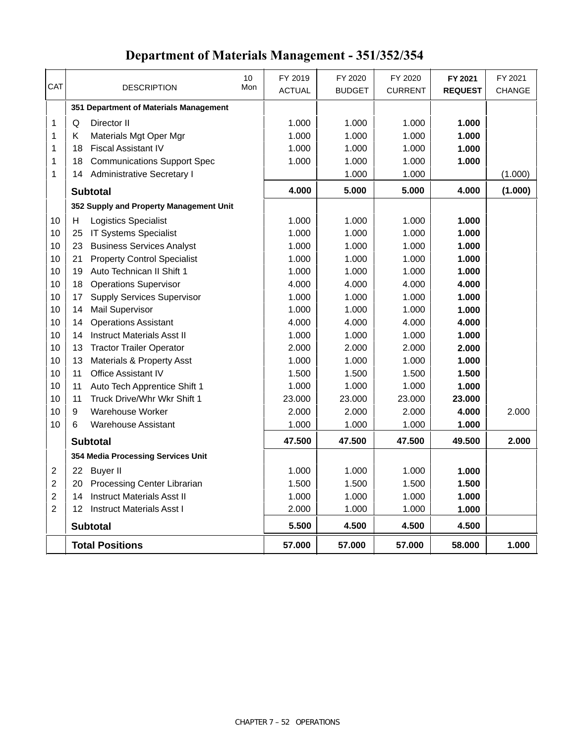# **Department of Materials Management - 351/352/354**

|                | <b>Total Positions</b>                     |     | 57.000        | 57.000        | 57.000         | 58.000         | 1.000         |
|----------------|--------------------------------------------|-----|---------------|---------------|----------------|----------------|---------------|
|                | <b>Subtotal</b>                            |     | 5.500         | 4.500         | 4.500          | 4.500          |               |
| $\overline{2}$ | 12 Instruct Materials Asst I               |     | 2.000         | 1.000         | 1.000          | 1.000          |               |
| $\overline{2}$ | <b>Instruct Materials Asst II</b><br>14    |     | 1.000         | 1.000         | 1.000          | 1.000          |               |
| $\overline{c}$ | 20 Processing Center Librarian             |     | 1.500         | 1.500         | 1.500          | 1.500          |               |
| $\overline{2}$ | 22 Buyer II                                |     | 1.000         | 1.000         | 1.000          | 1.000          |               |
|                | 354 Media Processing Services Unit         |     |               |               |                |                |               |
|                | <b>Subtotal</b>                            |     | 47.500        | 47.500        | 47.500         | 49.500         | 2.000         |
| 10             | <b>Warehouse Assistant</b><br>6            |     | 1.000         | 1.000         | 1.000          | 1.000          |               |
| 10             | 9<br>Warehouse Worker                      |     | 2.000         | 2.000         | 2.000          | 4.000          | 2.000         |
| 10             | 11<br>Truck Drive/Whr Wkr Shift 1          |     | 23.000        | 23,000        | 23.000         | 23.000         |               |
| 10             | 11<br>Auto Tech Apprentice Shift 1         |     | 1.000         | 1.000         | 1.000          | 1.000          |               |
| 10             | Office Assistant IV<br>11                  |     | 1.500         | 1.500         | 1.500          | 1.500          |               |
| 10             | 13<br><b>Materials &amp; Property Asst</b> |     | 1.000         | 1.000         | 1.000          | 1.000          |               |
| 10             | 13<br><b>Tractor Trailer Operator</b>      |     | 2.000         | 2.000         | 2.000          | 2.000          |               |
| 10             | <b>Instruct Materials Asst II</b><br>14    |     | 1.000         | 1.000         | 1.000          | 1.000          |               |
| 10             | <b>Operations Assistant</b><br>14          |     | 4.000         | 4.000         | 4.000          | 4.000          |               |
| 10             | 14<br><b>Mail Supervisor</b>               |     | 1.000         | 1.000         | 1.000          | 1.000          |               |
| 10             | 17<br><b>Supply Services Supervisor</b>    |     | 1.000         | 1.000         | 1.000          | 1.000          |               |
| 10             | <b>Operations Supervisor</b><br>18         |     | 4.000         | 4.000         | 4.000          | 4.000          |               |
| 10             | 19<br>Auto Technican II Shift 1            |     | 1.000         | 1.000         | 1.000          | 1.000          |               |
| 10             | <b>Property Control Specialist</b><br>21   |     | 1.000         | 1.000         | 1.000          | 1.000          |               |
| 10             | <b>Business Services Analyst</b><br>23     |     | 1.000         | 1.000         | 1.000          | 1.000          |               |
| 10             | <b>IT Systems Specialist</b><br>25         |     | 1.000         | 1.000         | 1.000          | 1.000          |               |
| 10             | <b>Logistics Specialist</b><br>н           |     | 1.000         | 1.000         | 1.000          | 1.000          |               |
|                | 352 Supply and Property Management Unit    |     |               |               |                |                |               |
|                | <b>Subtotal</b>                            |     | 4.000         | 5.000         | 5.000          | 4.000          | (1.000)       |
| 1              | 14 Administrative Secretary I              |     |               | 1.000         | 1.000          |                | (1.000)       |
| 1              | <b>Communications Support Spec</b><br>18   |     | 1.000         | 1.000         | 1.000          | 1.000          |               |
| 1              | <b>Fiscal Assistant IV</b><br>18           |     | 1.000         | 1.000         | 1.000          | 1.000          |               |
| 1              | Κ<br>Materials Mgt Oper Mgr                |     | 1.000         | 1.000         | 1.000          | 1.000          |               |
| 1              | Director II<br>Q                           |     | 1.000         | 1.000         | 1.000          | 1.000          |               |
|                | 351 Department of Materials Management     |     |               |               |                |                |               |
|                |                                            |     |               |               |                |                |               |
| CAT            | <b>DESCRIPTION</b>                         | Mon | <b>ACTUAL</b> | <b>BUDGET</b> | <b>CURRENT</b> | <b>REQUEST</b> | <b>CHANGE</b> |
|                |                                            | 10  | FY 2019       | FY 2020       | FY 2020        | FY 2021        | FY 2021       |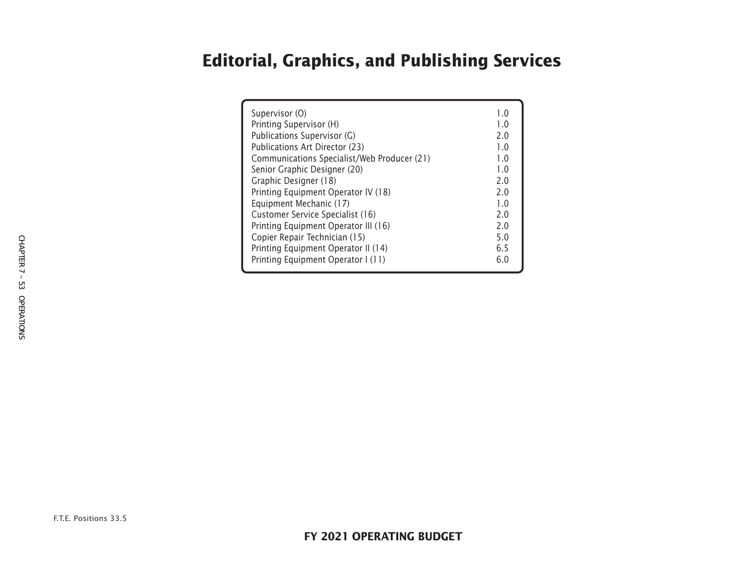# **Editorial, Graphics, and Publishing Services**

| Supervisor (O)<br>Printing Supervisor (H)<br>Publications Supervisor (G)<br>Publications Art Director (23)<br>Communications Specialist/Web Producer (21)<br>Senior Graphic Designer (20)<br>Graphic Designer (18)<br>Printing Equipment Operator IV (18)<br>Equipment Mechanic (17)<br>Customer Service Specialist (16)<br>Printing Equipment Operator III (16)<br>Copier Repair Technician (15) | 1.0<br>1.0<br>2.0<br>1.0<br>1.0<br>1.0<br>2.0<br>2.0<br>1.0<br>2.0<br>2.0<br>5.0<br>6.5 |
|---------------------------------------------------------------------------------------------------------------------------------------------------------------------------------------------------------------------------------------------------------------------------------------------------------------------------------------------------------------------------------------------------|-----------------------------------------------------------------------------------------|
| Printing Equipment Operator II (14)<br>Printing Equipment Operator I (11)                                                                                                                                                                                                                                                                                                                         | 6.0                                                                                     |
|                                                                                                                                                                                                                                                                                                                                                                                                   |                                                                                         |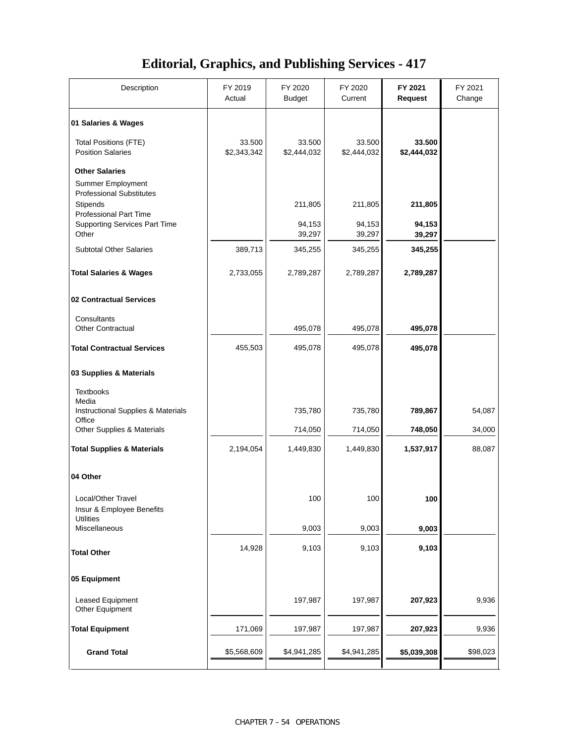### **Editorial, Graphics, and Publishing Services - 417**

| Description                                                                  | FY 2019<br>Actual     | FY 2020<br>Budget     | FY 2020<br>Current    | FY 2021<br><b>Request</b> | FY 2021<br>Change |
|------------------------------------------------------------------------------|-----------------------|-----------------------|-----------------------|---------------------------|-------------------|
| 01 Salaries & Wages                                                          |                       |                       |                       |                           |                   |
| <b>Total Positions (FTE)</b><br><b>Position Salaries</b>                     | 33.500<br>\$2,343,342 | 33.500<br>\$2,444,032 | 33.500<br>\$2,444,032 | 33.500<br>\$2,444,032     |                   |
| <b>Other Salaries</b><br>Summer Employment                                   |                       |                       |                       |                           |                   |
| <b>Professional Substitutes</b><br>Stipends<br><b>Professional Part Time</b> |                       | 211,805               | 211,805               | 211,805                   |                   |
| <b>Supporting Services Part Time</b><br>Other                                |                       | 94,153<br>39,297      | 94,153<br>39,297      | 94,153<br>39,297          |                   |
| <b>Subtotal Other Salaries</b>                                               | 389,713               | 345,255               | 345,255               | 345,255                   |                   |
| <b>Total Salaries &amp; Wages</b>                                            | 2,733,055             | 2,789,287             | 2,789,287             | 2,789,287                 |                   |
| 02 Contractual Services                                                      |                       |                       |                       |                           |                   |
| Consultants<br><b>Other Contractual</b>                                      |                       | 495,078               | 495,078               | 495,078                   |                   |
| <b>Total Contractual Services</b>                                            | 455,503               | 495,078               | 495,078               | 495,078                   |                   |
| 03 Supplies & Materials                                                      |                       |                       |                       |                           |                   |
| <b>Textbooks</b><br>Media                                                    |                       |                       |                       |                           |                   |
| Instructional Supplies & Materials<br>Office                                 |                       | 735,780               | 735,780               | 789,867                   | 54,087            |
| Other Supplies & Materials                                                   |                       | 714,050               | 714,050               | 748,050                   | 34,000            |
| <b>Total Supplies &amp; Materials</b>                                        | 2,194,054             | 1,449,830             | 1,449,830             | 1,537,917                 | 88,087            |
| 04 Other                                                                     |                       |                       |                       |                           |                   |
| Local/Other Travel<br>Insur & Employee Benefits<br><b>Utilities</b>          |                       | 100                   | 100                   | 100                       |                   |
| Miscellaneous                                                                |                       | 9,003                 | 9,003                 | 9,003                     |                   |
| <b>Total Other</b>                                                           | 14,928                | 9,103                 | 9,103                 | 9,103                     |                   |
| 05 Equipment                                                                 |                       |                       |                       |                           |                   |
| Leased Equipment<br>Other Equipment                                          |                       | 197,987               | 197,987               | 207,923                   | 9,936             |
| <b>Total Equipment</b>                                                       | 171,069               | 197,987               | 197,987               | 207,923                   | 9,936             |
| <b>Grand Total</b>                                                           | \$5,568,609           | \$4,941,285           | \$4,941,285           | \$5,039,308               | \$98,023          |
|                                                                              |                       |                       |                       |                           |                   |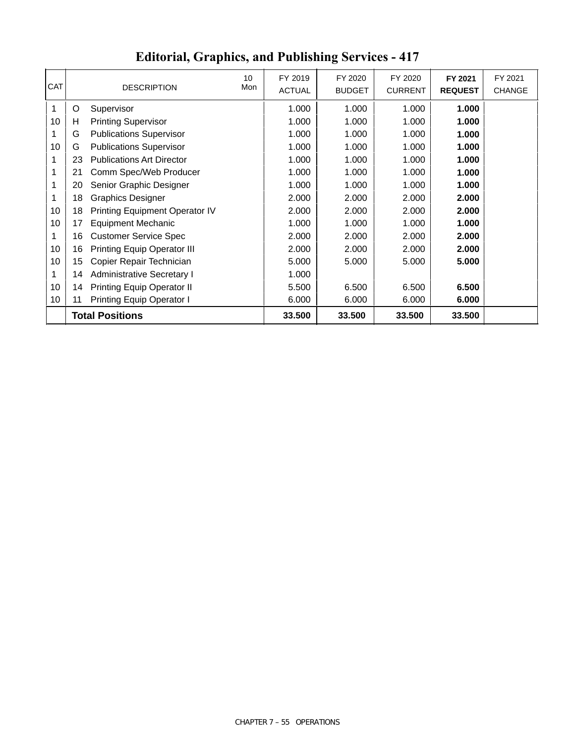| <b>CAT</b>      |    | <b>DESCRIPTION</b>                 | 10<br>Mon | FY 2019<br><b>ACTUAL</b> | FY 2020<br><b>BUDGET</b> | FY 2020<br><b>CURRENT</b> | FY 2021<br><b>REQUEST</b> | FY 2021<br><b>CHANGE</b> |
|-----------------|----|------------------------------------|-----------|--------------------------|--------------------------|---------------------------|---------------------------|--------------------------|
| 1               | O  | Supervisor                         |           | 1.000                    | 1.000                    | 1.000                     | 1.000                     |                          |
| 10              | н  | <b>Printing Supervisor</b>         |           | 1.000                    | 1.000                    | 1.000                     | 1.000                     |                          |
|                 | G  | <b>Publications Supervisor</b>     |           | 1.000                    | 1.000                    | 1.000                     | 1.000                     |                          |
| 10              | G  | <b>Publications Supervisor</b>     |           | 1.000                    | 1.000                    | 1.000                     | 1.000                     |                          |
| 1               | 23 | <b>Publications Art Director</b>   |           | 1.000                    | 1.000                    | 1.000                     | 1.000                     |                          |
| 1               | 21 | Comm Spec/Web Producer             |           | 1.000                    | 1.000                    | 1.000                     | 1.000                     |                          |
| 1               | 20 | Senior Graphic Designer            |           | 1.000                    | 1.000                    | 1.000                     | 1.000                     |                          |
| 1               | 18 | <b>Graphics Designer</b>           |           | 2.000                    | 2.000                    | 2.000                     | 2.000                     |                          |
| 10              | 18 | Printing Equipment Operator IV     |           | 2.000                    | 2.000                    | 2.000                     | 2.000                     |                          |
| 10              | 17 | <b>Equipment Mechanic</b>          |           | 1.000                    | 1.000                    | 1.000                     | 1.000                     |                          |
|                 | 16 | <b>Customer Service Spec</b>       |           | 2.000                    | 2.000                    | 2.000                     | 2.000                     |                          |
| 10              | 16 | <b>Printing Equip Operator III</b> |           | 2.000                    | 2.000                    | 2.000                     | 2.000                     |                          |
| 10              | 15 | Copier Repair Technician           |           | 5.000                    | 5.000                    | 5.000                     | 5.000                     |                          |
| 1               | 14 | Administrative Secretary I         |           | 1.000                    |                          |                           |                           |                          |
| 10              | 14 | <b>Printing Equip Operator II</b>  |           | 5.500                    | 6.500                    | 6.500                     | 6.500                     |                          |
| 10 <sub>1</sub> | 11 | Printing Equip Operator I          |           | 6.000                    | 6.000                    | 6.000                     | 6.000                     |                          |
|                 |    | <b>Total Positions</b>             |           | 33.500                   | 33.500                   | 33.500                    | 33.500                    |                          |

# **Editorial, Graphics, and Publishing Services - 417**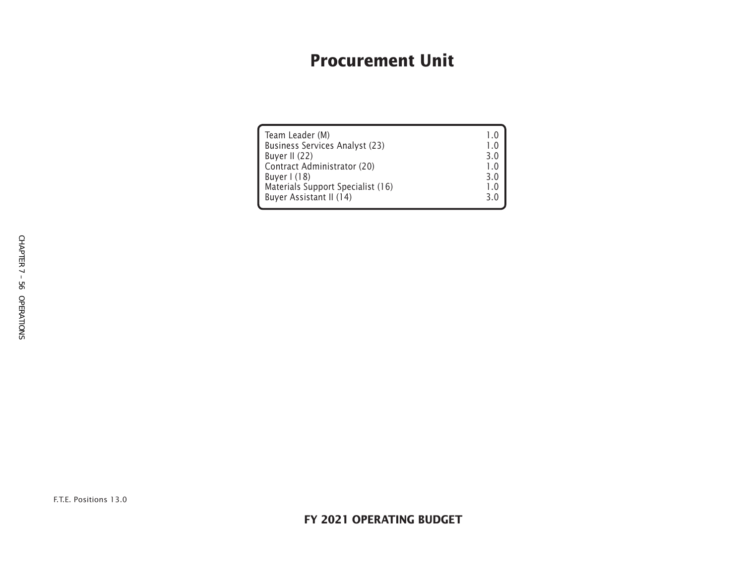# **Procurement Unit**

| Team Leader (M)<br>Business Services Analyst (23)<br>Buyer II (22)<br>Contract Administrator (20)<br>Buyer $1(18)$<br>Materials Support Specialist (16) | 10<br>1.0<br>3.0<br>1.0<br>3.0<br>1.0<br>3.0 |
|---------------------------------------------------------------------------------------------------------------------------------------------------------|----------------------------------------------|
| Buyer Assistant II (14)                                                                                                                                 |                                              |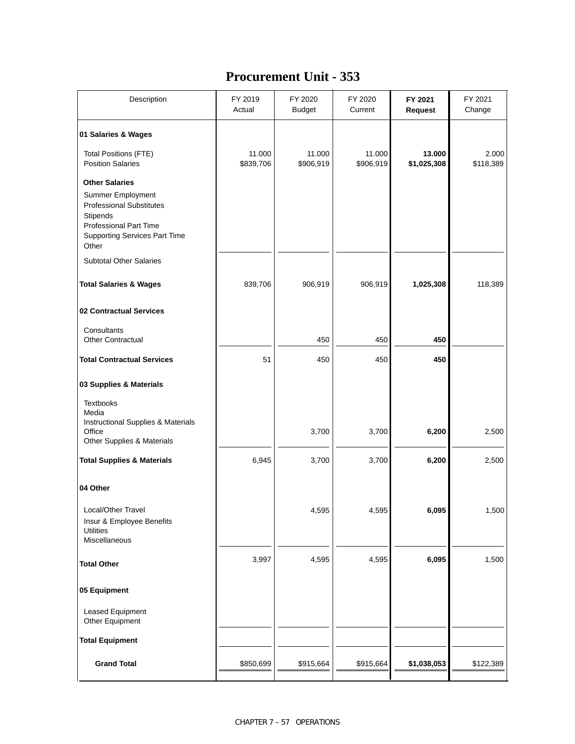### **Procurement Unit - 353**

| Description                                                                                                                                                                 | FY 2019<br>Actual   | FY 2020<br><b>Budget</b> | FY 2020<br>Current  | FY 2021<br><b>Request</b> | FY 2021<br>Change  |
|-----------------------------------------------------------------------------------------------------------------------------------------------------------------------------|---------------------|--------------------------|---------------------|---------------------------|--------------------|
| 01 Salaries & Wages                                                                                                                                                         |                     |                          |                     |                           |                    |
| <b>Total Positions (FTE)</b><br><b>Position Salaries</b>                                                                                                                    | 11.000<br>\$839,706 | 11.000<br>\$906,919      | 11.000<br>\$906,919 | 13.000<br>\$1,025,308     | 2.000<br>\$118,389 |
| <b>Other Salaries</b><br>Summer Employment<br><b>Professional Substitutes</b><br>Stipends<br><b>Professional Part Time</b><br><b>Supporting Services Part Time</b><br>Other |                     |                          |                     |                           |                    |
| <b>Subtotal Other Salaries</b>                                                                                                                                              |                     |                          |                     |                           |                    |
| <b>Total Salaries &amp; Wages</b>                                                                                                                                           | 839,706             | 906,919                  | 906,919             | 1,025,308                 | 118,389            |
| 02 Contractual Services                                                                                                                                                     |                     |                          |                     |                           |                    |
| Consultants<br><b>Other Contractual</b>                                                                                                                                     |                     | 450                      | 450                 | 450                       |                    |
| <b>Total Contractual Services</b>                                                                                                                                           | 51                  | 450                      | 450                 | 450                       |                    |
| 03 Supplies & Materials                                                                                                                                                     |                     |                          |                     |                           |                    |
| <b>Textbooks</b><br>Media<br>Instructional Supplies & Materials<br>Office<br>Other Supplies & Materials                                                                     |                     | 3,700                    | 3,700               | 6,200                     | 2,500              |
| <b>Total Supplies &amp; Materials</b>                                                                                                                                       | 6,945               | 3,700                    | 3,700               | 6,200                     | 2,500              |
| 04 Other                                                                                                                                                                    |                     |                          |                     |                           |                    |
| Local/Other Travel<br>Insur & Employee Benefits<br><b>Utilities</b><br>Miscellaneous                                                                                        |                     | 4,595                    | 4,595               | 6,095                     | 1,500              |
| <b>Total Other</b>                                                                                                                                                          | 3,997               | 4,595                    | 4,595               | 6,095                     | 1,500              |
| 05 Equipment                                                                                                                                                                |                     |                          |                     |                           |                    |
| Leased Equipment<br>Other Equipment                                                                                                                                         |                     |                          |                     |                           |                    |
| <b>Total Equipment</b>                                                                                                                                                      |                     |                          |                     |                           |                    |
| <b>Grand Total</b>                                                                                                                                                          | \$850,699           | \$915,664                | \$915,664           | \$1,038,053               | \$122,389          |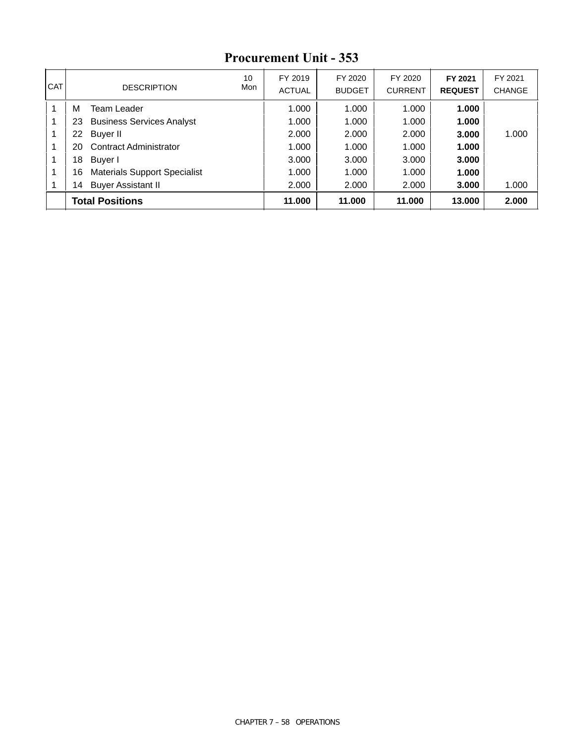| I CAT | <b>DESCRIPTION</b>                        | 10<br>Mon | FY 2019<br><b>ACTUAL</b> | FY 2020<br><b>BUDGET</b> | FY 2020<br><b>CURRENT</b> | FY 2021<br><b>REQUEST</b> | FY 2021<br><b>CHANGE</b> |
|-------|-------------------------------------------|-----------|--------------------------|--------------------------|---------------------------|---------------------------|--------------------------|
|       | м<br>Team Leader                          |           | 1.000                    | 1.000                    | 1.000                     | 1.000                     |                          |
| 1     | <b>Business Services Analyst</b><br>23    |           | 1.000                    | 1.000                    | 1.000                     | 1.000                     |                          |
|       | Buyer II<br>22                            |           | 2.000                    | 2.000                    | 2.000                     | 3.000                     | 1.000                    |
| 1     | Contract Administrator<br>20              |           | 1.000                    | 1.000                    | 1.000                     | 1.000                     |                          |
| 1     | 18<br>Buyer I                             |           | 3.000                    | 3.000                    | 3.000                     | 3.000                     |                          |
|       | <b>Materials Support Specialist</b><br>16 |           | 1.000                    | 1.000                    | 1.000                     | 1.000                     |                          |
|       | <b>Buyer Assistant II</b><br>14           |           | 2.000                    | 2.000                    | 2.000                     | 3.000                     | 1.000                    |
|       | <b>Total Positions</b>                    |           | 11.000                   | 11.000                   | 11.000                    | 13,000                    | 2.000                    |

### **Procurement Unit - 353**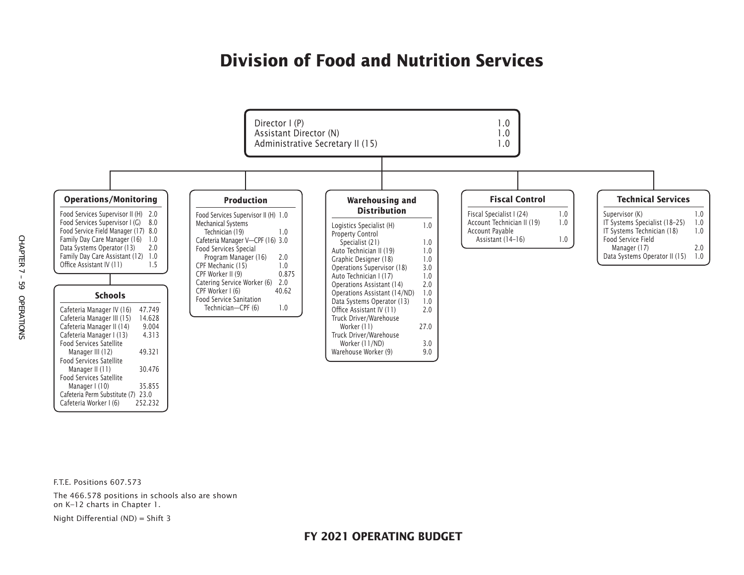# **Division of Food and Nutrition Services**



F.T.E. Positions 607.573

The 466.578 positions in schools also are shown on K–12 charts in Chapter 1.

Night Differential (ND) = Shift 3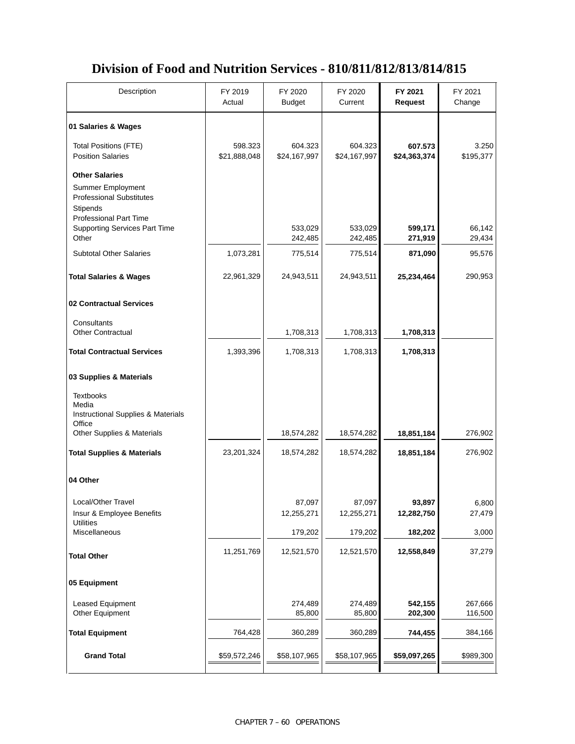### **Division of Food and Nutrition Services - 810/811/812/813/814/815**

| Description                                                                                                                                                                      | FY 2019<br>Actual       | FY 2020<br><b>Budget</b> | FY 2020<br>Current      | FY 2021<br><b>Request</b> | FY 2021<br>Change  |
|----------------------------------------------------------------------------------------------------------------------------------------------------------------------------------|-------------------------|--------------------------|-------------------------|---------------------------|--------------------|
| 01 Salaries & Wages                                                                                                                                                              |                         |                          |                         |                           |                    |
| <b>Total Positions (FTE)</b><br><b>Position Salaries</b>                                                                                                                         | 598.323<br>\$21,888,048 | 604.323<br>\$24,167,997  | 604.323<br>\$24,167,997 | 607.573<br>\$24,363,374   | 3.250<br>\$195,377 |
| <b>Other Salaries</b><br><b>Summer Employment</b><br><b>Professional Substitutes</b><br><b>Stipends</b><br><b>Professional Part Time</b><br><b>Supporting Services Part Time</b> |                         | 533,029                  | 533,029                 | 599,171                   | 66,142             |
| Other                                                                                                                                                                            |                         | 242,485                  | 242,485                 | 271,919                   | 29,434             |
| <b>Subtotal Other Salaries</b>                                                                                                                                                   | 1,073,281               | 775,514                  | 775,514                 | 871,090                   | 95,576             |
| <b>Total Salaries &amp; Wages</b>                                                                                                                                                | 22,961,329              | 24,943,511               | 24,943,511              | 25,234,464                | 290,953            |
| 02 Contractual Services                                                                                                                                                          |                         |                          |                         |                           |                    |
| Consultants<br><b>Other Contractual</b>                                                                                                                                          |                         | 1,708,313                | 1,708,313               | 1,708,313                 |                    |
| <b>Total Contractual Services</b>                                                                                                                                                | 1,393,396               | 1,708,313                | 1,708,313               | 1,708,313                 |                    |
| 03 Supplies & Materials                                                                                                                                                          |                         |                          |                         |                           |                    |
| <b>Textbooks</b><br>Media<br>Instructional Supplies & Materials<br>Office                                                                                                        |                         |                          |                         |                           |                    |
| Other Supplies & Materials                                                                                                                                                       |                         | 18,574,282               | 18,574,282              | 18,851,184                | 276,902            |
| <b>Total Supplies &amp; Materials</b>                                                                                                                                            | 23,201,324              | 18,574,282               | 18,574,282              | 18,851,184                | 276,902            |
| 04 Other                                                                                                                                                                         |                         |                          |                         |                           |                    |
| Local/Other Travel<br>Insur & Employee Benefits<br><b>Utilities</b>                                                                                                              |                         | 87,097<br>12,255,271     | 87,097<br>12,255,271    | 93,897<br>12,282,750      | 6,800<br>27,479    |
| Miscellaneous                                                                                                                                                                    |                         | 179,202                  | 179,202                 | 182,202                   | 3,000              |
| <b>Total Other</b>                                                                                                                                                               | 11,251,769              | 12,521,570               | 12,521,570              | 12,558,849                | 37,279             |
| 05 Equipment                                                                                                                                                                     |                         |                          |                         |                           |                    |
| Leased Equipment<br>Other Equipment                                                                                                                                              |                         | 274,489<br>85,800        | 274,489<br>85,800       | 542,155<br>202,300        | 267,666<br>116,500 |
| <b>Total Equipment</b>                                                                                                                                                           | 764,428                 | 360,289                  | 360,289                 | 744,455                   | 384,166            |
| <b>Grand Total</b>                                                                                                                                                               | \$59,572,246            | \$58,107,965             | \$58,107,965            | \$59,097,265              | \$989,300          |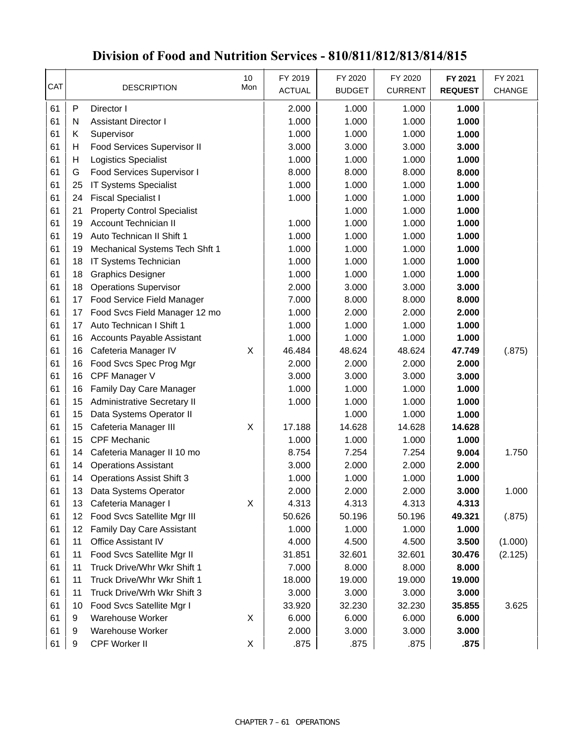| CAT |                 | <b>DESCRIPTION</b>                 | 10<br>Mon | FY 2019<br><b>ACTUAL</b> | FY 2020<br><b>BUDGET</b> | FY 2020<br><b>CURRENT</b> | FY 2021<br><b>REQUEST</b> | FY 2021<br><b>CHANGE</b> |
|-----|-----------------|------------------------------------|-----------|--------------------------|--------------------------|---------------------------|---------------------------|--------------------------|
| 61  | P               | Director I                         |           | 2.000                    | 1.000                    | 1.000                     | 1.000                     |                          |
| 61  | N               | <b>Assistant Director I</b>        |           | 1.000                    | 1.000                    | 1.000                     | 1.000                     |                          |
| 61  | Κ               | Supervisor                         |           | 1.000                    | 1.000                    | 1.000                     | 1.000                     |                          |
| 61  | н               | Food Services Supervisor II        |           | 3.000                    | 3.000                    | 3.000                     | 3.000                     |                          |
| 61  | Η               | <b>Logistics Specialist</b>        |           | 1.000                    | 1.000                    | 1.000                     | 1.000                     |                          |
| 61  | G               | Food Services Supervisor I         |           | 8.000                    | 8.000                    | 8.000                     | 8.000                     |                          |
| 61  | 25              | <b>IT Systems Specialist</b>       |           | 1.000                    | 1.000                    | 1.000                     | 1.000                     |                          |
| 61  | 24              | <b>Fiscal Specialist I</b>         |           | 1.000                    | 1.000                    | 1.000                     | 1.000                     |                          |
| 61  | 21              | <b>Property Control Specialist</b> |           |                          | 1.000                    | 1.000                     | 1.000                     |                          |
| 61  | 19              | Account Technician II              |           | 1.000                    | 1.000                    | 1.000                     | 1.000                     |                          |
| 61  | 19              | Auto Technican II Shift 1          |           | 1.000                    | 1.000                    | 1.000                     | 1.000                     |                          |
| 61  | 19              | Mechanical Systems Tech Shft 1     |           | 1.000                    | 1.000                    | 1.000                     | 1.000                     |                          |
| 61  | 18              | IT Systems Technician              |           | 1.000                    | 1.000                    | 1.000                     | 1.000                     |                          |
| 61  | 18              | <b>Graphics Designer</b>           |           | 1.000                    | 1.000                    | 1.000                     | 1.000                     |                          |
| 61  | 18              | <b>Operations Supervisor</b>       |           | 2.000                    | 3.000                    | 3.000                     | 3.000                     |                          |
| 61  | 17              | Food Service Field Manager         |           | 7.000                    | 8.000                    | 8.000                     | 8.000                     |                          |
| 61  | 17              | Food Svcs Field Manager 12 mo      |           | 1.000                    | 2.000                    | 2.000                     | 2.000                     |                          |
| 61  | 17              | Auto Technican I Shift 1           |           | 1.000                    | 1.000                    | 1.000                     | 1.000                     |                          |
| 61  | 16              | <b>Accounts Payable Assistant</b>  |           | 1.000                    | 1.000                    | 1.000                     | 1.000                     |                          |
| 61  | 16              | Cafeteria Manager IV               | X         | 46.484                   | 48.624                   | 48.624                    | 47.749                    | (.875)                   |
| 61  | 16              | Food Svcs Spec Prog Mgr            |           | 2.000                    | 2.000                    | 2.000                     | 2.000                     |                          |
| 61  | 16              | CPF Manager V                      |           | 3.000                    | 3.000                    | 3.000                     | 3.000                     |                          |
| 61  | 16              | Family Day Care Manager            |           | 1.000                    | 1.000                    | 1.000                     | 1.000                     |                          |
| 61  | 15              | Administrative Secretary II        |           | 1.000                    | 1.000                    | 1.000                     | 1.000                     |                          |
| 61  | 15              | Data Systems Operator II           |           |                          | 1.000                    | 1.000                     | 1.000                     |                          |
| 61  | 15              | Cafeteria Manager III              | X         | 17.188                   | 14.628                   | 14.628                    | 14.628                    |                          |
| 61  | 15              | <b>CPF Mechanic</b>                |           | 1.000                    | 1.000                    | 1.000                     | 1.000                     |                          |
| 61  | 14              | Cafeteria Manager II 10 mo         |           | 8.754                    | 7.254                    | 7.254                     | 9.004                     | 1.750                    |
| 61  | 14              | <b>Operations Assistant</b>        |           | 3.000                    | 2.000                    | 2.000                     | 2.000                     |                          |
| 61  | 14              | <b>Operations Assist Shift 3</b>   |           | 1.000                    | 1.000                    | 1.000                     | 1.000                     |                          |
| 61  |                 | 13 Data Systems Operator           |           | 2.000                    | 2.000                    | 2.000                     | 3.000                     | 1.000                    |
| 61  | 13              | Cafeteria Manager I                | X         | 4.313                    | 4.313                    | 4.313                     | 4.313                     |                          |
| 61  | 12              | Food Svcs Satellite Mgr III        |           | 50.626                   | 50.196                   | 50.196                    | 49.321                    | (.875)                   |
| 61  | 12 <sub>2</sub> | Family Day Care Assistant          |           | 1.000                    | 1.000                    | 1.000                     | 1.000                     |                          |
| 61  | 11              | Office Assistant IV                |           | 4.000                    | 4.500                    | 4.500                     | 3.500                     | (1.000)                  |
| 61  | 11              | Food Svcs Satellite Mgr II         |           | 31.851                   | 32.601                   | 32.601                    | 30.476                    | (2.125)                  |
| 61  | 11              | Truck Drive/Whr Wkr Shift 1        |           | 7.000                    | 8.000                    | 8.000                     | 8.000                     |                          |
| 61  | 11              | Truck Drive/Whr Wkr Shift 1        |           | 18.000                   | 19.000                   | 19.000                    | 19.000                    |                          |
| 61  | 11              | Truck Drive/Wrh Wkr Shift 3        |           | 3.000                    | 3.000                    | 3.000                     | 3.000                     |                          |
| 61  | 10              | Food Svcs Satellite Mgr I          |           | 33.920                   | 32.230                   | 32.230                    | 35.855                    | 3.625                    |
| 61  | 9               | Warehouse Worker                   | X         | 6.000                    | 6.000                    | 6.000                     | 6.000                     |                          |
| 61  | 9               | Warehouse Worker                   |           | 2.000                    | 3.000                    | 3.000                     | 3.000                     |                          |
| 61  | 9               | CPF Worker II                      | X         | .875                     | .875                     | .875                      | .875                      |                          |

### **Division of Food and Nutrition Services - 810/811/812/813/814/815**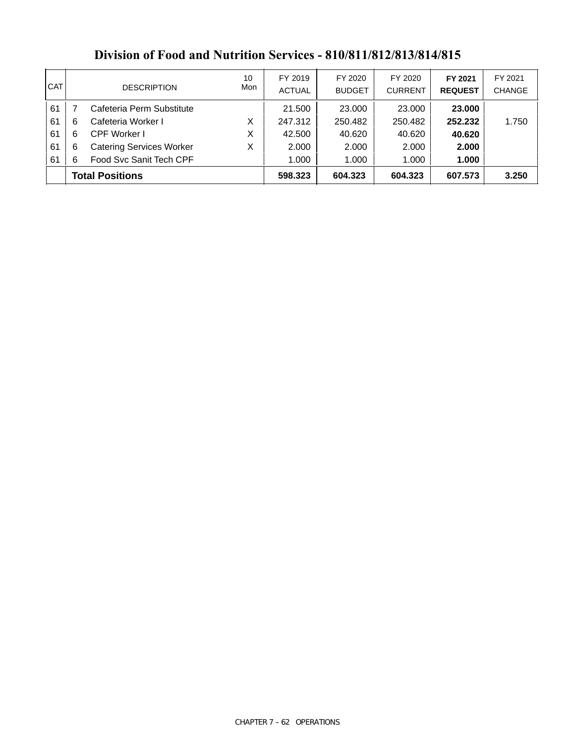| I CAT |                        | <b>DESCRIPTION</b>              | 10<br>Mon | FY 2019<br><b>ACTUAL</b> | FY 2020<br><b>BUDGET</b> | FY 2020<br><b>CURRENT</b> | FY 2021<br><b>REQUEST</b> | FY 2021<br><b>CHANGE</b> |
|-------|------------------------|---------------------------------|-----------|--------------------------|--------------------------|---------------------------|---------------------------|--------------------------|
| 61    |                        | Cafeteria Perm Substitute       |           | 21.500                   | 23.000                   | 23,000                    | 23,000                    |                          |
| 61    | -6                     | Cafeteria Worker I              | X         | 247.312                  | 250.482                  | 250.482                   | 252.232                   | 1.750                    |
| 61    | 6                      | <b>CPF Worker I</b>             | X         | 42.500                   | 40.620                   | 40.620                    | 40.620                    |                          |
| 61    | -6                     | <b>Catering Services Worker</b> | Χ         | 2.000                    | 2.000                    | 2.000                     | 2.000                     |                          |
| 61    | -6                     | Food Svc Sanit Tech CPF         |           | 1.000                    | 1.000                    | 1.000                     | 1.000                     |                          |
|       | <b>Total Positions</b> |                                 | 598.323   | 604.323                  | 604.323                  | 607.573                   | 3.250                     |                          |

### **Division of Food and Nutrition Services - 810/811/812/813/814/815**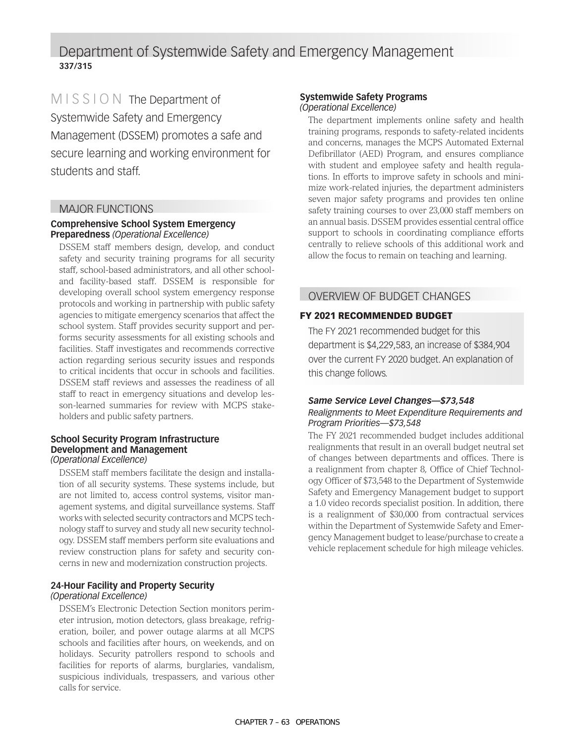### Department of Systemwide Safety and Emergency Management **337/315**

MISSION The Department of Systemwide Safety and Emergency Management (DSSEM) promotes a safe and secure learning and working environment for students and staff.

#### MAJOR FUNCTIONS

#### **Comprehensive School System Emergency Preparedness** *(Operational Excellence)*

DSSEM staff members design, develop, and conduct safety and security training programs for all security staff, school-based administrators, and all other schooland facility-based staff. DSSEM is responsible for developing overall school system emergency response protocols and working in partnership with public safety agencies to mitigate emergency scenarios that affect the school system. Staff provides security support and performs security assessments for all existing schools and facilities. Staff investigates and recommends corrective action regarding serious security issues and responds to critical incidents that occur in schools and facilities. DSSEM staff reviews and assesses the readiness of all staff to react in emergency situations and develop lesson-learned summaries for review with MCPS stakeholders and public safety partners.

#### **School Security Program Infrastructure Development and Management**  *(Operational Excellence)*

DSSEM staff members facilitate the design and installation of all security systems. These systems include, but are not limited to, access control systems, visitor management systems, and digital surveillance systems. Staff works with selected security contractors and MCPS technology staff to survey and study all new security technology. DSSEM staff members perform site evaluations and review construction plans for safety and security concerns in new and modernization construction projects.

#### **24-Hour Facility and Property Security**  *(Operational Excellence)*

DSSEM's Electronic Detection Section monitors perimeter intrusion, motion detectors, glass breakage, refrigeration, boiler, and power outage alarms at all MCPS schools and facilities after hours, on weekends, and on holidays. Security patrollers respond to schools and facilities for reports of alarms, burglaries, vandalism, suspicious individuals, trespassers, and various other calls for service.

#### **Systemwide Safety Programs** *(Operational Excellence)*

The department implements online safety and health training programs, responds to safety-related incidents and concerns, manages the MCPS Automated External Defibrillator (AED) Program, and ensures compliance with student and employee safety and health regulations. In efforts to improve safety in schools and minimize work-related injuries, the department administers seven major safety programs and provides ten online safety training courses to over 23,000 staff members on an annual basis. DSSEM provides essential central office support to schools in coordinating compliance efforts centrally to relieve schools of this additional work and allow the focus to remain on teaching and learning.

#### OVERVIEW OF BUDGET CHANGES

#### FY 2021 RECOMMENDED BUDGET

The FY 2021 recommended budget for this department is \$4,229,583, an increase of \$384,904 over the current FY 2020 budget. An explanation of this change follows.

#### *Same Service Level Changes—\$73,548 Realignments to Meet Expenditure Requirements and Program Priorities—\$73,548*

The FY 2021 recommended budget includes additional realignments that result in an overall budget neutral set of changes between departments and offices. There is a realignment from chapter 8, Office of Chief Technology Officer of \$73,548 to the Department of Systemwide Safety and Emergency Management budget to support a 1.0 video records specialist position. In addition, there is a realignment of \$30,000 from contractual services within the Department of Systemwide Safety and Emergency Management budget to lease/purchase to create a vehicle replacement schedule for high mileage vehicles.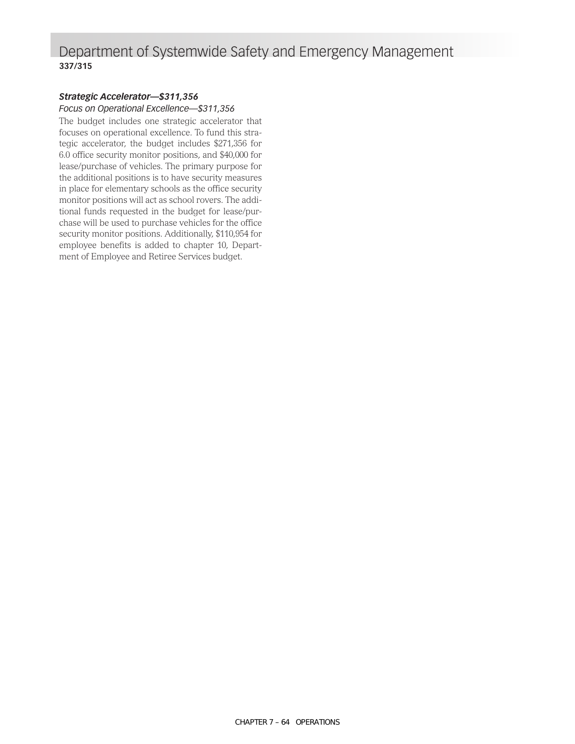### Department of Systemwide Safety and Emergency Management **337/315**

### *Strategic Accelerator—\$311,356*

*Focus on Operational Excellence—\$311,356*

The budget includes one strategic accelerator that focuses on operational excellence. To fund this strategic accelerator, the budget includes \$271,356 for 6.0 office security monitor positions, and \$40,000 for lease/purchase of vehicles. The primary purpose for the additional positions is to have security measures in place for elementary schools as the office security monitor positions will act as school rovers. The additional funds requested in the budget for lease/purchase will be used to purchase vehicles for the office security monitor positions. Additionally, \$110,954 for employee benefits is added to chapter 10, Department of Employee and Retiree Services budget.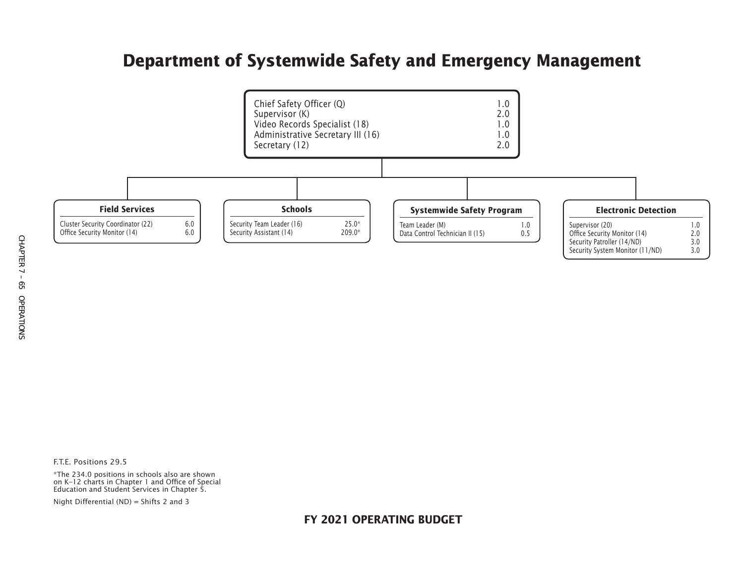### **Department of Systemwide Safety and Emergency Management**



F.T.E. Positions 29.5

\*The 234.0 positions in schools also are shown on K–12 charts in Chapter 1 and Office of Special Education and Student Services in Chapter 5.

Night Differential (ND) = Shifts 2 and 3

**FY 2021 OPERATING BUDGET**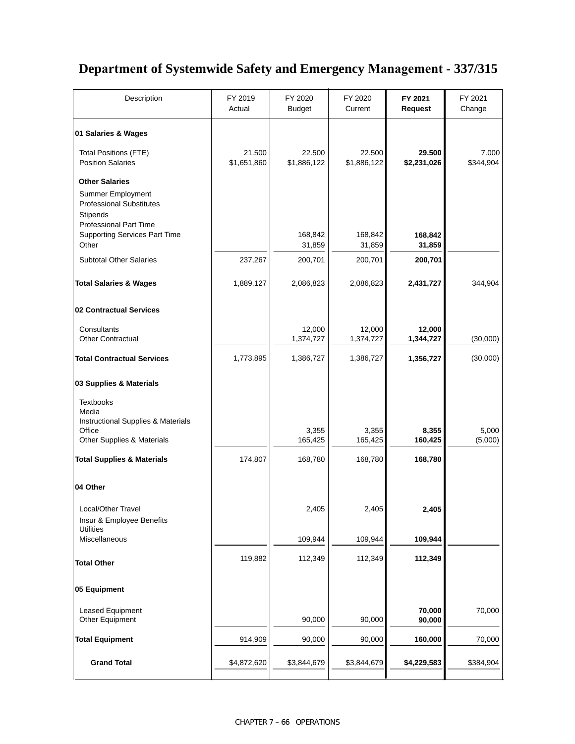### **Department of Systemwide Safety and Emergency Management - 337/315**

| Description                                                                                              | FY 2019<br>Actual     | FY 2020<br><b>Budget</b> | FY 2020<br>Current    | FY 2021<br><b>Request</b> | FY 2021<br>Change  |
|----------------------------------------------------------------------------------------------------------|-----------------------|--------------------------|-----------------------|---------------------------|--------------------|
| 01 Salaries & Wages                                                                                      |                       |                          |                       |                           |                    |
| <b>Total Positions (FTE)</b><br><b>Position Salaries</b>                                                 | 21.500<br>\$1,651,860 | 22.500<br>\$1,886,122    | 22.500<br>\$1,886,122 | 29.500<br>\$2,231,026     | 7.000<br>\$344,904 |
| <b>Other Salaries</b>                                                                                    |                       |                          |                       |                           |                    |
| Summer Employment<br><b>Professional Substitutes</b><br><b>Stipends</b><br><b>Professional Part Time</b> |                       |                          |                       |                           |                    |
| <b>Supporting Services Part Time</b><br>Other                                                            |                       | 168,842<br>31,859        | 168,842<br>31,859     | 168,842<br>31,859         |                    |
| <b>Subtotal Other Salaries</b>                                                                           | 237,267               | 200,701                  | 200,701               | 200,701                   |                    |
| <b>Total Salaries &amp; Wages</b>                                                                        | 1,889,127             | 2,086,823                | 2,086,823             | 2,431,727                 | 344,904            |
| 02 Contractual Services                                                                                  |                       |                          |                       |                           |                    |
| Consultants<br><b>Other Contractual</b>                                                                  |                       | 12,000<br>1,374,727      | 12,000<br>1,374,727   | 12,000<br>1,344,727       | (30,000)           |
| <b>Total Contractual Services</b>                                                                        | 1,773,895             | 1,386,727                | 1,386,727             | 1,356,727                 | (30,000)           |
| 03 Supplies & Materials                                                                                  |                       |                          |                       |                           |                    |
| <b>Textbooks</b><br>Media<br>Instructional Supplies & Materials                                          |                       |                          |                       |                           |                    |
| Office<br>Other Supplies & Materials                                                                     |                       | 3,355<br>165,425         | 3,355<br>165,425      | 8,355<br>160,425          | 5,000<br>(5,000)   |
| <b>Total Supplies &amp; Materials</b>                                                                    | 174,807               | 168,780                  | 168,780               | 168,780                   |                    |
| 04 Other                                                                                                 |                       |                          |                       |                           |                    |
| Local/Other Travel<br>Insur & Employee Benefits                                                          |                       | 2,405                    | 2,405                 | 2,405                     |                    |
| <b>Utilities</b><br>Miscellaneous                                                                        |                       | 109,944                  | 109,944               | 109,944                   |                    |
| <b>Total Other</b>                                                                                       | 119,882               | 112,349                  | 112,349               | 112,349                   |                    |
| 05 Equipment                                                                                             |                       |                          |                       |                           |                    |
| Leased Equipment<br>Other Equipment                                                                      |                       | 90,000                   | 90,000                | 70,000<br>90,000          | 70,000             |
| <b>Total Equipment</b>                                                                                   | 914,909               | 90,000                   | 90,000                | 160,000                   | 70,000             |
| <b>Grand Total</b>                                                                                       | \$4,872,620           | \$3,844,679              | \$3,844,679           | \$4,229,583               | \$384,904          |
|                                                                                                          |                       |                          |                       |                           |                    |